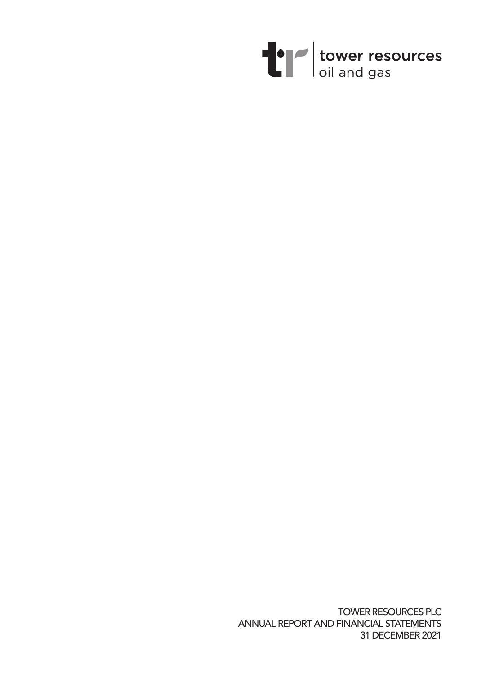

TOWER RESOURCES PLC ANNUAL REPORT AND FINANCIAL STATEMENTS 31 DECEMBER 2021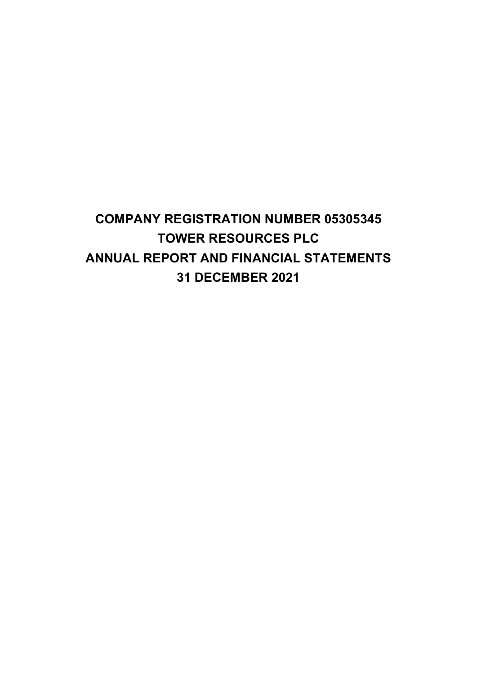# COMPANY REGISTRATION NUMBER 05305345 TOWER RESOURCES PLC ANNUAL REPORT AND FINANCIAL STATEMENTS 31 DECEMBER 2021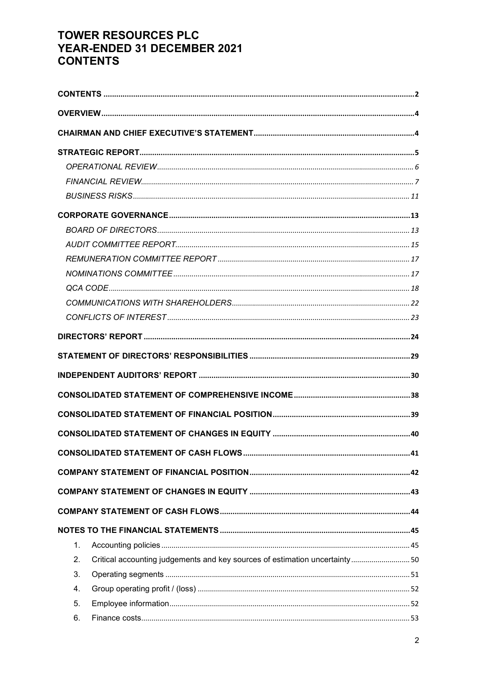# **TOWER RESOURCES PLC** YEAR-ENDED 31 DECEMBER 2021 **CONTENTS**

| 1. |                                                                             |  |
|----|-----------------------------------------------------------------------------|--|
| 2. | Critical accounting judgements and key sources of estimation uncertainty 50 |  |
| 3. |                                                                             |  |
| 4. |                                                                             |  |
| 5. |                                                                             |  |
| 6. |                                                                             |  |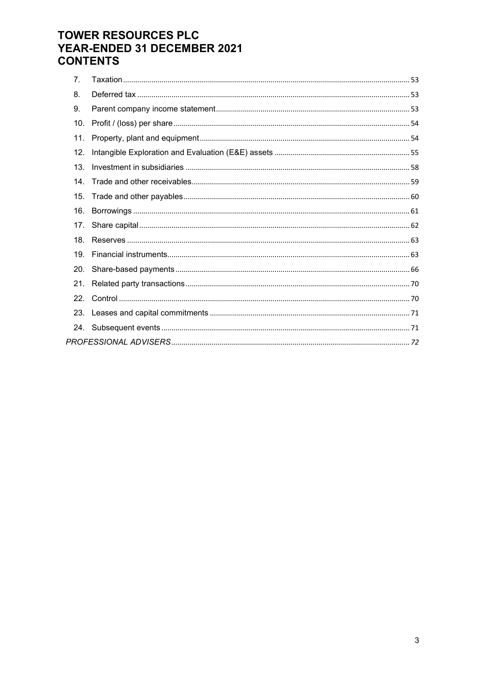# **TOWER RESOURCES PLC** YEAR-ENDED 31 DECEMBER 2021 **CONTENTS**

| 7 <sub>1</sub>  |  |
|-----------------|--|
| 8.              |  |
| 9.              |  |
| 10.             |  |
| 11.             |  |
| 12.             |  |
| 13 <sub>1</sub> |  |
| 14 <sup>1</sup> |  |
| 15.             |  |
| 16.             |  |
|                 |  |
| 18.             |  |
| 19 <sub>1</sub> |  |
|                 |  |
|                 |  |
|                 |  |
|                 |  |
|                 |  |
|                 |  |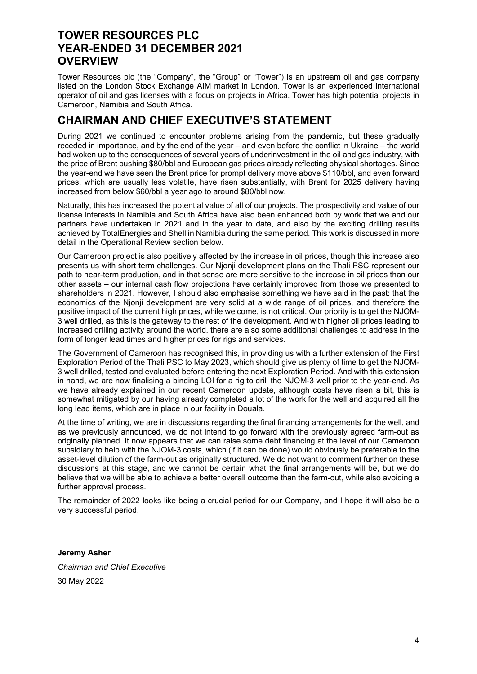### TOWER RESOURCES PLC YEAR-ENDED 31 DECEMBER 2021 **OVERVIEW**

Tower Resources plc (the "Company", the "Group" or "Tower") is an upstream oil and gas company listed on the London Stock Exchange AIM market in London. Tower is an experienced international operator of oil and gas licenses with a focus on projects in Africa. Tower has high potential projects in Cameroon, Namibia and South Africa.

# CHAIRMAN AND CHIEF EXECUTIVE'S STATEMENT

During 2021 we continued to encounter problems arising from the pandemic, but these gradually receded in importance, and by the end of the year – and even before the conflict in Ukraine – the world had woken up to the consequences of several years of underinvestment in the oil and gas industry, with the price of Brent pushing \$80/bbl and European gas prices already reflecting physical shortages. Since the year-end we have seen the Brent price for prompt delivery move above \$110/bbl, and even forward prices, which are usually less volatile, have risen substantially, with Brent for 2025 delivery having increased from below \$60/bbl a year ago to around \$80/bbl now.

Naturally, this has increased the potential value of all of our projects. The prospectivity and value of our license interests in Namibia and South Africa have also been enhanced both by work that we and our partners have undertaken in 2021 and in the year to date, and also by the exciting drilling results achieved by TotalEnergies and Shell in Namibia during the same period. This work is discussed in more detail in the Operational Review section below.

Our Cameroon project is also positively affected by the increase in oil prices, though this increase also presents us with short term challenges. Our Njonji development plans on the Thali PSC represent our path to near-term production, and in that sense are more sensitive to the increase in oil prices than our other assets – our internal cash flow projections have certainly improved from those we presented to shareholders in 2021. However, I should also emphasise something we have said in the past: that the economics of the Njonji development are very solid at a wide range of oil prices, and therefore the positive impact of the current high prices, while welcome, is not critical. Our priority is to get the NJOM-3 well drilled, as this is the gateway to the rest of the development. And with higher oil prices leading to increased drilling activity around the world, there are also some additional challenges to address in the form of longer lead times and higher prices for rigs and services.

The Government of Cameroon has recognised this, in providing us with a further extension of the First Exploration Period of the Thali PSC to May 2023, which should give us plenty of time to get the NJOM-3 well drilled, tested and evaluated before entering the next Exploration Period. And with this extension in hand, we are now finalising a binding LOI for a rig to drill the NJOM-3 well prior to the year-end. As we have already explained in our recent Cameroon update, although costs have risen a bit, this is somewhat mitigated by our having already completed a lot of the work for the well and acquired all the long lead items, which are in place in our facility in Douala.

At the time of writing, we are in discussions regarding the final financing arrangements for the well, and as we previously announced, we do not intend to go forward with the previously agreed farm-out as originally planned. It now appears that we can raise some debt financing at the level of our Cameroon subsidiary to help with the NJOM-3 costs, which (if it can be done) would obviously be preferable to the asset-level dilution of the farm-out as originally structured. We do not want to comment further on these discussions at this stage, and we cannot be certain what the final arrangements will be, but we do believe that we will be able to achieve a better overall outcome than the farm-out, while also avoiding a further approval process.

The remainder of 2022 looks like being a crucial period for our Company, and I hope it will also be a very successful period.

Jeremy Asher Chairman and Chief Executive 30 May 2022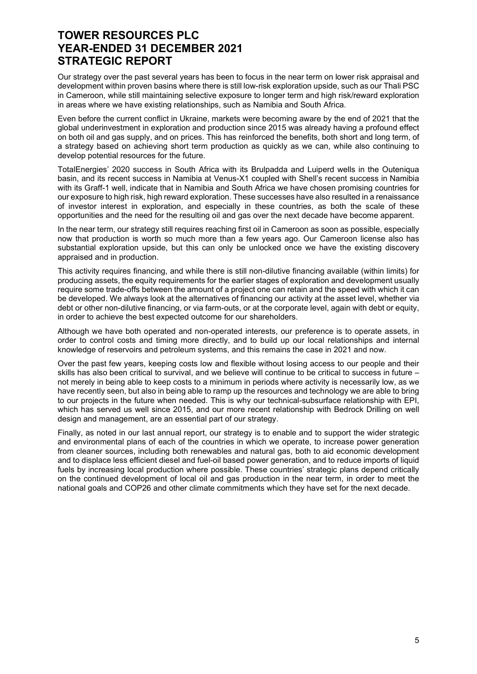Our strategy over the past several years has been to focus in the near term on lower risk appraisal and development within proven basins where there is still low-risk exploration upside, such as our Thali PSC in Cameroon, while still maintaining selective exposure to longer term and high risk/reward exploration in areas where we have existing relationships, such as Namibia and South Africa.

Even before the current conflict in Ukraine, markets were becoming aware by the end of 2021 that the global underinvestment in exploration and production since 2015 was already having a profound effect on both oil and gas supply, and on prices. This has reinforced the benefits, both short and long term, of a strategy based on achieving short term production as quickly as we can, while also continuing to develop potential resources for the future.

TotalEnergies' 2020 success in South Africa with its Brulpadda and Luiperd wells in the Outeniqua basin, and its recent success in Namibia at Venus-X1 coupled with Shell's recent success in Namibia with its Graff-1 well, indicate that in Namibia and South Africa we have chosen promising countries for our exposure to high risk, high reward exploration. These successes have also resulted in a renaissance of investor interest in exploration, and especially in these countries, as both the scale of these opportunities and the need for the resulting oil and gas over the next decade have become apparent.

In the near term, our strategy still requires reaching first oil in Cameroon as soon as possible, especially now that production is worth so much more than a few years ago. Our Cameroon license also has substantial exploration upside, but this can only be unlocked once we have the existing discovery appraised and in production.

This activity requires financing, and while there is still non-dilutive financing available (within limits) for producing assets, the equity requirements for the earlier stages of exploration and development usually require some trade-offs between the amount of a project one can retain and the speed with which it can be developed. We always look at the alternatives of financing our activity at the asset level, whether via debt or other non-dilutive financing, or via farm-outs, or at the corporate level, again with debt or equity, in order to achieve the best expected outcome for our shareholders.

Although we have both operated and non-operated interests, our preference is to operate assets, in order to control costs and timing more directly, and to build up our local relationships and internal knowledge of reservoirs and petroleum systems, and this remains the case in 2021 and now.

Over the past few years, keeping costs low and flexible without losing access to our people and their skills has also been critical to survival, and we believe will continue to be critical to success in future – not merely in being able to keep costs to a minimum in periods where activity is necessarily low, as we have recently seen, but also in being able to ramp up the resources and technology we are able to bring to our projects in the future when needed. This is why our technical-subsurface relationship with EPI, which has served us well since 2015, and our more recent relationship with Bedrock Drilling on well design and management, are an essential part of our strategy.

Finally, as noted in our last annual report, our strategy is to enable and to support the wider strategic and environmental plans of each of the countries in which we operate, to increase power generation from cleaner sources, including both renewables and natural gas, both to aid economic development and to displace less efficient diesel and fuel-oil based power generation, and to reduce imports of liquid fuels by increasing local production where possible. These countries' strategic plans depend critically on the continued development of local oil and gas production in the near term, in order to meet the national goals and COP26 and other climate commitments which they have set for the next decade.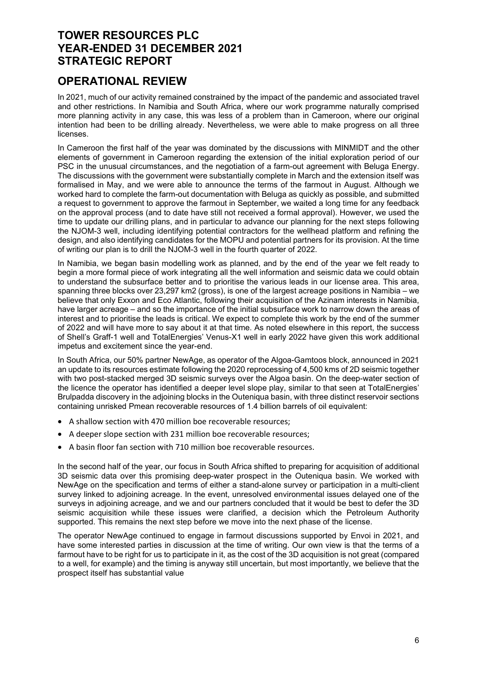### OPERATIONAL REVIEW

In 2021, much of our activity remained constrained by the impact of the pandemic and associated travel and other restrictions. In Namibia and South Africa, where our work programme naturally comprised more planning activity in any case, this was less of a problem than in Cameroon, where our original intention had been to be drilling already. Nevertheless, we were able to make progress on all three licenses.

In Cameroon the first half of the year was dominated by the discussions with MINMIDT and the other elements of government in Cameroon regarding the extension of the initial exploration period of our PSC in the unusual circumstances, and the negotiation of a farm-out agreement with Beluga Energy. The discussions with the government were substantially complete in March and the extension itself was formalised in May, and we were able to announce the terms of the farmout in August. Although we worked hard to complete the farm-out documentation with Beluga as quickly as possible, and submitted a request to government to approve the farmout in September, we waited a long time for any feedback on the approval process (and to date have still not received a formal approval). However, we used the time to update our drilling plans, and in particular to advance our planning for the next steps following the NJOM-3 well, including identifying potential contractors for the wellhead platform and refining the design, and also identifying candidates for the MOPU and potential partners for its provision. At the time of writing our plan is to drill the NJOM-3 well in the fourth quarter of 2022.

In Namibia, we began basin modelling work as planned, and by the end of the year we felt ready to begin a more formal piece of work integrating all the well information and seismic data we could obtain to understand the subsurface better and to prioritise the various leads in our license area. This area, spanning three blocks over 23,297 km2 (gross), is one of the largest acreage positions in Namibia – we believe that only Exxon and Eco Atlantic, following their acquisition of the Azinam interests in Namibia, have larger acreage – and so the importance of the initial subsurface work to narrow down the areas of interest and to prioritise the leads is critical. We expect to complete this work by the end of the summer of 2022 and will have more to say about it at that time. As noted elsewhere in this report, the success of Shell's Graff-1 well and TotalEnergies' Venus-X1 well in early 2022 have given this work additional impetus and excitement since the year-end.

In South Africa, our 50% partner NewAge, as operator of the Algoa-Gamtoos block, announced in 2021 an update to its resources estimate following the 2020 reprocessing of 4,500 kms of 2D seismic together with two post-stacked merged 3D seismic surveys over the Algoa basin. On the deep-water section of the licence the operator has identified a deeper level slope play, similar to that seen at TotalEnergies' Brulpadda discovery in the adjoining blocks in the Outeniqua basin, with three distinct reservoir sections containing unrisked Pmean recoverable resources of 1.4 billion barrels of oil equivalent:

- A shallow section with 470 million boe recoverable resources;
- A deeper slope section with 231 million boe recoverable resources;
- A basin floor fan section with 710 million boe recoverable resources.

In the second half of the year, our focus in South Africa shifted to preparing for acquisition of additional 3D seismic data over this promising deep-water prospect in the Outeniqua basin. We worked with NewAge on the specification and terms of either a stand-alone survey or participation in a multi-client survey linked to adjoining acreage. In the event, unresolved environmental issues delayed one of the surveys in adjoining acreage, and we and our partners concluded that it would be best to defer the 3D seismic acquisition while these issues were clarified, a decision which the Petroleum Authority supported. This remains the next step before we move into the next phase of the license.

The operator NewAge continued to engage in farmout discussions supported by Envoi in 2021, and have some interested parties in discussion at the time of writing. Our own view is that the terms of a farmout have to be right for us to participate in it, as the cost of the 3D acquisition is not great (compared to a well, for example) and the timing is anyway still uncertain, but most importantly, we believe that the prospect itself has substantial value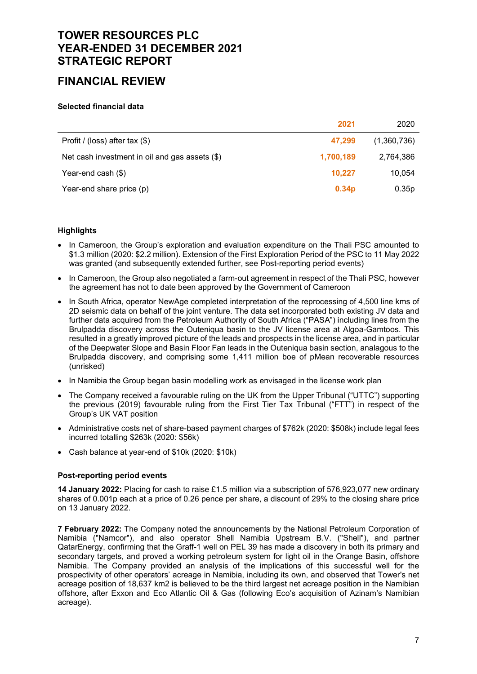### FINANCIAL REVIEW

#### Selected financial data

|                                                  | 2021              | 2020        |
|--------------------------------------------------|-------------------|-------------|
| Profit / (loss) after tax $(\$)$                 | 47,299            | (1,360,736) |
| Net cash investment in oil and gas assets $(\$)$ | 1,700,189         | 2,764,386   |
| Year-end cash (\$)                               | 10,227            | 10,054      |
| Year-end share price (p)                         | 0.34 <sub>p</sub> | 0.35p       |

### **Highlights**

- In Cameroon, the Group's exploration and evaluation expenditure on the Thali PSC amounted to \$1.3 million (2020: \$2.2 million). Extension of the First Exploration Period of the PSC to 11 May 2022 was granted (and subsequently extended further, see Post-reporting period events)
- In Cameroon, the Group also negotiated a farm-out agreement in respect of the Thali PSC, however the agreement has not to date been approved by the Government of Cameroon
- In South Africa, operator NewAge completed interpretation of the reprocessing of 4,500 line kms of 2D seismic data on behalf of the joint venture. The data set incorporated both existing JV data and further data acquired from the Petroleum Authority of South Africa ("PASA") including lines from the Brulpadda discovery across the Outeniqua basin to the JV license area at Algoa-Gamtoos. This resulted in a greatly improved picture of the leads and prospects in the license area, and in particular of the Deepwater Slope and Basin Floor Fan leads in the Outeniqua basin section, analagous to the Brulpadda discovery, and comprising some 1,411 million boe of pMean recoverable resources (unrisked)
- In Namibia the Group began basin modelling work as envisaged in the license work plan
- The Company received a favourable ruling on the UK from the Upper Tribunal ("UTTC") supporting the previous (2019) favourable ruling from the First Tier Tax Tribunal ("FTT") in respect of the Group's UK VAT position
- Administrative costs net of share-based payment charges of \$762k (2020: \$508k) include legal fees incurred totalling \$263k (2020: \$56k)
- Cash balance at year-end of \$10k (2020: \$10k)

### Post-reporting period events

14 January 2022: Placing for cash to raise £1.5 million via a subscription of 576,923,077 new ordinary shares of 0.001p each at a price of 0.26 pence per share, a discount of 29% to the closing share price on 13 January 2022.

7 February 2022: The Company noted the announcements by the National Petroleum Corporation of Namibia ("Namcor"), and also operator Shell Namibia Upstream B.V. ("Shell"), and partner QatarEnergy, confirming that the Graff-1 well on PEL 39 has made a discovery in both its primary and secondary targets, and proved a working petroleum system for light oil in the Orange Basin, offshore Namibia. The Company provided an analysis of the implications of this successful well for the prospectivity of other operators' acreage in Namibia, including its own, and observed that Tower's net acreage position of 18,637 km2 is believed to be the third largest net acreage position in the Namibian offshore, after Exxon and Eco Atlantic Oil & Gas (following Eco's acquisition of Azinam's Namibian acreage).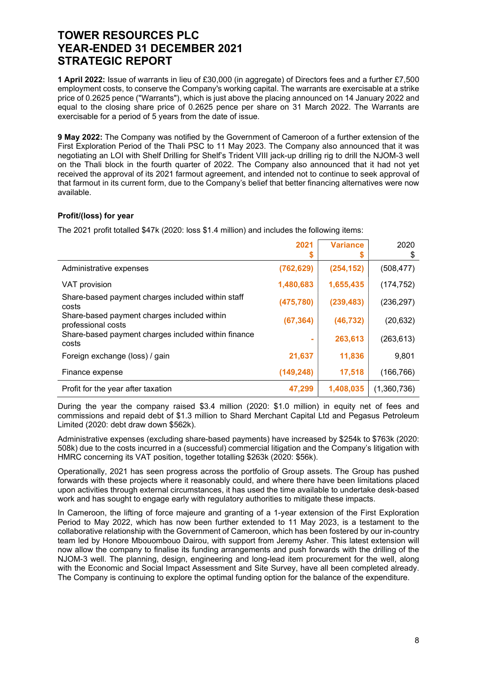1 April 2022: Issue of warrants in lieu of £30,000 (in aggregate) of Directors fees and a further £7,500 employment costs, to conserve the Company's working capital. The warrants are exercisable at a strike price of 0.2625 pence ("Warrants"), which is just above the placing announced on 14 January 2022 and equal to the closing share price of 0.2625 pence per share on 31 March 2022. The Warrants are exercisable for a period of 5 years from the date of issue.

9 May 2022: The Company was notified by the Government of Cameroon of a further extension of the First Exploration Period of the Thali PSC to 11 May 2023. The Company also announced that it was negotiating an LOI with Shelf Drilling for Shelf's Trident VIII jack-up drilling rig to drill the NJOM-3 well on the Thali block in the fourth quarter of 2022. The Company also announced that it had not yet received the approval of its 2021 farmout agreement, and intended not to continue to seek approval of that farmout in its current form, due to the Company's belief that better financing alternatives were now available.

### Profit/(loss) for year

The 2021 profit totalled \$47k (2020: loss \$1.4 million) and includes the following items:

|                                                                   | 2021<br>\$ | <b>Variance</b> | 2020<br>\$  |
|-------------------------------------------------------------------|------------|-----------------|-------------|
| Administrative expenses                                           | (762, 629) | (254, 152)      | (508, 477)  |
| VAT provision                                                     | 1,480,683  | 1,655,435       | (174, 752)  |
| Share-based payment charges included within staff<br>costs        | (475, 780) | (239, 483)      | (236, 297)  |
| Share-based payment charges included within<br>professional costs | (67, 364)  | (46, 732)       | (20, 632)   |
| Share-based payment charges included within finance<br>costs      | $\sim$     | 263,613         | (263, 613)  |
| Foreign exchange (loss) / gain                                    | 21,637     | 11,836          | 9,801       |
| Finance expense                                                   | (149, 248) | 17,518          | (166, 766)  |
| Profit for the year after taxation                                | 47,299     | 1,408,035       | (1,360,736) |

During the year the company raised \$3.4 million (2020: \$1.0 million) in equity net of fees and commissions and repaid debt of \$1.3 million to Shard Merchant Capital Ltd and Pegasus Petroleum Limited (2020: debt draw down \$562k).

Administrative expenses (excluding share-based payments) have increased by \$254k to \$763k (2020: 508k) due to the costs incurred in a (successful) commercial litigation and the Company's litigation with HMRC concerning its VAT position, together totalling \$263k (2020: \$56k).

Operationally, 2021 has seen progress across the portfolio of Group assets. The Group has pushed forwards with these projects where it reasonably could, and where there have been limitations placed upon activities through external circumstances, it has used the time available to undertake desk-based work and has sought to engage early with regulatory authorities to mitigate these impacts.

In Cameroon, the lifting of force majeure and granting of a 1-year extension of the First Exploration Period to May 2022, which has now been further extended to 11 May 2023, is a testament to the collaborative relationship with the Government of Cameroon, which has been fostered by our in-country team led by Honore Mbouombouo Dairou, with support from Jeremy Asher. This latest extension will now allow the company to finalise its funding arrangements and push forwards with the drilling of the NJOM-3 well. The planning, design, engineering and long-lead item procurement for the well, along with the Economic and Social Impact Assessment and Site Survey, have all been completed already. The Company is continuing to explore the optimal funding option for the balance of the expenditure.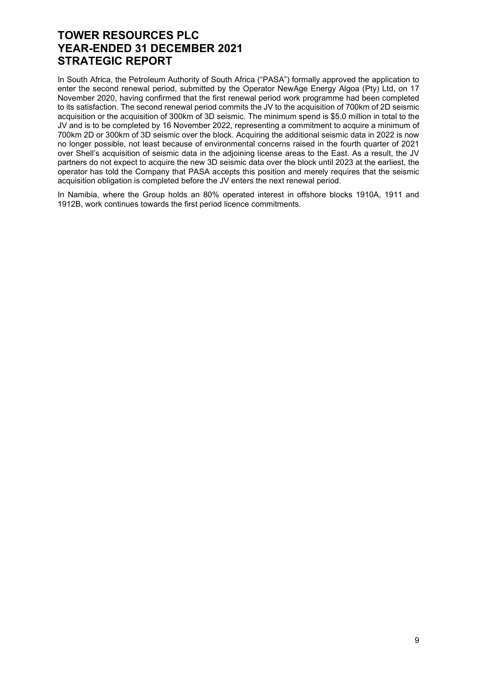In South Africa, the Petroleum Authority of South Africa ("PASA") formally approved the application to enter the second renewal period, submitted by the Operator NewAge Energy Algoa (Pty) Ltd, on 17 November 2020, having confirmed that the first renewal period work programme had been completed to its satisfaction. The second renewal period commits the JV to the acquisition of 700km of 2D seismic acquisition or the acquisition of 300km of 3D seismic. The minimum spend is \$5.0 million in total to the JV and is to be completed by 16 November 2022, representing a commitment to acquire a minimum of 700km 2D or 300km of 3D seismic over the block. Acquiring the additional seismic data in 2022 is now no longer possible, not least because of environmental concerns raised in the fourth quarter of 2021 over Shell's acquisition of seismic data in the adjoining license areas to the East. As a result, the JV partners do not expect to acquire the new 3D seismic data over the block until 2023 at the earliest, the operator has told the Company that PASA accepts this position and merely requires that the seismic acquisition obligation is completed before the JV enters the next renewal period.

In Namibia, where the Group holds an 80% operated interest in offshore blocks 1910A, 1911 and 1912B, work continues towards the first period licence commitments.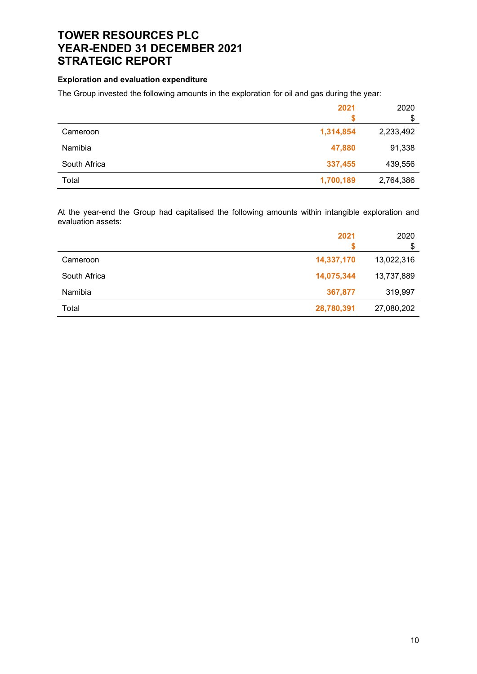### Exploration and evaluation expenditure

The Group invested the following amounts in the exploration for oil and gas during the year:

|              | 2021      | 2020<br>\$ |
|--------------|-----------|------------|
| Cameroon     | 1,314,854 | 2,233,492  |
| Namibia      | 47,880    | 91,338     |
| South Africa | 337,455   | 439,556    |
| Total        | 1,700,189 | 2,764,386  |

At the year-end the Group had capitalised the following amounts within intangible exploration and evaluation assets:

|              | 2021       | 2020<br>S  |
|--------------|------------|------------|
| Cameroon     | 14,337,170 | 13,022,316 |
| South Africa | 14,075,344 | 13,737,889 |
| Namibia      | 367,877    | 319,997    |
| Total        | 28,780,391 | 27,080,202 |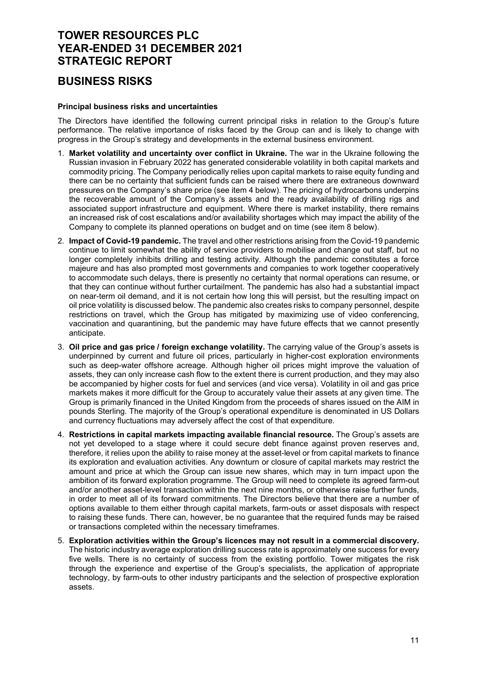### BUSINESS RISKS

#### Principal business risks and uncertainties

The Directors have identified the following current principal risks in relation to the Group's future performance. The relative importance of risks faced by the Group can and is likely to change with progress in the Group's strategy and developments in the external business environment.

- 1. Market volatility and uncertainty over conflict in Ukraine. The war in the Ukraine following the Russian invasion in February 2022 has generated considerable volatility in both capital markets and commodity pricing. The Company periodically relies upon capital markets to raise equity funding and there can be no certainty that sufficient funds can be raised where there are extraneous downward pressures on the Company's share price (see item 4 below). The pricing of hydrocarbons underpins the recoverable amount of the Company's assets and the ready availability of drilling rigs and associated support infrastructure and equipment. Where there is market instability, there remains an increased risk of cost escalations and/or availability shortages which may impact the ability of the Company to complete its planned operations on budget and on time (see item 8 below).
- 2. Impact of Covid-19 pandemic. The travel and other restrictions arising from the Covid-19 pandemic continue to limit somewhat the ability of service providers to mobilise and change out staff, but no longer completely inhibits drilling and testing activity. Although the pandemic constitutes a force majeure and has also prompted most governments and companies to work together cooperatively to accommodate such delays, there is presently no certainty that normal operations can resume, or that they can continue without further curtailment. The pandemic has also had a substantial impact on near-term oil demand, and it is not certain how long this will persist, but the resulting impact on oil price volatility is discussed below. The pandemic also creates risks to company personnel, despite restrictions on travel, which the Group has mitigated by maximizing use of video conferencing, vaccination and quarantining, but the pandemic may have future effects that we cannot presently anticipate.
- 3. Oil price and gas price / foreign exchange volatility. The carrying value of the Group's assets is underpinned by current and future oil prices, particularly in higher-cost exploration environments such as deep-water offshore acreage. Although higher oil prices might improve the valuation of assets, they can only increase cash flow to the extent there is current production, and they may also be accompanied by higher costs for fuel and services (and vice versa). Volatility in oil and gas price markets makes it more difficult for the Group to accurately value their assets at any given time. The Group is primarily financed in the United Kingdom from the proceeds of shares issued on the AIM in pounds Sterling. The majority of the Group's operational expenditure is denominated in US Dollars and currency fluctuations may adversely affect the cost of that expenditure.
- 4. Restrictions in capital markets impacting available financial resource. The Group's assets are not yet developed to a stage where it could secure debt finance against proven reserves and, therefore, it relies upon the ability to raise money at the asset-level or from capital markets to finance its exploration and evaluation activities. Any downturn or closure of capital markets may restrict the amount and price at which the Group can issue new shares, which may in turn impact upon the ambition of its forward exploration programme. The Group will need to complete its agreed farm-out and/or another asset-level transaction within the next nine months, or otherwise raise further funds, in order to meet all of its forward commitments. The Directors believe that there are a number of options available to them either through capital markets, farm-outs or asset disposals with respect to raising these funds. There can, however, be no guarantee that the required funds may be raised or transactions completed within the necessary timeframes.
- 5. Exploration activities within the Group's licences may not result in a commercial discovery. The historic industry average exploration drilling success rate is approximately one success for every five wells. There is no certainty of success from the existing portfolio. Tower mitigates the risk through the experience and expertise of the Group's specialists, the application of appropriate technology, by farm-outs to other industry participants and the selection of prospective exploration assets.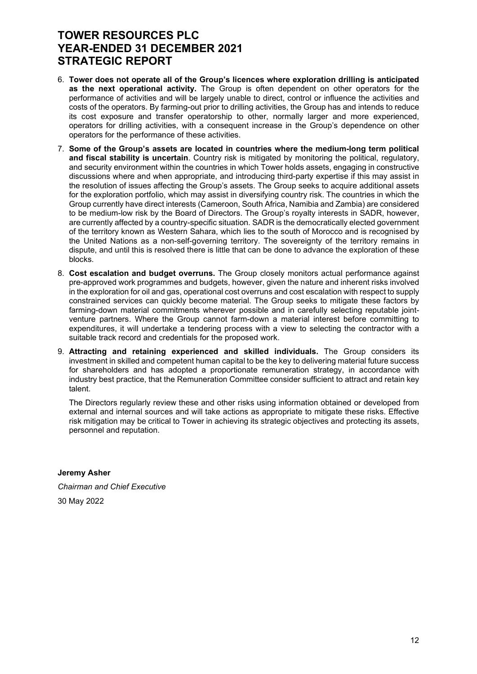- 6. Tower does not operate all of the Group's licences where exploration drilling is anticipated as the next operational activity. The Group is often dependent on other operators for the performance of activities and will be largely unable to direct, control or influence the activities and costs of the operators. By farming-out prior to drilling activities, the Group has and intends to reduce its cost exposure and transfer operatorship to other, normally larger and more experienced, operators for drilling activities, with a consequent increase in the Group's dependence on other operators for the performance of these activities.
- 7. Some of the Group's assets are located in countries where the medium-long term political and fiscal stability is uncertain. Country risk is mitigated by monitoring the political, regulatory, and security environment within the countries in which Tower holds assets, engaging in constructive discussions where and when appropriate, and introducing third-party expertise if this may assist in the resolution of issues affecting the Group's assets. The Group seeks to acquire additional assets for the exploration portfolio, which may assist in diversifying country risk. The countries in which the Group currently have direct interests (Cameroon, South Africa, Namibia and Zambia) are considered to be medium-low risk by the Board of Directors. The Group's royalty interests in SADR, however, are currently affected by a country-specific situation. SADR is the democratically elected government of the territory known as Western Sahara, which lies to the south of Morocco and is recognised by the United Nations as a non-self-governing territory. The sovereignty of the territory remains in dispute, and until this is resolved there is little that can be done to advance the exploration of these blocks.
- 8. Cost escalation and budget overruns. The Group closely monitors actual performance against pre-approved work programmes and budgets, however, given the nature and inherent risks involved in the exploration for oil and gas, operational cost overruns and cost escalation with respect to supply constrained services can quickly become material. The Group seeks to mitigate these factors by farming-down material commitments wherever possible and in carefully selecting reputable jointventure partners. Where the Group cannot farm-down a material interest before committing to expenditures, it will undertake a tendering process with a view to selecting the contractor with a suitable track record and credentials for the proposed work.
- 9. Attracting and retaining experienced and skilled individuals. The Group considers its investment in skilled and competent human capital to be the key to delivering material future success for shareholders and has adopted a proportionate remuneration strategy, in accordance with industry best practice, that the Remuneration Committee consider sufficient to attract and retain key talent.

The Directors regularly review these and other risks using information obtained or developed from external and internal sources and will take actions as appropriate to mitigate these risks. Effective risk mitigation may be critical to Tower in achieving its strategic objectives and protecting its assets, personnel and reputation.

Jeremy Asher Chairman and Chief Executive 30 May 2022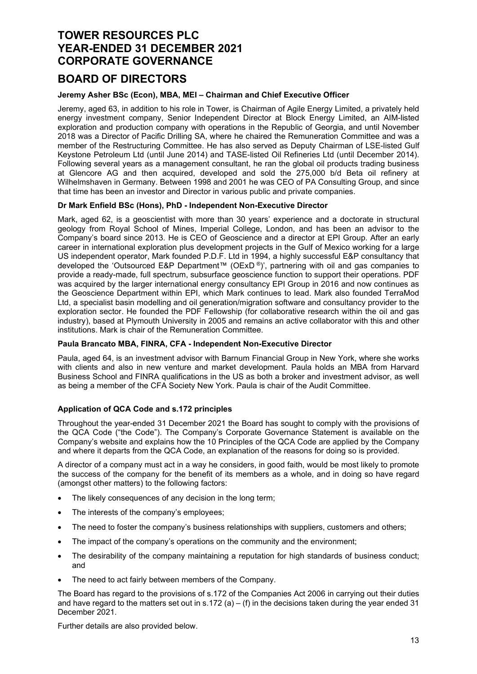### BOARD OF DIRECTORS

### Jeremy Asher BSc (Econ), MBA, MEI – Chairman and Chief Executive Officer

Jeremy, aged 63, in addition to his role in Tower, is Chairman of Agile Energy Limited, a privately held energy investment company, Senior Independent Director at Block Energy Limited, an AIM-listed exploration and production company with operations in the Republic of Georgia, and until November 2018 was a Director of Pacific Drilling SA, where he chaired the Remuneration Committee and was a member of the Restructuring Committee. He has also served as Deputy Chairman of LSE-listed Gulf Keystone Petroleum Ltd (until June 2014) and TASE-listed Oil Refineries Ltd (until December 2014). Following several years as a management consultant, he ran the global oil products trading business at Glencore AG and then acquired, developed and sold the 275,000 b/d Beta oil refinery at Wilhelmshaven in Germany. Between 1998 and 2001 he was CEO of PA Consulting Group, and since that time has been an investor and Director in various public and private companies.

#### Dr Mark Enfield BSc (Hons), PhD - Independent Non-Executive Director

Mark, aged 62, is a geoscientist with more than 30 years' experience and a doctorate in structural geology from Royal School of Mines, Imperial College, London, and has been an advisor to the Company's board since 2013. He is CEO of Geoscience and a director at EPI Group. After an early career in international exploration plus development projects in the Gulf of Mexico working for a large US independent operator, Mark founded P.D.F. Ltd in 1994, a highly successful E&P consultancy that developed the 'Outsourced E&P Department™ (OExD ®)', partnering with oil and gas companies to provide a ready-made, full spectrum, subsurface geoscience function to support their operations. PDF was acquired by the larger international energy consultancy EPI Group in 2016 and now continues as the Geoscience Department within EPI, which Mark continues to lead. Mark also founded TerraMod Ltd, a specialist basin modelling and oil generation/migration software and consultancy provider to the exploration sector. He founded the PDF Fellowship (for collaborative research within the oil and gas industry), based at Plymouth University in 2005 and remains an active collaborator with this and other institutions. Mark is chair of the Remuneration Committee.

#### Paula Brancato MBA, FINRA, CFA - Independent Non-Executive Director

Paula, aged 64, is an investment advisor with Barnum Financial Group in New York, where she works with clients and also in new venture and market development. Paula holds an MBA from Harvard Business School and FINRA qualifications in the US as both a broker and investment advisor, as well as being a member of the CFA Society New York. Paula is chair of the Audit Committee.

#### Application of QCA Code and s.172 principles

Throughout the year-ended 31 December 2021 the Board has sought to comply with the provisions of the QCA Code ("the Code"). The Company's Corporate Governance Statement is available on the Company's website and explains how the 10 Principles of the QCA Code are applied by the Company and where it departs from the QCA Code, an explanation of the reasons for doing so is provided.

A director of a company must act in a way he considers, in good faith, would be most likely to promote the success of the company for the benefit of its members as a whole, and in doing so have regard (amongst other matters) to the following factors:

- The likely consequences of any decision in the long term;
- The interests of the company's employees;
- The need to foster the company's business relationships with suppliers, customers and others;
- The impact of the company's operations on the community and the environment;
- The desirability of the company maintaining a reputation for high standards of business conduct; and
- The need to act fairly between members of the Company.

The Board has regard to the provisions of s.172 of the Companies Act 2006 in carrying out their duties and have regard to the matters set out in s.172 (a) – (f) in the decisions taken during the year ended 31 December 2021.

Further details are also provided below.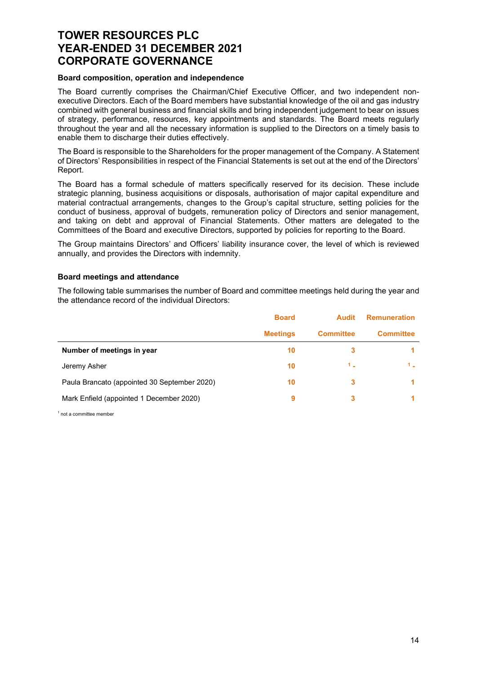#### Board composition, operation and independence

The Board currently comprises the Chairman/Chief Executive Officer, and two independent nonexecutive Directors. Each of the Board members have substantial knowledge of the oil and gas industry combined with general business and financial skills and bring independent judgement to bear on issues of strategy, performance, resources, key appointments and standards. The Board meets regularly throughout the year and all the necessary information is supplied to the Directors on a timely basis to enable them to discharge their duties effectively.

The Board is responsible to the Shareholders for the proper management of the Company. A Statement of Directors' Responsibilities in respect of the Financial Statements is set out at the end of the Directors' Report.

The Board has a formal schedule of matters specifically reserved for its decision. These include strategic planning, business acquisitions or disposals, authorisation of major capital expenditure and material contractual arrangements, changes to the Group's capital structure, setting policies for the conduct of business, approval of budgets, remuneration policy of Directors and senior management, and taking on debt and approval of Financial Statements. Other matters are delegated to the Committees of the Board and executive Directors, supported by policies for reporting to the Board.

The Group maintains Directors' and Officers' liability insurance cover, the level of which is reviewed annually, and provides the Directors with indemnity.

#### Board meetings and attendance

The following table summarises the number of Board and committee meetings held during the year and the attendance record of the individual Directors:

|                                              | <b>Board</b>    | <b>Audit</b>     | <b>Remuneration</b> |
|----------------------------------------------|-----------------|------------------|---------------------|
|                                              | <b>Meetings</b> | <b>Committee</b> | <b>Committee</b>    |
| Number of meetings in year                   | 10              | з                |                     |
| Jeremy Asher                                 | 10              | $1-$             |                     |
| Paula Brancato (appointed 30 September 2020) | 10              | 3                |                     |
| Mark Enfield (appointed 1 December 2020)     | 9               | 3                |                     |

<sup>1</sup> not a committee member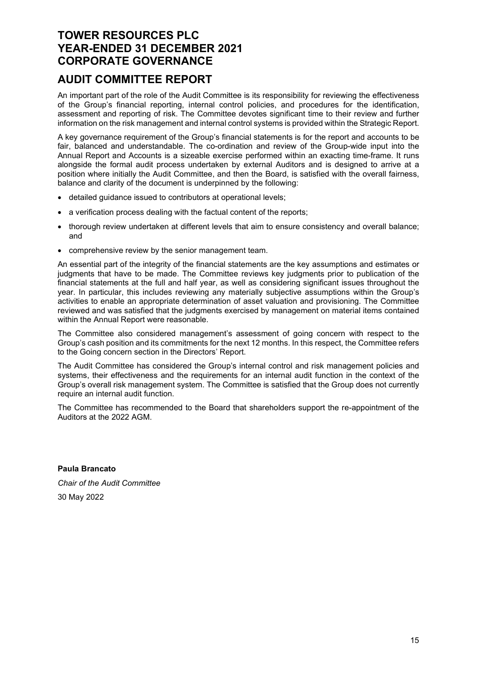### AUDIT COMMITTEE REPORT

An important part of the role of the Audit Committee is its responsibility for reviewing the effectiveness of the Group's financial reporting, internal control policies, and procedures for the identification, assessment and reporting of risk. The Committee devotes significant time to their review and further information on the risk management and internal control systems is provided within the Strategic Report.

A key governance requirement of the Group's financial statements is for the report and accounts to be fair, balanced and understandable. The co-ordination and review of the Group-wide input into the Annual Report and Accounts is a sizeable exercise performed within an exacting time-frame. It runs alongside the formal audit process undertaken by external Auditors and is designed to arrive at a position where initially the Audit Committee, and then the Board, is satisfied with the overall fairness, balance and clarity of the document is underpinned by the following:

- detailed guidance issued to contributors at operational levels;
- a verification process dealing with the factual content of the reports;
- thorough review undertaken at different levels that aim to ensure consistency and overall balance; and
- comprehensive review by the senior management team.

An essential part of the integrity of the financial statements are the key assumptions and estimates or judgments that have to be made. The Committee reviews key judgments prior to publication of the financial statements at the full and half year, as well as considering significant issues throughout the year. In particular, this includes reviewing any materially subjective assumptions within the Group's activities to enable an appropriate determination of asset valuation and provisioning. The Committee reviewed and was satisfied that the judgments exercised by management on material items contained within the Annual Report were reasonable.

The Committee also considered management's assessment of going concern with respect to the Group's cash position and its commitments for the next 12 months. In this respect, the Committee refers to the Going concern section in the Directors' Report.

The Audit Committee has considered the Group's internal control and risk management policies and systems, their effectiveness and the requirements for an internal audit function in the context of the Group's overall risk management system. The Committee is satisfied that the Group does not currently require an internal audit function.

The Committee has recommended to the Board that shareholders support the re-appointment of the Auditors at the 2022 AGM.

Paula Brancato Chair of the Audit Committee 30 May 2022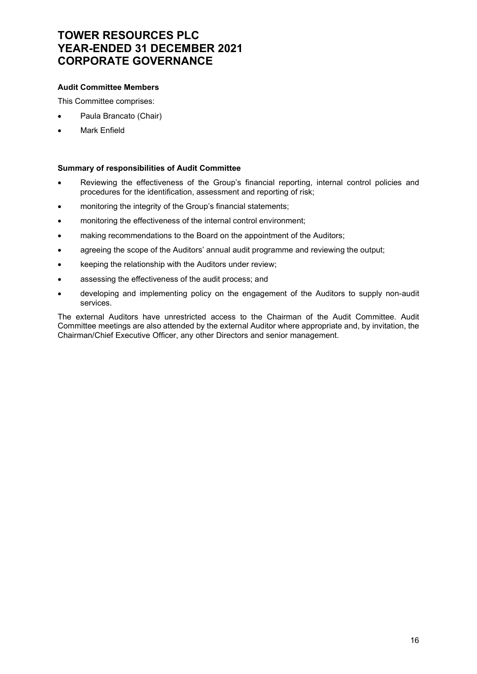### Audit Committee Members

This Committee comprises:

- Paula Brancato (Chair)
- Mark Enfield

#### Summary of responsibilities of Audit Committee

- Reviewing the effectiveness of the Group's financial reporting, internal control policies and procedures for the identification, assessment and reporting of risk;
- monitoring the integrity of the Group's financial statements;
- monitoring the effectiveness of the internal control environment;
- making recommendations to the Board on the appointment of the Auditors;
- agreeing the scope of the Auditors' annual audit programme and reviewing the output;
- keeping the relationship with the Auditors under review;
- assessing the effectiveness of the audit process; and
- developing and implementing policy on the engagement of the Auditors to supply non-audit services.

The external Auditors have unrestricted access to the Chairman of the Audit Committee. Audit Committee meetings are also attended by the external Auditor where appropriate and, by invitation, the Chairman/Chief Executive Officer, any other Directors and senior management.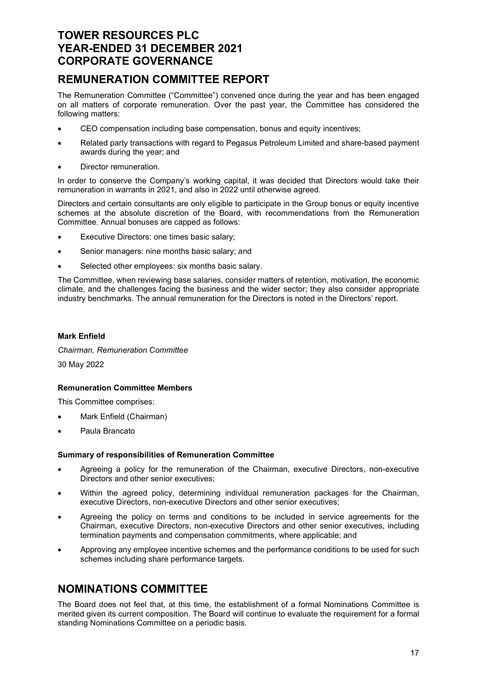# REMUNERATION COMMITTEE REPORT

The Remuneration Committee ("Committee") convened once during the year and has been engaged on all matters of corporate remuneration. Over the past year, the Committee has considered the following matters:

- CEO compensation including base compensation, bonus and equity incentives;
- Related party transactions with regard to Pegasus Petroleum Limited and share-based payment awards during the year; and
- Director remuneration.

In order to conserve the Company's working capital, it was decided that Directors would take their remuneration in warrants in 2021, and also in 2022 until otherwise agreed.

Directors and certain consultants are only eligible to participate in the Group bonus or equity incentive schemes at the absolute discretion of the Board, with recommendations from the Remuneration Committee. Annual bonuses are capped as follows:

- Executive Directors: one times basic salary;
- Senior managers: nine months basic salary; and
- Selected other employees: six months basic salary.

The Committee, when reviewing base salaries, consider matters of retention, motivation, the economic climate, and the challenges facing the business and the wider sector; they also consider appropriate industry benchmarks. The annual remuneration for the Directors is noted in the Directors' report.

### Mark Enfield

Chairman, Remuneration Committee

30 May 2022

### Remuneration Committee Members

This Committee comprises:

- Mark Enfield (Chairman)
- Paula Brancato

#### Summary of responsibilities of Remuneration Committee

- Agreeing a policy for the remuneration of the Chairman, executive Directors, non-executive Directors and other senior executives;
- Within the agreed policy, determining individual remuneration packages for the Chairman, executive Directors, non-executive Directors and other senior executives;
- Agreeing the policy on terms and conditions to be included in service agreements for the Chairman, executive Directors, non-executive Directors and other senior executives, including termination payments and compensation commitments, where applicable; and
- Approving any employee incentive schemes and the performance conditions to be used for such schemes including share performance targets.

# NOMINATIONS COMMITTEE

The Board does not feel that, at this time, the establishment of a formal Nominations Committee is merited given its current composition. The Board will continue to evaluate the requirement for a formal standing Nominations Committee on a periodic basis.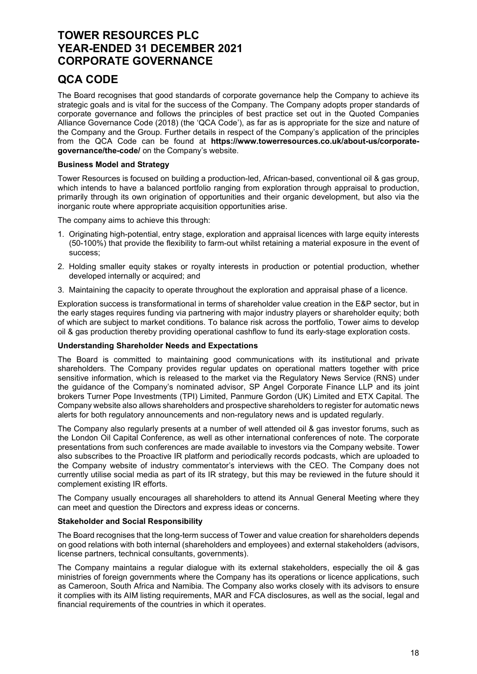### QCA CODE

The Board recognises that good standards of corporate governance help the Company to achieve its strategic goals and is vital for the success of the Company. The Company adopts proper standards of corporate governance and follows the principles of best practice set out in the Quoted Companies Alliance Governance Code (2018) (the 'QCA Code'), as far as is appropriate for the size and nature of the Company and the Group. Further details in respect of the Company's application of the principles from the QCA Code can be found at https://www.towerresources.co.uk/about-us/corporategovernance/the-code/ on the Company's website.

### Business Model and Strategy

Tower Resources is focused on building a production-led, African-based, conventional oil & gas group, which intends to have a balanced portfolio ranging from exploration through appraisal to production, primarily through its own origination of opportunities and their organic development, but also via the inorganic route where appropriate acquisition opportunities arise.

The company aims to achieve this through:

- 1. Originating high-potential, entry stage, exploration and appraisal licences with large equity interests (50-100%) that provide the flexibility to farm-out whilst retaining a material exposure in the event of success;
- 2. Holding smaller equity stakes or royalty interests in production or potential production, whether developed internally or acquired; and
- 3. Maintaining the capacity to operate throughout the exploration and appraisal phase of a licence.

Exploration success is transformational in terms of shareholder value creation in the E&P sector, but in the early stages requires funding via partnering with major industry players or shareholder equity; both of which are subject to market conditions. To balance risk across the portfolio, Tower aims to develop oil & gas production thereby providing operational cashflow to fund its early-stage exploration costs.

#### Understanding Shareholder Needs and Expectations

The Board is committed to maintaining good communications with its institutional and private shareholders. The Company provides regular updates on operational matters together with price sensitive information, which is released to the market via the Regulatory News Service (RNS) under the guidance of the Company's nominated advisor, SP Angel Corporate Finance LLP and its joint brokers Turner Pope Investments (TPI) Limited, Panmure Gordon (UK) Limited and ETX Capital. The Company website also allows shareholders and prospective shareholders to register for automatic news alerts for both regulatory announcements and non-regulatory news and is updated regularly.

The Company also regularly presents at a number of well attended oil & gas investor forums, such as the London Oil Capital Conference, as well as other international conferences of note. The corporate presentations from such conferences are made available to investors via the Company website. Tower also subscribes to the Proactive IR platform and periodically records podcasts, which are uploaded to the Company website of industry commentator's interviews with the CEO. The Company does not currently utilise social media as part of its IR strategy, but this may be reviewed in the future should it complement existing IR efforts.

The Company usually encourages all shareholders to attend its Annual General Meeting where they can meet and question the Directors and express ideas or concerns.

#### Stakeholder and Social Responsibility

The Board recognises that the long-term success of Tower and value creation for shareholders depends on good relations with both internal (shareholders and employees) and external stakeholders (advisors, license partners, technical consultants, governments).

The Company maintains a regular dialogue with its external stakeholders, especially the oil & gas ministries of foreign governments where the Company has its operations or licence applications, such as Cameroon, South Africa and Namibia. The Company also works closely with its advisors to ensure it complies with its AIM listing requirements, MAR and FCA disclosures, as well as the social, legal and financial requirements of the countries in which it operates.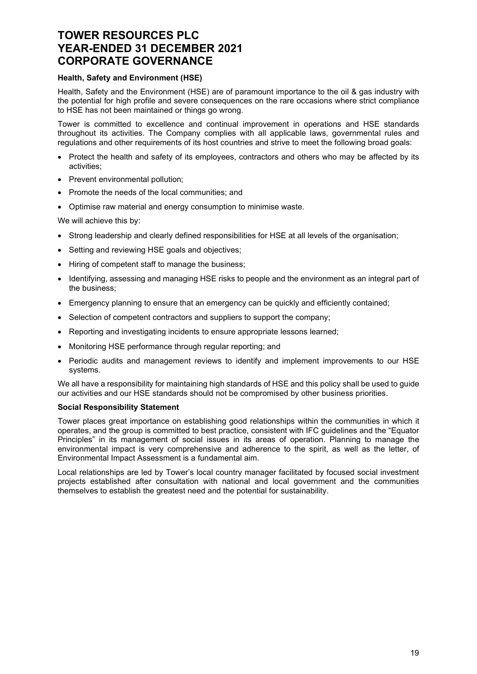#### Health, Safety and Environment (HSE)

Health, Safety and the Environment (HSE) are of paramount importance to the oil & gas industry with the potential for high profile and severe consequences on the rare occasions where strict compliance to HSE has not been maintained or things go wrong.

Tower is committed to excellence and continual improvement in operations and HSE standards throughout its activities. The Company complies with all applicable laws, governmental rules and regulations and other requirements of its host countries and strive to meet the following broad goals:

- Protect the health and safety of its employees, contractors and others who may be affected by its activities;
- Prevent environmental pollution:
- Promote the needs of the local communities; and
- Optimise raw material and energy consumption to minimise waste.

We will achieve this by:

- Strong leadership and clearly defined responsibilities for HSE at all levels of the organisation;
- Setting and reviewing HSE goals and objectives;
- Hiring of competent staff to manage the business:
- Identifying, assessing and managing HSE risks to people and the environment as an integral part of the business;
- Emergency planning to ensure that an emergency can be quickly and efficiently contained;
- Selection of competent contractors and suppliers to support the company;
- Reporting and investigating incidents to ensure appropriate lessons learned;
- Monitoring HSE performance through regular reporting; and
- Periodic audits and management reviews to identify and implement improvements to our HSE systems.

We all have a responsibility for maintaining high standards of HSE and this policy shall be used to guide our activities and our HSE standards should not be compromised by other business priorities.

#### Social Responsibility Statement

Tower places great importance on establishing good relationships within the communities in which it operates, and the group is committed to best practice, consistent with IFC guidelines and the "Equator Principles" in its management of social issues in its areas of operation. Planning to manage the environmental impact is very comprehensive and adherence to the spirit, as well as the letter, of Environmental Impact Assessment is a fundamental aim.

Local relationships are led by Tower's local country manager facilitated by focused social investment projects established after consultation with national and local government and the communities themselves to establish the greatest need and the potential for sustainability.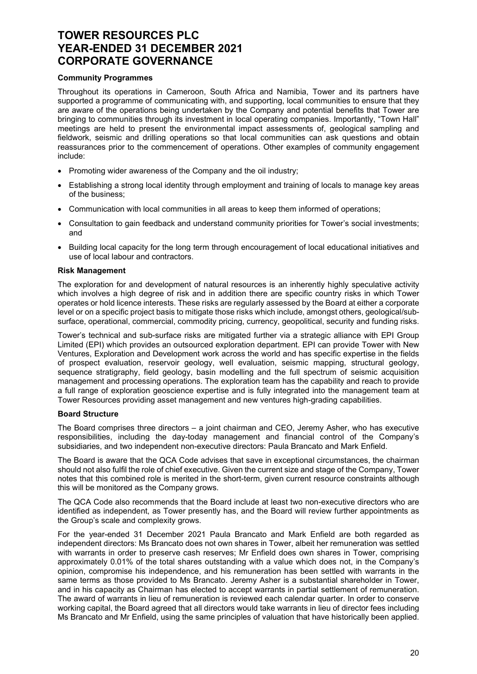#### Community Programmes

Throughout its operations in Cameroon, South Africa and Namibia, Tower and its partners have supported a programme of communicating with, and supporting, local communities to ensure that they are aware of the operations being undertaken by the Company and potential benefits that Tower are bringing to communities through its investment in local operating companies. Importantly, "Town Hall" meetings are held to present the environmental impact assessments of, geological sampling and fieldwork, seismic and drilling operations so that local communities can ask questions and obtain reassurances prior to the commencement of operations. Other examples of community engagement include:

- Promoting wider awareness of the Company and the oil industry;
- Establishing a strong local identity through employment and training of locals to manage key areas of the business;
- Communication with local communities in all areas to keep them informed of operations;
- Consultation to gain feedback and understand community priorities for Tower's social investments; and
- Building local capacity for the long term through encouragement of local educational initiatives and use of local labour and contractors.

#### Risk Management

The exploration for and development of natural resources is an inherently highly speculative activity which involves a high degree of risk and in addition there are specific country risks in which Tower operates or hold licence interests. These risks are regularly assessed by the Board at either a corporate level or on a specific project basis to mitigate those risks which include, amongst others, geological/subsurface, operational, commercial, commodity pricing, currency, geopolitical, security and funding risks.

Tower's technical and sub-surface risks are mitigated further via a strategic alliance with EPI Group Limited (EPI) which provides an outsourced exploration department. EPI can provide Tower with New Ventures, Exploration and Development work across the world and has specific expertise in the fields of prospect evaluation, reservoir geology, well evaluation, seismic mapping, structural geology, sequence stratigraphy, field geology, basin modelling and the full spectrum of seismic acquisition management and processing operations. The exploration team has the capability and reach to provide a full range of exploration geoscience expertise and is fully integrated into the management team at Tower Resources providing asset management and new ventures high-grading capabilities.

#### Board Structure

The Board comprises three directors – a joint chairman and CEO, Jeremy Asher, who has executive responsibilities, including the day-today management and financial control of the Company's subsidiaries, and two independent non-executive directors: Paula Brancato and Mark Enfield.

The Board is aware that the QCA Code advises that save in exceptional circumstances, the chairman should not also fulfil the role of chief executive. Given the current size and stage of the Company, Tower notes that this combined role is merited in the short-term, given current resource constraints although this will be monitored as the Company grows.

The QCA Code also recommends that the Board include at least two non-executive directors who are identified as independent, as Tower presently has, and the Board will review further appointments as the Group's scale and complexity grows.

For the year-ended 31 December 2021 Paula Brancato and Mark Enfield are both regarded as independent directors: Ms Brancato does not own shares in Tower, albeit her remuneration was settled with warrants in order to preserve cash reserves; Mr Enfield does own shares in Tower, comprising approximately 0.01% of the total shares outstanding with a value which does not, in the Company's opinion, compromise his independence, and his remuneration has been settled with warrants in the same terms as those provided to Ms Brancato. Jeremy Asher is a substantial shareholder in Tower, and in his capacity as Chairman has elected to accept warrants in partial settlement of remuneration. The award of warrants in lieu of remuneration is reviewed each calendar quarter. In order to conserve working capital, the Board agreed that all directors would take warrants in lieu of director fees including Ms Brancato and Mr Enfield, using the same principles of valuation that have historically been applied.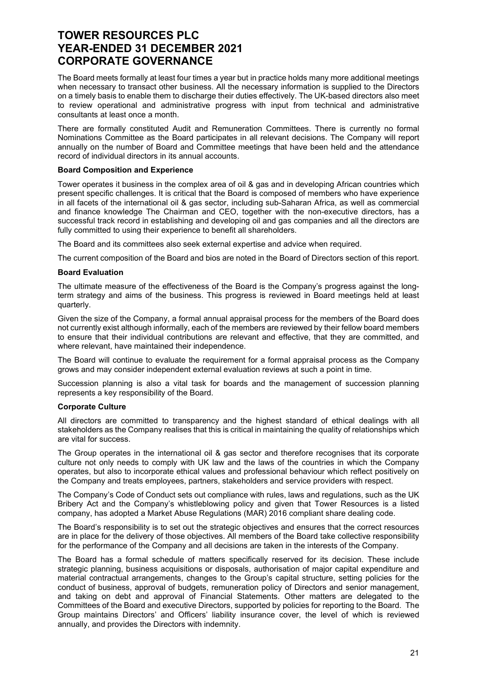The Board meets formally at least four times a year but in practice holds many more additional meetings when necessary to transact other business. All the necessary information is supplied to the Directors on a timely basis to enable them to discharge their duties effectively. The UK-based directors also meet to review operational and administrative progress with input from technical and administrative consultants at least once a month.

There are formally constituted Audit and Remuneration Committees. There is currently no formal Nominations Committee as the Board participates in all relevant decisions. The Company will report annually on the number of Board and Committee meetings that have been held and the attendance record of individual directors in its annual accounts.

#### Board Composition and Experience

Tower operates it business in the complex area of oil & gas and in developing African countries which present specific challenges. It is critical that the Board is composed of members who have experience in all facets of the international oil & gas sector, including sub-Saharan Africa, as well as commercial and finance knowledge The Chairman and CEO, together with the non-executive directors, has a successful track record in establishing and developing oil and gas companies and all the directors are fully committed to using their experience to benefit all shareholders.

The Board and its committees also seek external expertise and advice when required.

The current composition of the Board and bios are noted in the Board of Directors section of this report.

#### Board Evaluation

The ultimate measure of the effectiveness of the Board is the Company's progress against the longterm strategy and aims of the business. This progress is reviewed in Board meetings held at least quarterly.

Given the size of the Company, a formal annual appraisal process for the members of the Board does not currently exist although informally, each of the members are reviewed by their fellow board members to ensure that their individual contributions are relevant and effective, that they are committed, and where relevant, have maintained their independence.

The Board will continue to evaluate the requirement for a formal appraisal process as the Company grows and may consider independent external evaluation reviews at such a point in time.

Succession planning is also a vital task for boards and the management of succession planning represents a key responsibility of the Board.

#### Corporate Culture

All directors are committed to transparency and the highest standard of ethical dealings with all stakeholders as the Company realises that this is critical in maintaining the quality of relationships which are vital for success.

The Group operates in the international oil & gas sector and therefore recognises that its corporate culture not only needs to comply with UK law and the laws of the countries in which the Company operates, but also to incorporate ethical values and professional behaviour which reflect positively on the Company and treats employees, partners, stakeholders and service providers with respect.

The Company's Code of Conduct sets out compliance with rules, laws and regulations, such as the UK Bribery Act and the Company's whistleblowing policy and given that Tower Resources is a listed company, has adopted a Market Abuse Regulations (MAR) 2016 compliant share dealing code.

The Board's responsibility is to set out the strategic objectives and ensures that the correct resources are in place for the delivery of those objectives. All members of the Board take collective responsibility for the performance of the Company and all decisions are taken in the interests of the Company.

The Board has a formal schedule of matters specifically reserved for its decision. These include strategic planning, business acquisitions or disposals, authorisation of major capital expenditure and material contractual arrangements, changes to the Group's capital structure, setting policies for the conduct of business, approval of budgets, remuneration policy of Directors and senior management, and taking on debt and approval of Financial Statements. Other matters are delegated to the Committees of the Board and executive Directors, supported by policies for reporting to the Board. The Group maintains Directors' and Officers' liability insurance cover, the level of which is reviewed annually, and provides the Directors with indemnity.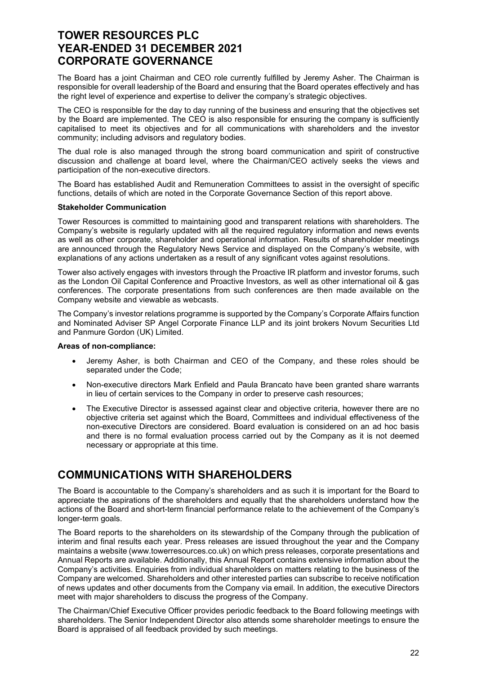The Board has a joint Chairman and CEO role currently fulfilled by Jeremy Asher. The Chairman is responsible for overall leadership of the Board and ensuring that the Board operates effectively and has the right level of experience and expertise to deliver the company's strategic objectives.

The CEO is responsible for the day to day running of the business and ensuring that the objectives set by the Board are implemented. The CEO is also responsible for ensuring the company is sufficiently capitalised to meet its objectives and for all communications with shareholders and the investor community; including advisors and regulatory bodies.

The dual role is also managed through the strong board communication and spirit of constructive discussion and challenge at board level, where the Chairman/CEO actively seeks the views and participation of the non-executive directors.

The Board has established Audit and Remuneration Committees to assist in the oversight of specific functions, details of which are noted in the Corporate Governance Section of this report above.

#### Stakeholder Communication

Tower Resources is committed to maintaining good and transparent relations with shareholders. The Company's website is regularly updated with all the required regulatory information and news events as well as other corporate, shareholder and operational information. Results of shareholder meetings are announced through the Regulatory News Service and displayed on the Company's website, with explanations of any actions undertaken as a result of any significant votes against resolutions.

Tower also actively engages with investors through the Proactive IR platform and investor forums, such as the London Oil Capital Conference and Proactive Investors, as well as other international oil & gas conferences. The corporate presentations from such conferences are then made available on the Company website and viewable as webcasts.

The Company's investor relations programme is supported by the Company's Corporate Affairs function and Nominated Adviser SP Angel Corporate Finance LLP and its joint brokers Novum Securities Ltd and Panmure Gordon (UK) Limited.

#### Areas of non-compliance:

- Jeremy Asher, is both Chairman and CEO of the Company, and these roles should be separated under the Code;
- Non-executive directors Mark Enfield and Paula Brancato have been granted share warrants in lieu of certain services to the Company in order to preserve cash resources;
- The Executive Director is assessed against clear and objective criteria, however there are no objective criteria set against which the Board, Committees and individual effectiveness of the non-executive Directors are considered. Board evaluation is considered on an ad hoc basis and there is no formal evaluation process carried out by the Company as it is not deemed necessary or appropriate at this time.

# COMMUNICATIONS WITH SHAREHOLDERS

The Board is accountable to the Company's shareholders and as such it is important for the Board to appreciate the aspirations of the shareholders and equally that the shareholders understand how the actions of the Board and short-term financial performance relate to the achievement of the Company's longer-term goals.

The Board reports to the shareholders on its stewardship of the Company through the publication of interim and final results each year. Press releases are issued throughout the year and the Company maintains a website (www.towerresources.co.uk) on which press releases, corporate presentations and Annual Reports are available. Additionally, this Annual Report contains extensive information about the Company's activities. Enquiries from individual shareholders on matters relating to the business of the Company are welcomed. Shareholders and other interested parties can subscribe to receive notification of news updates and other documents from the Company via email. In addition, the executive Directors meet with major shareholders to discuss the progress of the Company.

The Chairman/Chief Executive Officer provides periodic feedback to the Board following meetings with shareholders. The Senior Independent Director also attends some shareholder meetings to ensure the Board is appraised of all feedback provided by such meetings.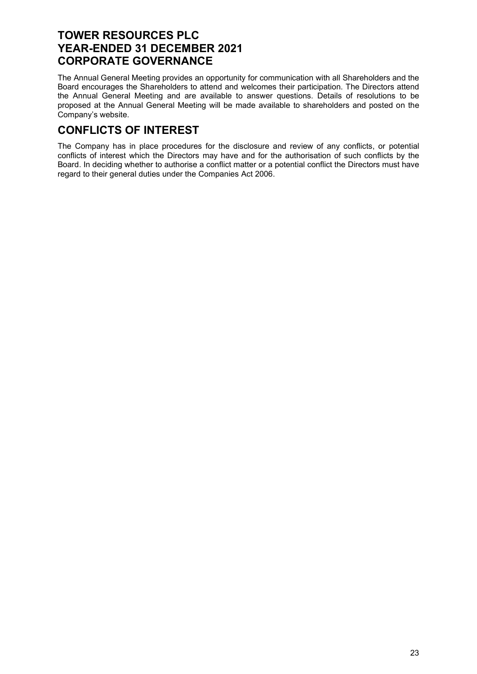The Annual General Meeting provides an opportunity for communication with all Shareholders and the Board encourages the Shareholders to attend and welcomes their participation. The Directors attend the Annual General Meeting and are available to answer questions. Details of resolutions to be proposed at the Annual General Meeting will be made available to shareholders and posted on the Company's website.

# CONFLICTS OF INTEREST

The Company has in place procedures for the disclosure and review of any conflicts, or potential conflicts of interest which the Directors may have and for the authorisation of such conflicts by the Board. In deciding whether to authorise a conflict matter or a potential conflict the Directors must have regard to their general duties under the Companies Act 2006.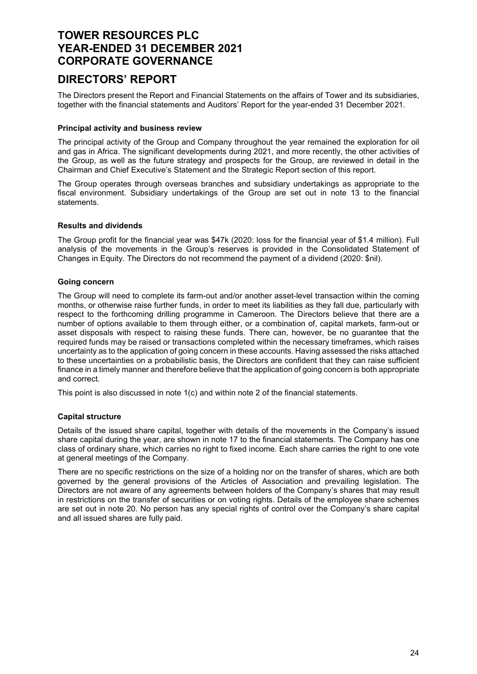### DIRECTORS' REPORT

The Directors present the Report and Financial Statements on the affairs of Tower and its subsidiaries, together with the financial statements and Auditors' Report for the year-ended 31 December 2021.

#### Principal activity and business review

The principal activity of the Group and Company throughout the year remained the exploration for oil and gas in Africa. The significant developments during 2021, and more recently, the other activities of the Group, as well as the future strategy and prospects for the Group, are reviewed in detail in the Chairman and Chief Executive's Statement and the Strategic Report section of this report.

The Group operates through overseas branches and subsidiary undertakings as appropriate to the fiscal environment. Subsidiary undertakings of the Group are set out in note 13 to the financial statements.

### Results and dividends

The Group profit for the financial year was \$47k (2020: loss for the financial year of \$1.4 million). Full analysis of the movements in the Group's reserves is provided in the Consolidated Statement of Changes in Equity. The Directors do not recommend the payment of a dividend (2020: \$nil).

### Going concern

The Group will need to complete its farm-out and/or another asset-level transaction within the coming months, or otherwise raise further funds, in order to meet its liabilities as they fall due, particularly with respect to the forthcoming drilling programme in Cameroon. The Directors believe that there are a number of options available to them through either, or a combination of, capital markets, farm-out or asset disposals with respect to raising these funds. There can, however, be no guarantee that the required funds may be raised or transactions completed within the necessary timeframes, which raises uncertainty as to the application of going concern in these accounts. Having assessed the risks attached to these uncertainties on a probabilistic basis, the Directors are confident that they can raise sufficient finance in a timely manner and therefore believe that the application of going concern is both appropriate and correct.

This point is also discussed in note 1(c) and within note 2 of the financial statements.

### Capital structure

Details of the issued share capital, together with details of the movements in the Company's issued share capital during the year, are shown in note 17 to the financial statements. The Company has one class of ordinary share, which carries no right to fixed income. Each share carries the right to one vote at general meetings of the Company.

There are no specific restrictions on the size of a holding nor on the transfer of shares, which are both governed by the general provisions of the Articles of Association and prevailing legislation. The Directors are not aware of any agreements between holders of the Company's shares that may result in restrictions on the transfer of securities or on voting rights. Details of the employee share schemes are set out in note 20. No person has any special rights of control over the Company's share capital and all issued shares are fully paid.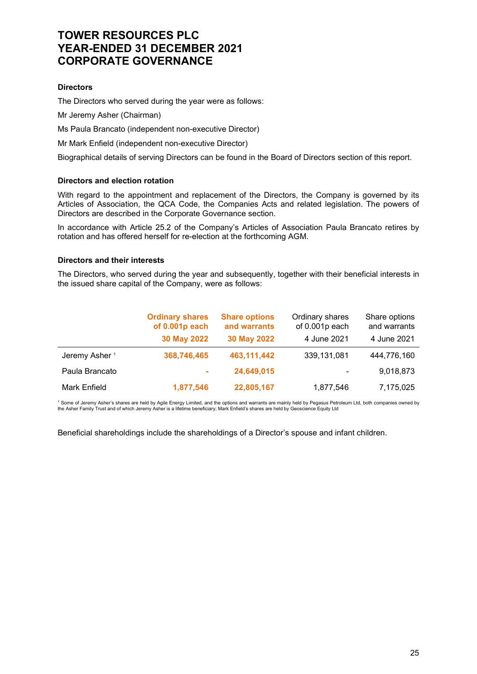### **Directors**

The Directors who served during the year were as follows:

Mr Jeremy Asher (Chairman)

Ms Paula Brancato (independent non-executive Director)

Mr Mark Enfield (independent non-executive Director)

Biographical details of serving Directors can be found in the Board of Directors section of this report.

#### Directors and election rotation

With regard to the appointment and replacement of the Directors, the Company is governed by its Articles of Association, the QCA Code, the Companies Acts and related legislation. The powers of Directors are described in the Corporate Governance section.

In accordance with Article 25.2 of the Company's Articles of Association Paula Brancato retires by rotation and has offered herself for re-election at the forthcoming AGM.

#### Directors and their interests

The Directors, who served during the year and subsequently, together with their beneficial interests in the issued share capital of the Company, were as follows:

|                           | <b>Ordinary shares</b><br>of 0.001p each | <b>Share options</b><br>and warrants | Ordinary shares<br>of 0.001p each | Share options<br>and warrants |
|---------------------------|------------------------------------------|--------------------------------------|-----------------------------------|-------------------------------|
|                           | 30 May 2022                              | 30 May 2022                          | 4 June 2021                       | 4 June 2021                   |
| Jeremy Asher <sup>1</sup> | 368,746,465                              | 463,111,442                          | 339,131,081                       | 444,776,160                   |
| Paula Brancato            | ÷                                        | 24,649,015                           | ۰                                 | 9,018,873                     |
| Mark Enfield              | 1,877,546                                | 22,805,167                           | 1,877,546                         | 7,175,025                     |

<sup>1</sup> Some of Jeremy Asher's shares are held by Agile Energy Limited, and the options and warrants are mainly held by Pegasus Petroleum Ltd, both companies owned by the Asher Family Trust and of which Jeremy Asher is a lifetime beneficiary; Mark Enfield's shares are held by Geoscience Equity Ltd

Beneficial shareholdings include the shareholdings of a Director's spouse and infant children.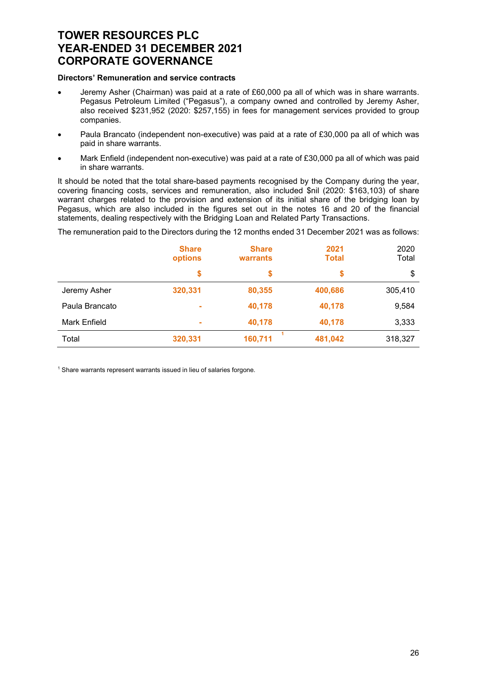#### Directors' Remuneration and service contracts

- Jeremy Asher (Chairman) was paid at a rate of £60,000 pa all of which was in share warrants. Pegasus Petroleum Limited ("Pegasus"), a company owned and controlled by Jeremy Asher, also received \$231,952 (2020: \$257,155) in fees for management services provided to group companies.
- Paula Brancato (independent non-executive) was paid at a rate of £30,000 pa all of which was paid in share warrants.
- Mark Enfield (independent non-executive) was paid at a rate of £30,000 pa all of which was paid in share warrants.

It should be noted that the total share-based payments recognised by the Company during the year, covering financing costs, services and remuneration, also included \$nil (2020: \$163,103) of share warrant charges related to the provision and extension of its initial share of the bridging loan by Pegasus, which are also included in the figures set out in the notes 16 and 20 of the financial statements, dealing respectively with the Bridging Loan and Related Party Transactions.

The remuneration paid to the Directors during the 12 months ended 31 December 2021 was as follows:

|                | <b>Share</b><br>options | <b>Share</b><br>warrants | 2021<br><b>Total</b> | 2020<br>Total |
|----------------|-------------------------|--------------------------|----------------------|---------------|
|                | \$                      | \$                       | \$                   | \$            |
| Jeremy Asher   | 320,331                 | 80,355                   | 400,686              | 305,410       |
| Paula Brancato | $\sim$                  | 40,178                   | 40,178               | 9,584         |
| Mark Enfield   | $\sim$                  | 40,178                   | 40,178               | 3,333         |
| Total          | 320,331                 | 160,711                  | 481,042              | 318,327       |

<sup>1</sup> Share warrants represent warrants issued in lieu of salaries forgone.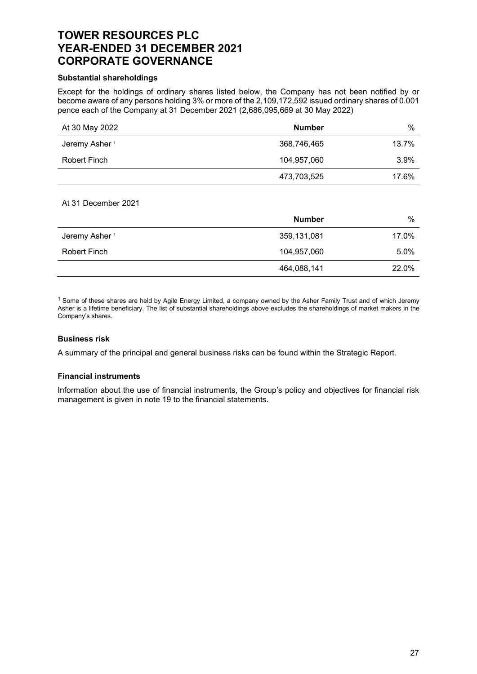#### Substantial shareholdings

Except for the holdings of ordinary shares listed below, the Company has not been notified by or become aware of any persons holding 3% or more of the 2,109,172,592 issued ordinary shares of 0.001 pence each of the Company at 31 December 2021 (2,686,095,669 at 30 May 2022)

| At 30 May 2022            | <b>Number</b> | $\%$  |
|---------------------------|---------------|-------|
| Jeremy Asher <sup>1</sup> | 368,746,465   | 13.7% |
| Robert Finch              | 104,957,060   | 3.9%  |
|                           | 473,703,525   | 17.6% |

#### At 31 December 2021

|                           | <b>Number</b> | %     |
|---------------------------|---------------|-------|
| Jeremy Asher <sup>1</sup> | 359,131,081   | 17.0% |
| Robert Finch              | 104,957,060   | 5.0%  |
|                           | 464,088,141   | 22.0% |

 $1$  Some of these shares are held by Agile Energy Limited, a company owned by the Asher Family Trust and of which Jeremy Asher is a lifetime beneficiary. The list of substantial shareholdings above excludes the shareholdings of market makers in the Company's shares.

#### Business risk

A summary of the principal and general business risks can be found within the Strategic Report.

#### Financial instruments

Information about the use of financial instruments, the Group's policy and objectives for financial risk management is given in note 19 to the financial statements.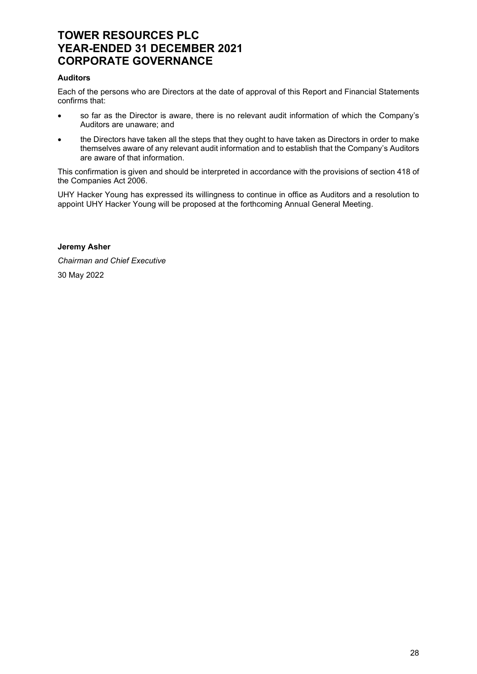#### Auditors

Each of the persons who are Directors at the date of approval of this Report and Financial Statements confirms that:

- so far as the Director is aware, there is no relevant audit information of which the Company's Auditors are unaware; and
- the Directors have taken all the steps that they ought to have taken as Directors in order to make themselves aware of any relevant audit information and to establish that the Company's Auditors are aware of that information.

This confirmation is given and should be interpreted in accordance with the provisions of section 418 of the Companies Act 2006.

UHY Hacker Young has expressed its willingness to continue in office as Auditors and a resolution to appoint UHY Hacker Young will be proposed at the forthcoming Annual General Meeting.

#### Jeremy Asher

Chairman and Chief Executive 30 May 2022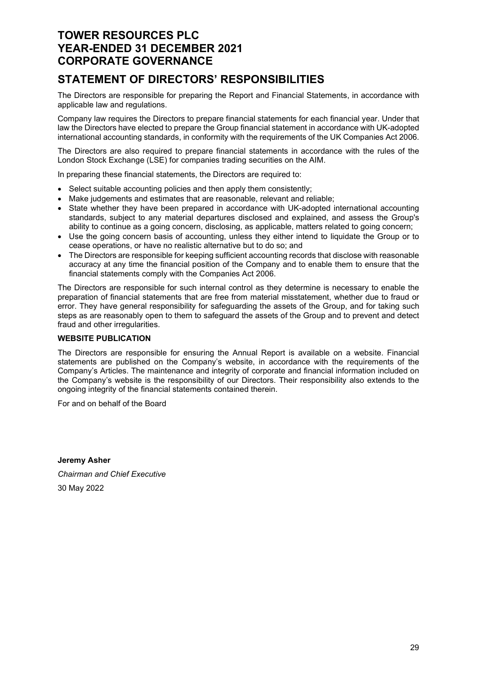# STATEMENT OF DIRECTORS' RESPONSIBILITIES

The Directors are responsible for preparing the Report and Financial Statements, in accordance with applicable law and regulations.

Company law requires the Directors to prepare financial statements for each financial year. Under that law the Directors have elected to prepare the Group financial statement in accordance with UK-adopted international accounting standards, in conformity with the requirements of the UK Companies Act 2006.

The Directors are also required to prepare financial statements in accordance with the rules of the London Stock Exchange (LSE) for companies trading securities on the AIM.

In preparing these financial statements, the Directors are required to:

- Select suitable accounting policies and then apply them consistently:
- Make judgements and estimates that are reasonable, relevant and reliable;
- State whether they have been prepared in accordance with UK-adopted international accounting standards, subject to any material departures disclosed and explained, and assess the Group's ability to continue as a going concern, disclosing, as applicable, matters related to going concern;
- Use the going concern basis of accounting, unless they either intend to liquidate the Group or to cease operations, or have no realistic alternative but to do so; and
- The Directors are responsible for keeping sufficient accounting records that disclose with reasonable accuracy at any time the financial position of the Company and to enable them to ensure that the financial statements comply with the Companies Act 2006.

The Directors are responsible for such internal control as they determine is necessary to enable the preparation of financial statements that are free from material misstatement, whether due to fraud or error. They have general responsibility for safeguarding the assets of the Group, and for taking such steps as are reasonably open to them to safeguard the assets of the Group and to prevent and detect fraud and other irregularities.

#### WEBSITE PUBLICATION

The Directors are responsible for ensuring the Annual Report is available on a website. Financial statements are published on the Company's website, in accordance with the requirements of the Company's Articles. The maintenance and integrity of corporate and financial information included on the Company's website is the responsibility of our Directors. Their responsibility also extends to the ongoing integrity of the financial statements contained therein.

For and on behalf of the Board

Jeremy Asher Chairman and Chief Executive 30 May 2022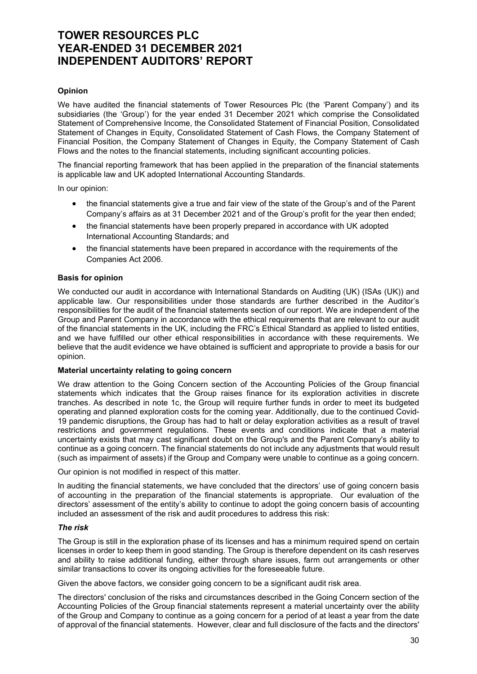#### Opinion

We have audited the financial statements of Tower Resources Plc (the 'Parent Company') and its subsidiaries (the 'Group') for the year ended 31 December 2021 which comprise the Consolidated Statement of Comprehensive Income, the Consolidated Statement of Financial Position, Consolidated Statement of Changes in Equity, Consolidated Statement of Cash Flows, the Company Statement of Financial Position, the Company Statement of Changes in Equity, the Company Statement of Cash Flows and the notes to the financial statements, including significant accounting policies.

The financial reporting framework that has been applied in the preparation of the financial statements is applicable law and UK adopted International Accounting Standards.

In our opinion:

- the financial statements give a true and fair view of the state of the Group's and of the Parent Company's affairs as at 31 December 2021 and of the Group's profit for the year then ended;
- the financial statements have been properly prepared in accordance with UK adopted International Accounting Standards; and
- the financial statements have been prepared in accordance with the requirements of the Companies Act 2006.

#### Basis for opinion

We conducted our audit in accordance with International Standards on Auditing (UK) (ISAs (UK)) and applicable law. Our responsibilities under those standards are further described in the Auditor's responsibilities for the audit of the financial statements section of our report. We are independent of the Group and Parent Company in accordance with the ethical requirements that are relevant to our audit of the financial statements in the UK, including the FRC's Ethical Standard as applied to listed entities, and we have fulfilled our other ethical responsibilities in accordance with these requirements. We believe that the audit evidence we have obtained is sufficient and appropriate to provide a basis for our opinion.

#### Material uncertainty relating to going concern

We draw attention to the Going Concern section of the Accounting Policies of the Group financial statements which indicates that the Group raises finance for its exploration activities in discrete tranches. As described in note 1c, the Group will require further funds in order to meet its budgeted operating and planned exploration costs for the coming year. Additionally, due to the continued Covid-19 pandemic disruptions, the Group has had to halt or delay exploration activities as a result of travel restrictions and government regulations. These events and conditions indicate that a material uncertainty exists that may cast significant doubt on the Group's and the Parent Company's ability to continue as a going concern. The financial statements do not include any adjustments that would result (such as impairment of assets) if the Group and Company were unable to continue as a going concern.

Our opinion is not modified in respect of this matter.

In auditing the financial statements, we have concluded that the directors' use of going concern basis of accounting in the preparation of the financial statements is appropriate. Our evaluation of the directors' assessment of the entity's ability to continue to adopt the going concern basis of accounting included an assessment of the risk and audit procedures to address this risk:

#### The risk

The Group is still in the exploration phase of its licenses and has a minimum required spend on certain licenses in order to keep them in good standing. The Group is therefore dependent on its cash reserves and ability to raise additional funding, either through share issues, farm out arrangements or other similar transactions to cover its ongoing activities for the foreseeable future.

Given the above factors, we consider going concern to be a significant audit risk area.

The directors' conclusion of the risks and circumstances described in the Going Concern section of the Accounting Policies of the Group financial statements represent a material uncertainty over the ability of the Group and Company to continue as a going concern for a period of at least a year from the date of approval of the financial statements. However, clear and full disclosure of the facts and the directors'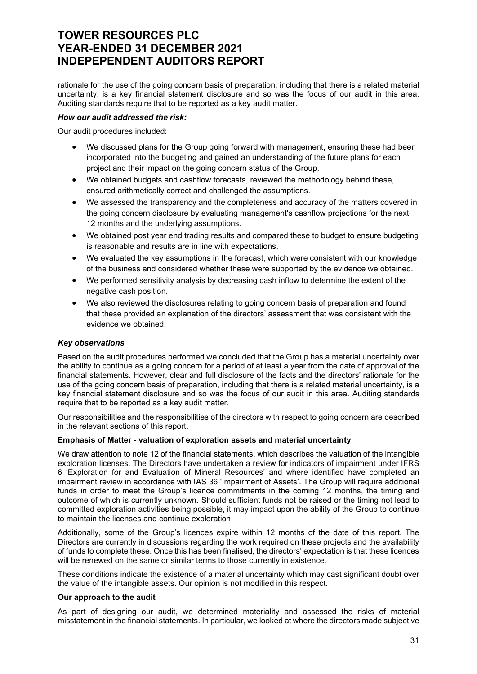rationale for the use of the going concern basis of preparation, including that there is a related material uncertainty, is a key financial statement disclosure and so was the focus of our audit in this area. Auditing standards require that to be reported as a key audit matter.

#### How our audit addressed the risk:

Our audit procedures included:

- We discussed plans for the Group going forward with management, ensuring these had been incorporated into the budgeting and gained an understanding of the future plans for each project and their impact on the going concern status of the Group.
- We obtained budgets and cashflow forecasts, reviewed the methodology behind these, ensured arithmetically correct and challenged the assumptions.
- We assessed the transparency and the completeness and accuracy of the matters covered in the going concern disclosure by evaluating management's cashflow projections for the next 12 months and the underlying assumptions.
- We obtained post year end trading results and compared these to budget to ensure budgeting is reasonable and results are in line with expectations.
- We evaluated the key assumptions in the forecast, which were consistent with our knowledge of the business and considered whether these were supported by the evidence we obtained.
- We performed sensitivity analysis by decreasing cash inflow to determine the extent of the negative cash position.
- We also reviewed the disclosures relating to going concern basis of preparation and found that these provided an explanation of the directors' assessment that was consistent with the evidence we obtained.

#### Key observations

Based on the audit procedures performed we concluded that the Group has a material uncertainty over the ability to continue as a going concern for a period of at least a year from the date of approval of the financial statements. However, clear and full disclosure of the facts and the directors' rationale for the use of the going concern basis of preparation, including that there is a related material uncertainty, is a key financial statement disclosure and so was the focus of our audit in this area. Auditing standards require that to be reported as a key audit matter.

Our responsibilities and the responsibilities of the directors with respect to going concern are described in the relevant sections of this report.

#### Emphasis of Matter - valuation of exploration assets and material uncertainty

We draw attention to note 12 of the financial statements, which describes the valuation of the intangible exploration licenses. The Directors have undertaken a review for indicators of impairment under IFRS 6 'Exploration for and Evaluation of Mineral Resources' and where identified have completed an impairment review in accordance with IAS 36 'Impairment of Assets'. The Group will require additional funds in order to meet the Group's licence commitments in the coming 12 months, the timing and outcome of which is currently unknown. Should sufficient funds not be raised or the timing not lead to committed exploration activities being possible, it may impact upon the ability of the Group to continue to maintain the licenses and continue exploration.

Additionally, some of the Group's licences expire within 12 months of the date of this report. The Directors are currently in discussions regarding the work required on these projects and the availability of funds to complete these. Once this has been finalised, the directors' expectation is that these licences will be renewed on the same or similar terms to those currently in existence.

These conditions indicate the existence of a material uncertainty which may cast significant doubt over the value of the intangible assets. Our opinion is not modified in this respect.

#### Our approach to the audit

As part of designing our audit, we determined materiality and assessed the risks of material misstatement in the financial statements. In particular, we looked at where the directors made subjective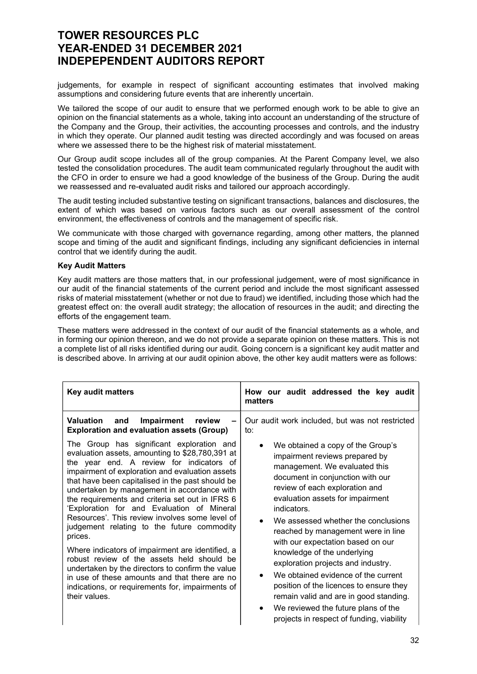judgements, for example in respect of significant accounting estimates that involved making assumptions and considering future events that are inherently uncertain.

We tailored the scope of our audit to ensure that we performed enough work to be able to give an opinion on the financial statements as a whole, taking into account an understanding of the structure of the Company and the Group, their activities, the accounting processes and controls, and the industry in which they operate. Our planned audit testing was directed accordingly and was focused on areas where we assessed there to be the highest risk of material misstatement.

Our Group audit scope includes all of the group companies. At the Parent Company level, we also tested the consolidation procedures. The audit team communicated regularly throughout the audit with the CFO in order to ensure we had a good knowledge of the business of the Group. During the audit we reassessed and re-evaluated audit risks and tailored our approach accordingly.

The audit testing included substantive testing on significant transactions, balances and disclosures, the extent of which was based on various factors such as our overall assessment of the control environment, the effectiveness of controls and the management of specific risk.

We communicate with those charged with governance regarding, among other matters, the planned scope and timing of the audit and significant findings, including any significant deficiencies in internal control that we identify during the audit.

#### Key Audit Matters

Key audit matters are those matters that, in our professional judgement, were of most significance in our audit of the financial statements of the current period and include the most significant assessed risks of material misstatement (whether or not due to fraud) we identified, including those which had the greatest effect on: the overall audit strategy; the allocation of resources in the audit; and directing the efforts of the engagement team.

These matters were addressed in the context of our audit of the financial statements as a whole, and in forming our opinion thereon, and we do not provide a separate opinion on these matters. This is not a complete list of all risks identified during our audit. Going concern is a significant key audit matter and is described above. In arriving at our audit opinion above, the other key audit matters were as follows:

| <b>Key audit matters</b>                                                                                                                                                                                                                                                                                                                                                                                                                                                                                                                                                                                                                                                                                                                                                                                                                                                               | How our audit addressed the key audit<br>matters                                                                                                                                                                                                                                                                                                                                                                                                                                                                                                                                                                                                                                                    |
|----------------------------------------------------------------------------------------------------------------------------------------------------------------------------------------------------------------------------------------------------------------------------------------------------------------------------------------------------------------------------------------------------------------------------------------------------------------------------------------------------------------------------------------------------------------------------------------------------------------------------------------------------------------------------------------------------------------------------------------------------------------------------------------------------------------------------------------------------------------------------------------|-----------------------------------------------------------------------------------------------------------------------------------------------------------------------------------------------------------------------------------------------------------------------------------------------------------------------------------------------------------------------------------------------------------------------------------------------------------------------------------------------------------------------------------------------------------------------------------------------------------------------------------------------------------------------------------------------------|
| Valuation<br>and<br>Impairment<br>review<br><b>Exploration and evaluation assets (Group)</b><br>The Group has significant exploration and<br>evaluation assets, amounting to \$28,780,391 at<br>the year end. A review for indicators of<br>impairment of exploration and evaluation assets<br>that have been capitalised in the past should be<br>undertaken by management in accordance with<br>the requirements and criteria set out in IFRS 6<br>'Exploration for and Evaluation of Mineral<br>Resources'. This review involves some level of<br>judgement relating to the future commodity<br>prices.<br>Where indicators of impairment are identified, a<br>robust review of the assets held should be<br>undertaken by the directors to confirm the value<br>in use of these amounts and that there are no<br>indications, or requirements for, impairments of<br>their values. | Our audit work included, but was not restricted<br>to:<br>We obtained a copy of the Group's<br>impairment reviews prepared by<br>management. We evaluated this<br>document in conjunction with our<br>review of each exploration and<br>evaluation assets for impairment<br>indicators.<br>We assessed whether the conclusions<br>reached by management were in line<br>with our expectation based on our<br>knowledge of the underlying<br>exploration projects and industry.<br>We obtained evidence of the current<br>position of the licences to ensure they<br>remain valid and are in good standing.<br>We reviewed the future plans of the<br>٠<br>projects in respect of funding, viability |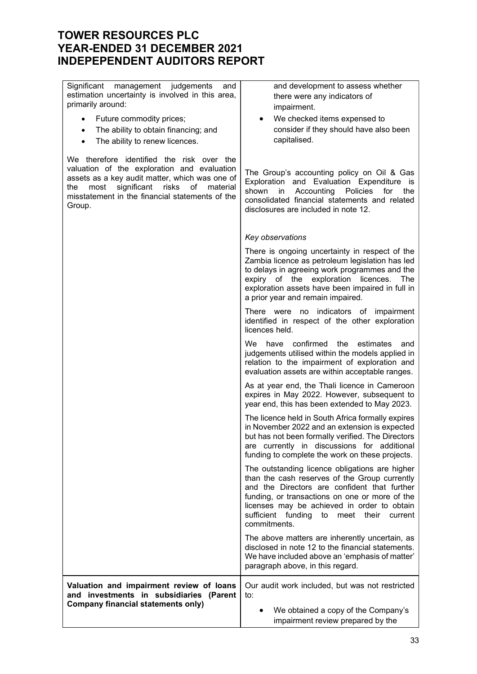Significant management judgements and estimation uncertainty is involved in this area, primarily around:

- Future commodity prices;
- The ability to obtain financing; and
- The ability to renew licences.

We therefore identified the risk over the valuation of the exploration and evaluation assets as a key audit matter, which was one of the most significant risks of material misstatement in the financial statements of the Group.

and development to assess whether there were any indicators of impairment.

 We checked items expensed to consider if they should have also been capitalised.

The Group's accounting policy on Oil & Gas Exploration and Evaluation Expenditure is shown in Accounting Policies for the consolidated financial statements and related disclosures are included in note 12.

|                                                                                                                                  | Key observations                                                                                                                                                                                                                                                                                                      |
|----------------------------------------------------------------------------------------------------------------------------------|-----------------------------------------------------------------------------------------------------------------------------------------------------------------------------------------------------------------------------------------------------------------------------------------------------------------------|
|                                                                                                                                  | There is ongoing uncertainty in respect of the<br>Zambia licence as petroleum legislation has led<br>to delays in agreeing work programmes and the<br>expiry of the exploration<br>licences.<br>The<br>exploration assets have been impaired in full in<br>a prior year and remain impaired.                          |
|                                                                                                                                  | There were no indicators of impairment<br>identified in respect of the other exploration<br>licences held.                                                                                                                                                                                                            |
|                                                                                                                                  | We.<br>confirmed<br>have<br>the<br>estimates<br>and<br>judgements utilised within the models applied in<br>relation to the impairment of exploration and<br>evaluation assets are within acceptable ranges.                                                                                                           |
|                                                                                                                                  | As at year end, the Thali licence in Cameroon<br>expires in May 2022. However, subsequent to<br>year end, this has been extended to May 2023.                                                                                                                                                                         |
|                                                                                                                                  | The licence held in South Africa formally expires<br>in November 2022 and an extension is expected<br>but has not been formally verified. The Directors<br>are currently in discussions for additional<br>funding to complete the work on these projects.                                                             |
|                                                                                                                                  | The outstanding licence obligations are higher<br>than the cash reserves of the Group currently<br>and the Directors are confident that further<br>funding, or transactions on one or more of the<br>licenses may be achieved in order to obtain<br>sufficient funding<br>to<br>meet their<br>current<br>commitments. |
|                                                                                                                                  | The above matters are inherently uncertain, as<br>disclosed in note 12 to the financial statements.<br>We have included above an 'emphasis of matter'<br>paragraph above, in this regard.                                                                                                                             |
| Valuation and impairment review of loans<br>and investments in subsidiaries (Parent<br><b>Company financial statements only)</b> | Our audit work included, but was not restricted<br>to:<br>We obtained a copy of the Company's<br>impairment review prepared by the                                                                                                                                                                                    |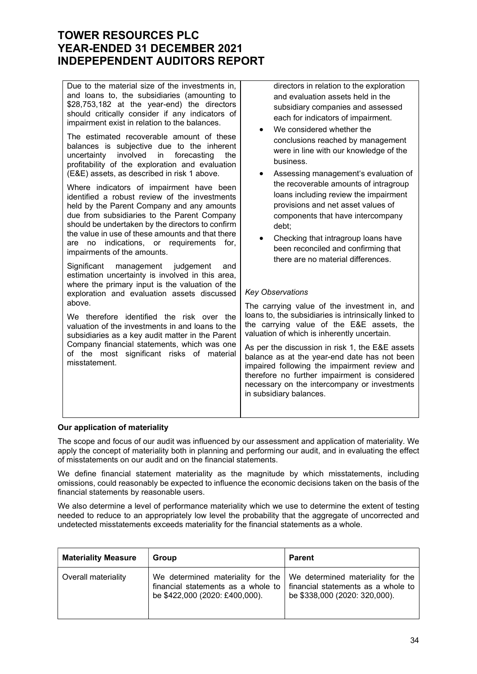| Due to the material size of the investments in,<br>and loans to, the subsidiaries (amounting to<br>\$28,753,182 at the year-end) the directors<br>should critically consider if any indicators of<br>impairment exist in relation to the balances.<br>The estimated recoverable amount of these<br>balances is subjective due to the inherent<br>involved<br>uncertainty<br>in<br>forecasting<br>the<br>profitability of the exploration and evaluation<br>(E&E) assets, as described in risk 1 above.<br>Where indicators of impairment have been<br>identified a robust review of the investments<br>held by the Parent Company and any amounts<br>due from subsidiaries to the Parent Company<br>should be undertaken by the directors to confirm<br>the value in use of these amounts and that there<br>indications, or requirements<br>for.<br>no<br>are<br>impairments of the amounts.<br>Significant<br>management<br>judgement<br>and<br>estimation uncertainty is involved in this area,<br>where the primary input is the valuation of the<br>exploration and evaluation assets discussed<br>above.<br>We therefore identified the risk over the<br>valuation of the investments in and loans to the<br>subsidiaries as a key audit matter in the Parent<br>Company financial statements, which was one<br>of the most significant risks of material<br>misstatement. | directors in relation to the exploration<br>and evaluation assets held in the<br>subsidiary companies and assessed<br>each for indicators of impairment.<br>We considered whether the<br>conclusions reached by management<br>were in line with our knowledge of the<br>business.<br>Assessing management's evaluation of<br>٠<br>the recoverable amounts of intragroup<br>loans including review the impairment<br>provisions and net asset values of<br>components that have intercompany<br>debt;<br>Checking that intragroup loans have<br>been reconciled and confirming that<br>there are no material differences.<br><b>Key Observations</b><br>The carrying value of the investment in, and<br>loans to, the subsidiaries is intrinsically linked to<br>the carrying value of the E&E assets, the<br>valuation of which is inherently uncertain.<br>As per the discussion in risk 1, the E&E assets<br>balance as at the year-end date has not been<br>impaired following the impairment review and<br>therefore no further impairment is considered<br>necessary on the intercompany or investments<br>in subsidiary balances. |
|---------------------------------------------------------------------------------------------------------------------------------------------------------------------------------------------------------------------------------------------------------------------------------------------------------------------------------------------------------------------------------------------------------------------------------------------------------------------------------------------------------------------------------------------------------------------------------------------------------------------------------------------------------------------------------------------------------------------------------------------------------------------------------------------------------------------------------------------------------------------------------------------------------------------------------------------------------------------------------------------------------------------------------------------------------------------------------------------------------------------------------------------------------------------------------------------------------------------------------------------------------------------------------------------------------------------------------------------------------------------------------|-----------------------------------------------------------------------------------------------------------------------------------------------------------------------------------------------------------------------------------------------------------------------------------------------------------------------------------------------------------------------------------------------------------------------------------------------------------------------------------------------------------------------------------------------------------------------------------------------------------------------------------------------------------------------------------------------------------------------------------------------------------------------------------------------------------------------------------------------------------------------------------------------------------------------------------------------------------------------------------------------------------------------------------------------------------------------------------------------------------------------------------------|
|---------------------------------------------------------------------------------------------------------------------------------------------------------------------------------------------------------------------------------------------------------------------------------------------------------------------------------------------------------------------------------------------------------------------------------------------------------------------------------------------------------------------------------------------------------------------------------------------------------------------------------------------------------------------------------------------------------------------------------------------------------------------------------------------------------------------------------------------------------------------------------------------------------------------------------------------------------------------------------------------------------------------------------------------------------------------------------------------------------------------------------------------------------------------------------------------------------------------------------------------------------------------------------------------------------------------------------------------------------------------------------|-----------------------------------------------------------------------------------------------------------------------------------------------------------------------------------------------------------------------------------------------------------------------------------------------------------------------------------------------------------------------------------------------------------------------------------------------------------------------------------------------------------------------------------------------------------------------------------------------------------------------------------------------------------------------------------------------------------------------------------------------------------------------------------------------------------------------------------------------------------------------------------------------------------------------------------------------------------------------------------------------------------------------------------------------------------------------------------------------------------------------------------------|

### Our application of materiality

The scope and focus of our audit was influenced by our assessment and application of materiality. We apply the concept of materiality both in planning and performing our audit, and in evaluating the effect of misstatements on our audit and on the financial statements.

We define financial statement materiality as the magnitude by which misstatements, including omissions, could reasonably be expected to influence the economic decisions taken on the basis of the financial statements by reasonable users.

We also determine a level of performance materiality which we use to determine the extent of testing needed to reduce to an appropriately low level the probability that the aggregate of uncorrected and undetected misstatements exceeds materiality for the financial statements as a whole.

| <b>Materiality Measure</b> | Group                                                                                                                                                                                    | Parent                        |
|----------------------------|------------------------------------------------------------------------------------------------------------------------------------------------------------------------------------------|-------------------------------|
| Overall materiality        | We determined materiality for the   We determined materiality for the<br>financial statements as a whole to $\vert$ financial statements as a whole to<br>be \$422,000 (2020: £400,000). | be \$338,000 (2020: 320,000). |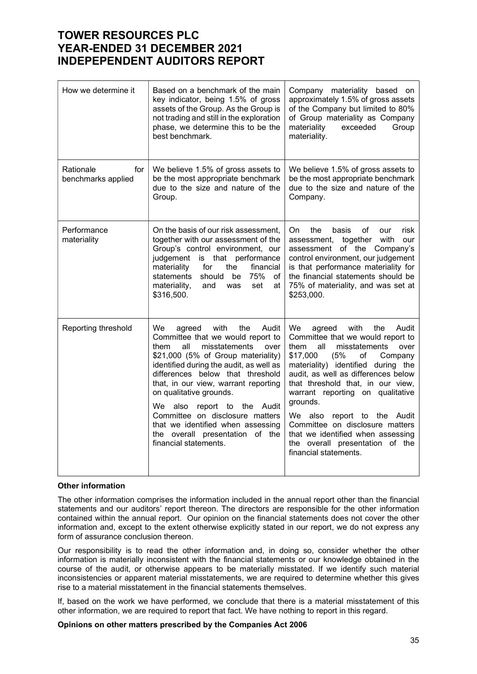# TOWER RESOURCES PLC YEAR-ENDED 31 DECEMBER 2021 INDEPEPENDENT AUDITORS REPORT

| How we determine it                    | Based on a benchmark of the main<br>key indicator, being 1.5% of gross<br>assets of the Group. As the Group is<br>not trading and still in the exploration<br>phase, we determine this to be the<br>best benchmark.                                                                                                                                                                                                                                                             | Company materiality based on<br>approximately 1.5% of gross assets<br>of the Company but limited to 80%<br>of Group materiality as Company<br>materiality<br>exceeded<br>Group<br>materiality.                                                                                                                                                                                                                                                                                             |
|----------------------------------------|---------------------------------------------------------------------------------------------------------------------------------------------------------------------------------------------------------------------------------------------------------------------------------------------------------------------------------------------------------------------------------------------------------------------------------------------------------------------------------|--------------------------------------------------------------------------------------------------------------------------------------------------------------------------------------------------------------------------------------------------------------------------------------------------------------------------------------------------------------------------------------------------------------------------------------------------------------------------------------------|
| Rationale<br>for<br>benchmarks applied | We believe 1.5% of gross assets to<br>be the most appropriate benchmark<br>due to the size and nature of the<br>Group.                                                                                                                                                                                                                                                                                                                                                          | We believe 1.5% of gross assets to<br>be the most appropriate benchmark<br>due to the size and nature of the<br>Company.                                                                                                                                                                                                                                                                                                                                                                   |
| Performance<br>materiality             | On the basis of our risk assessment,<br>together with our assessment of the<br>Group's control environment, our<br>judgement is that performance<br>materiality<br>financial<br>for<br>the<br>75%<br>statements<br>should<br>be<br>of<br>materiality,<br>set<br>at<br>and<br>was<br>\$316,500.                                                                                                                                                                                  | of<br>On<br>the<br>basis<br>our<br>risk<br>assessment, together<br>with<br>our<br>assessment of the Company's<br>control environment, our judgement<br>is that performance materiality for<br>the financial statements should be<br>75% of materiality, and was set at<br>\$253,000.                                                                                                                                                                                                       |
| Reporting threshold                    | We<br>with<br>the<br>agreed<br>Audit<br>Committee that we would report to<br>all<br>misstatements<br>them<br>over<br>\$21,000 (5% of Group materiality)<br>identified during the audit, as well as<br>differences below that threshold<br>that, in our view, warrant reporting<br>on qualitative grounds.<br>We also report to<br>the Audit<br>Committee on disclosure matters<br>that we identified when assessing<br>the overall presentation of the<br>financial statements. | We<br>with<br>the<br>Audit<br>agreed<br>Committee that we would report to<br>them<br>all<br>misstatements<br>over<br>(5%<br>\$17,000<br>of<br>Company<br>materiality) identified during the<br>audit, as well as differences below<br>that threshold that, in our view,<br>warrant reporting on qualitative<br>grounds.<br>We also report to the Audit<br>Committee on disclosure matters<br>that we identified when assessing<br>the overall presentation of the<br>financial statements. |

### Other information

The other information comprises the information included in the annual report other than the financial statements and our auditors' report thereon. The directors are responsible for the other information contained within the annual report. Our opinion on the financial statements does not cover the other information and, except to the extent otherwise explicitly stated in our report, we do not express any form of assurance conclusion thereon.

Our responsibility is to read the other information and, in doing so, consider whether the other information is materially inconsistent with the financial statements or our knowledge obtained in the course of the audit, or otherwise appears to be materially misstated. If we identify such material inconsistencies or apparent material misstatements, we are required to determine whether this gives rise to a material misstatement in the financial statements themselves.

If, based on the work we have performed, we conclude that there is a material misstatement of this other information, we are required to report that fact. We have nothing to report in this regard.

#### Opinions on other matters prescribed by the Companies Act 2006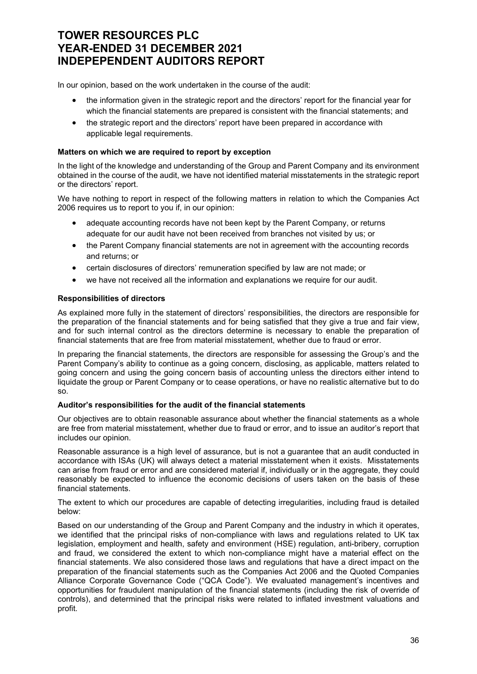# TOWER RESOURCES PLC YEAR-ENDED 31 DECEMBER 2021 INDEPEPENDENT AUDITORS REPORT

In our opinion, based on the work undertaken in the course of the audit:

- the information given in the strategic report and the directors' report for the financial year for which the financial statements are prepared is consistent with the financial statements; and
- the strategic report and the directors' report have been prepared in accordance with applicable legal requirements.

## Matters on which we are required to report by exception

In the light of the knowledge and understanding of the Group and Parent Company and its environment obtained in the course of the audit, we have not identified material misstatements in the strategic report or the directors' report.

We have nothing to report in respect of the following matters in relation to which the Companies Act 2006 requires us to report to you if, in our opinion:

- adequate accounting records have not been kept by the Parent Company, or returns adequate for our audit have not been received from branches not visited by us; or
- the Parent Company financial statements are not in agreement with the accounting records and returns; or
- certain disclosures of directors' remuneration specified by law are not made; or
- we have not received all the information and explanations we require for our audit.

## Responsibilities of directors

As explained more fully in the statement of directors' responsibilities, the directors are responsible for the preparation of the financial statements and for being satisfied that they give a true and fair view, and for such internal control as the directors determine is necessary to enable the preparation of financial statements that are free from material misstatement, whether due to fraud or error.

In preparing the financial statements, the directors are responsible for assessing the Group's and the Parent Company's ability to continue as a going concern, disclosing, as applicable, matters related to going concern and using the going concern basis of accounting unless the directors either intend to liquidate the group or Parent Company or to cease operations, or have no realistic alternative but to do so.

### Auditor's responsibilities for the audit of the financial statements

Our objectives are to obtain reasonable assurance about whether the financial statements as a whole are free from material misstatement, whether due to fraud or error, and to issue an auditor's report that includes our opinion.

Reasonable assurance is a high level of assurance, but is not a guarantee that an audit conducted in accordance with ISAs (UK) will always detect a material misstatement when it exists. Misstatements can arise from fraud or error and are considered material if, individually or in the aggregate, they could reasonably be expected to influence the economic decisions of users taken on the basis of these financial statements.

The extent to which our procedures are capable of detecting irregularities, including fraud is detailed below:

Based on our understanding of the Group and Parent Company and the industry in which it operates, we identified that the principal risks of non-compliance with laws and regulations related to UK tax legislation, employment and health, safety and environment (HSE) regulation, anti-bribery, corruption and fraud, we considered the extent to which non-compliance might have a material effect on the financial statements. We also considered those laws and regulations that have a direct impact on the preparation of the financial statements such as the Companies Act 2006 and the Quoted Companies Alliance Corporate Governance Code ("QCA Code"). We evaluated management's incentives and opportunities for fraudulent manipulation of the financial statements (including the risk of override of controls), and determined that the principal risks were related to inflated investment valuations and profit.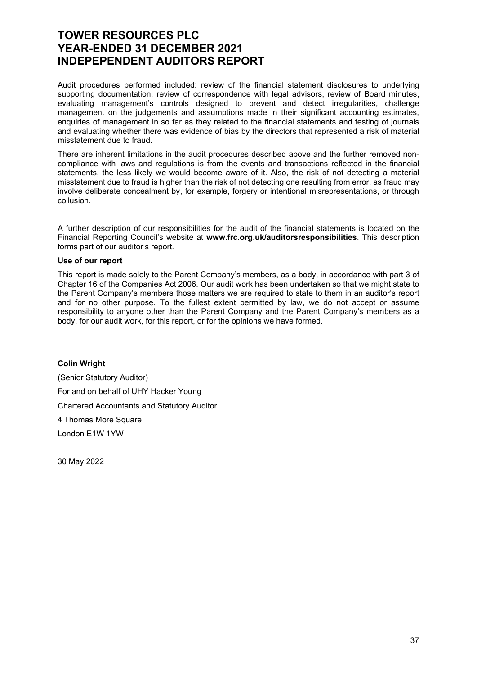# TOWER RESOURCES PLC YEAR-ENDED 31 DECEMBER 2021 INDEPEPENDENT AUDITORS REPORT

Audit procedures performed included: review of the financial statement disclosures to underlying supporting documentation, review of correspondence with legal advisors, review of Board minutes, evaluating management's controls designed to prevent and detect irregularities, challenge management on the judgements and assumptions made in their significant accounting estimates, enquiries of management in so far as they related to the financial statements and testing of journals and evaluating whether there was evidence of bias by the directors that represented a risk of material misstatement due to fraud.

There are inherent limitations in the audit procedures described above and the further removed noncompliance with laws and regulations is from the events and transactions reflected in the financial statements, the less likely we would become aware of it. Also, the risk of not detecting a material misstatement due to fraud is higher than the risk of not detecting one resulting from error, as fraud may involve deliberate concealment by, for example, forgery or intentional misrepresentations, or through collusion.

A further description of our responsibilities for the audit of the financial statements is located on the Financial Reporting Council's website at www.frc.org.uk/auditorsresponsibilities. This description forms part of our auditor's report.

#### Use of our report

This report is made solely to the Parent Company's members, as a body, in accordance with part 3 of Chapter 16 of the Companies Act 2006. Our audit work has been undertaken so that we might state to the Parent Company's members those matters we are required to state to them in an auditor's report and for no other purpose. To the fullest extent permitted by law, we do not accept or assume responsibility to anyone other than the Parent Company and the Parent Company's members as a body, for our audit work, for this report, or for the opinions we have formed.

Colin Wright (Senior Statutory Auditor) For and on behalf of UHY Hacker Young Chartered Accountants and Statutory Auditor 4 Thomas More Square London E1W 1YW

30 May 2022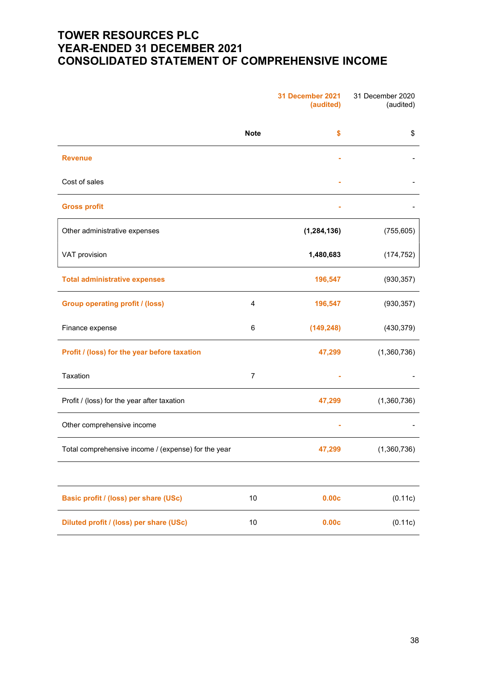# TOWER RESOURCES PLC YEAR-ENDED 31 DECEMBER 2021 CONSOLIDATED STATEMENT OF COMPREHENSIVE INCOME

|                                                     |                | 31 December 2021<br>(audited) | 31 December 2020<br>(audited) |
|-----------------------------------------------------|----------------|-------------------------------|-------------------------------|
|                                                     | <b>Note</b>    | \$                            | \$                            |
| <b>Revenue</b>                                      |                |                               |                               |
| Cost of sales                                       |                |                               |                               |
| <b>Gross profit</b>                                 |                |                               |                               |
| Other administrative expenses                       |                | (1, 284, 136)                 | (755, 605)                    |
| VAT provision                                       |                | 1,480,683                     | (174, 752)                    |
| <b>Total administrative expenses</b>                |                | 196,547                       | (930, 357)                    |
| <b>Group operating profit / (loss)</b>              | 4              | 196,547                       | (930, 357)                    |
| Finance expense                                     | 6              | (149, 248)                    | (430, 379)                    |
| Profit / (loss) for the year before taxation        |                | 47,299                        | (1,360,736)                   |
| Taxation                                            | $\overline{7}$ |                               |                               |
| Profit / (loss) for the year after taxation         |                | 47,299                        | (1,360,736)                   |
| Other comprehensive income                          |                |                               |                               |
| Total comprehensive income / (expense) for the year |                | 47,299                        | (1,360,736)                   |
|                                                     |                |                               |                               |
| Basic profit / (loss) per share (USc)               | $10$           | 0.00c                         | (0.11c)                       |
| Diluted profit / (loss) per share (USc)             | $10$           | 0.00c                         | (0.11c)                       |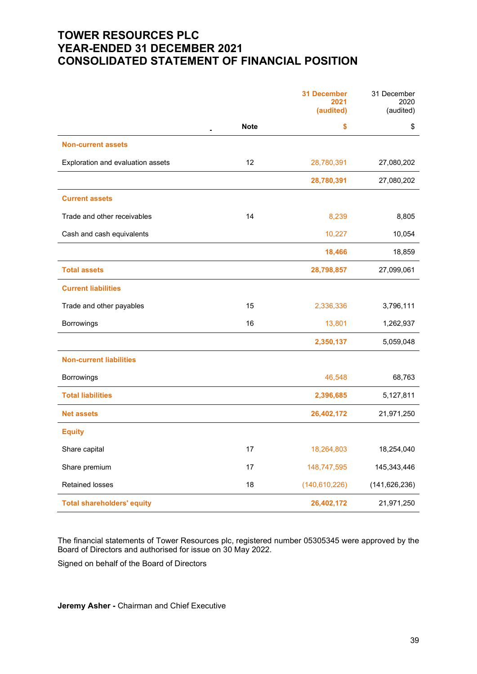# TOWER RESOURCES PLC YEAR-ENDED 31 DECEMBER 2021 CONSOLIDATED STATEMENT OF FINANCIAL POSITION

|                                   |             | <b>31 December</b><br>2021<br>(audited) | 31 December<br>2020<br>(audited) |
|-----------------------------------|-------------|-----------------------------------------|----------------------------------|
|                                   | <b>Note</b> | \$                                      | \$                               |
| <b>Non-current assets</b>         |             |                                         |                                  |
| Exploration and evaluation assets | 12          | 28,780,391                              | 27,080,202                       |
|                                   |             | 28,780,391                              | 27,080,202                       |
| <b>Current assets</b>             |             |                                         |                                  |
| Trade and other receivables       | 14          | 8,239                                   | 8,805                            |
| Cash and cash equivalents         |             | 10,227                                  | 10,054                           |
|                                   |             | 18,466                                  | 18,859                           |
| <b>Total assets</b>               |             | 28,798,857                              | 27,099,061                       |
| <b>Current liabilities</b>        |             |                                         |                                  |
| Trade and other payables          | 15          | 2,336,336                               | 3,796,111                        |
| Borrowings                        | 16          | 13,801                                  | 1,262,937                        |
|                                   |             | 2,350,137                               | 5,059,048                        |
| <b>Non-current liabilities</b>    |             |                                         |                                  |
| Borrowings                        |             | 46,548                                  | 68,763                           |
| <b>Total liabilities</b>          |             | 2,396,685                               | 5,127,811                        |
| <b>Net assets</b>                 |             | 26,402,172                              | 21,971,250                       |
| <b>Equity</b>                     |             |                                         |                                  |
| Share capital                     | 17          | 18,264,803                              | 18,254,040                       |
| Share premium                     | 17          | 148,747,595                             | 145,343,446                      |
| <b>Retained losses</b>            | 18          | (140, 610, 226)                         | (141, 626, 236)                  |
| <b>Total shareholders' equity</b> |             | 26,402,172                              | 21,971,250                       |

The financial statements of Tower Resources plc, registered number 05305345 were approved by the Board of Directors and authorised for issue on 30 May 2022.

Signed on behalf of the Board of Directors

**Jeremy Asher - Chairman and Chief Executive**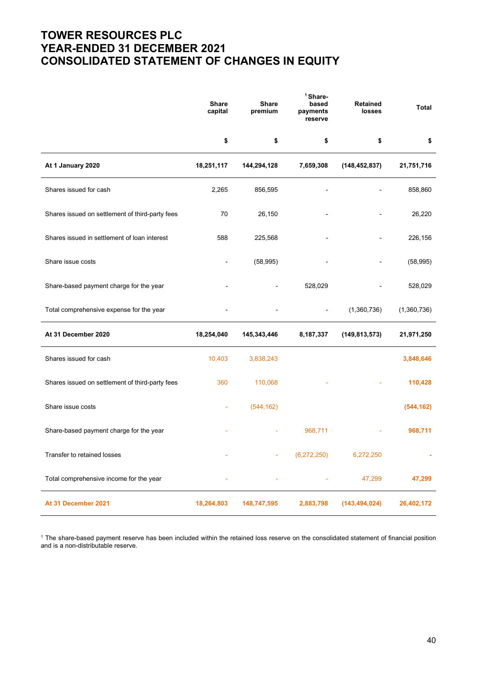# TOWER RESOURCES PLC YEAR-ENDED 31 DECEMBER 2021 CONSOLIDATED STATEMENT OF CHANGES IN EQUITY

|                                                 | <b>Share</b><br>capital | <b>Share</b><br>premium | <sup>1</sup> Share-<br>based<br>payments<br>reserve | <b>Retained</b><br>losses | <b>Total</b> |
|-------------------------------------------------|-------------------------|-------------------------|-----------------------------------------------------|---------------------------|--------------|
|                                                 | \$                      | \$                      | \$                                                  | \$                        | \$           |
| At 1 January 2020                               | 18,251,117              | 144,294,128             | 7,659,308                                           | (148, 452, 837)           | 21,751,716   |
| Shares issued for cash                          | 2,265                   | 856,595                 |                                                     |                           | 858,860      |
| Shares issued on settlement of third-party fees | 70                      | 26,150                  |                                                     |                           | 26,220       |
| Shares issued in settlement of loan interest    | 588                     | 225,568                 |                                                     |                           | 226,156      |
| Share issue costs                               |                         | (58, 995)               |                                                     |                           | (58, 995)    |
| Share-based payment charge for the year         |                         |                         | 528,029                                             |                           | 528,029      |
| Total comprehensive expense for the year        |                         |                         |                                                     | (1,360,736)               | (1,360,736)  |
| At 31 December 2020                             | 18,254,040              | 145,343,446             | 8,187,337                                           | (149, 813, 573)           | 21,971,250   |
| Shares issued for cash                          | 10,403                  | 3,838,243               |                                                     |                           | 3,848,646    |
| Shares issued on settlement of third-party fees | 360                     | 110,068                 |                                                     |                           | 110,428      |
| Share issue costs                               |                         | (544, 162)              |                                                     |                           | (544, 162)   |
| Share-based payment charge for the year         |                         |                         | 968,711                                             |                           | 968,711      |
| Transfer to retained losses                     |                         |                         | (6,272,250)                                         | 6,272,250                 |              |
| Total comprehensive income for the year         |                         |                         |                                                     | 47,299                    | 47,299       |
| At 31 December 2021                             | 18,264,803              | 148,747,595             | 2,883,798                                           | (143, 494, 024)           | 26,402,172   |

1 The share-based payment reserve has been included within the retained loss reserve on the consolidated statement of financial position and is a non-distributable reserve.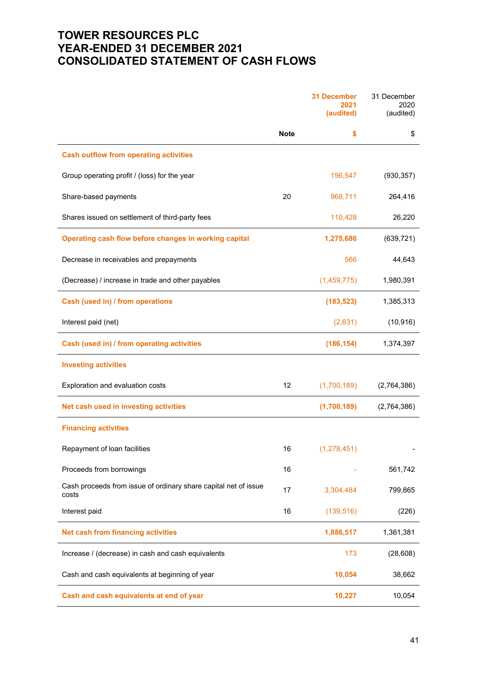# TOWER RESOURCES PLC YEAR-ENDED 31 DECEMBER 2021 CONSOLIDATED STATEMENT OF CASH FLOWS

|                                                                          |             | <b>31 December</b><br>2021<br>(audited) | 31 December<br>2020<br>(audited) |
|--------------------------------------------------------------------------|-------------|-----------------------------------------|----------------------------------|
|                                                                          | <b>Note</b> | \$                                      | \$                               |
| <b>Cash outflow from operating activities</b>                            |             |                                         |                                  |
| Group operating profit / (loss) for the year                             |             | 196,547                                 | (930, 357)                       |
| Share-based payments                                                     | 20          | 968,711                                 | 264,416                          |
| Shares issued on settlement of third-party fees                          |             | 110,428                                 | 26,220                           |
| Operating cash flow before changes in working capital                    |             | 1,275,686                               | (639, 721)                       |
| Decrease in receivables and prepayments                                  |             | 566                                     | 44,643                           |
| (Decrease) / increase in trade and other payables                        |             | (1,459,775)                             | 1,980,391                        |
| Cash (used in) / from operations                                         |             | (183, 523)                              | 1,385,313                        |
| Interest paid (net)                                                      |             | (2,631)                                 | (10, 916)                        |
| Cash (used in) / from operating activities                               |             | (186, 154)                              | 1,374,397                        |
| <b>Investing activities</b>                                              |             |                                         |                                  |
| Exploration and evaluation costs                                         | 12          | (1,700,189)                             | (2,764,386)                      |
| Net cash used in investing activities                                    |             | (1,700,189)                             | (2,764,386)                      |
| <b>Financing activities</b>                                              |             |                                         |                                  |
| Repayment of loan facilities                                             | 16          | (1, 278, 451)                           |                                  |
| Proceeds from borrowings                                                 | 16          |                                         | 561,742                          |
| Cash proceeds from issue of ordinary share capital net of issue<br>costs | 17          | 3,304,484                               | 799,865                          |
| Interest paid                                                            | 16          | (139, 516)                              | (226)                            |
| <b>Net cash from financing activities</b>                                |             | 1,886,517                               | 1,361,381                        |
| Increase / (decrease) in cash and cash equivalents                       |             | 173                                     | (28, 608)                        |
| Cash and cash equivalents at beginning of year                           |             | 10,054                                  | 38,662                           |
| Cash and cash equivalents at end of year                                 |             | 10,227                                  | 10,054                           |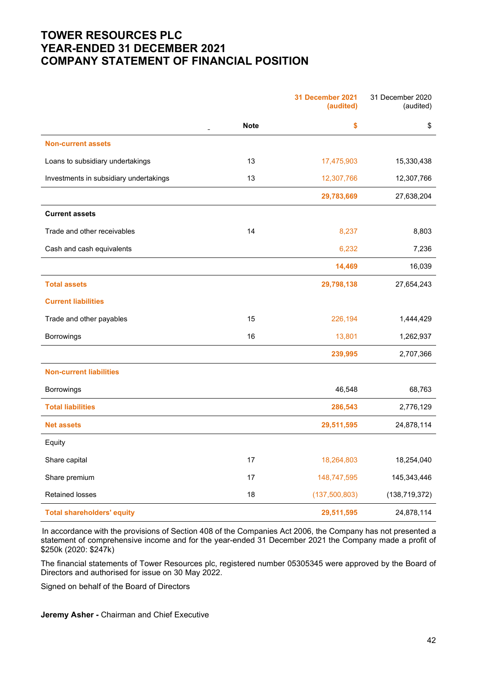# TOWER RESOURCES PLC YEAR-ENDED 31 DECEMBER 2021 COMPANY STATEMENT OF FINANCIAL POSITION

|                                        |             | 31 December 2021<br>(audited) | 31 December 2020<br>(audited) |
|----------------------------------------|-------------|-------------------------------|-------------------------------|
|                                        | <b>Note</b> | \$                            | \$                            |
| <b>Non-current assets</b>              |             |                               |                               |
| Loans to subsidiary undertakings       | 13          | 17,475,903                    | 15,330,438                    |
| Investments in subsidiary undertakings | 13          | 12,307,766                    | 12,307,766                    |
|                                        |             | 29,783,669                    | 27,638,204                    |
| <b>Current assets</b>                  |             |                               |                               |
| Trade and other receivables            | 14          | 8,237                         | 8,803                         |
| Cash and cash equivalents              |             | 6,232                         | 7,236                         |
|                                        |             | 14,469                        | 16,039                        |
| <b>Total assets</b>                    |             | 29,798,138                    | 27,654,243                    |
| <b>Current liabilities</b>             |             |                               |                               |
| Trade and other payables               | 15          | 226,194                       | 1,444,429                     |
| Borrowings                             | 16          | 13,801                        | 1,262,937                     |
|                                        |             | 239,995                       | 2,707,366                     |
| <b>Non-current liabilities</b>         |             |                               |                               |
| Borrowings                             |             | 46,548                        | 68,763                        |
| <b>Total liabilities</b>               |             | 286,543                       | 2,776,129                     |
| <b>Net assets</b>                      |             | 29,511,595                    | 24,878,114                    |
| Equity                                 |             |                               |                               |
| Share capital                          | $17\,$      | 18,264,803                    | 18,254,040                    |
| Share premium                          | $17$        | 148,747,595                   | 145,343,446                   |
| <b>Retained losses</b>                 | 18          | (137, 500, 803)               | (138, 719, 372)               |
| <b>Total shareholders' equity</b>      |             | 29,511,595                    | 24,878,114                    |

In accordance with the provisions of Section 408 of the Companies Act 2006, the Company has not presented a statement of comprehensive income and for the year-ended 31 December 2021 the Company made a profit of \$250k (2020: \$247k)

The financial statements of Tower Resources plc, registered number 05305345 were approved by the Board of Directors and authorised for issue on 30 May 2022.

Signed on behalf of the Board of Directors

**Jeremy Asher - Chairman and Chief Executive**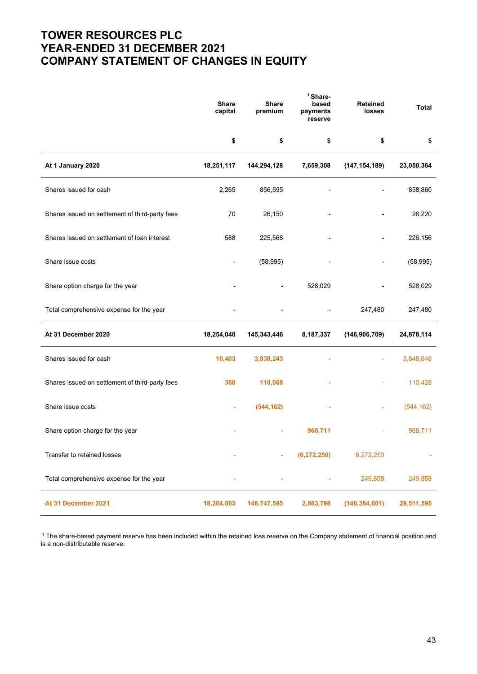# TOWER RESOURCES PLC YEAR-ENDED 31 DECEMBER 2021 COMPANY STATEMENT OF CHANGES IN EQUITY

|                                                 | <b>Share</b><br>capital | <b>Share</b><br>premium | <sup>1</sup> Share-<br>based<br>payments<br>reserve | Retained<br>losses | <b>Total</b> |
|-------------------------------------------------|-------------------------|-------------------------|-----------------------------------------------------|--------------------|--------------|
|                                                 | \$                      | \$                      | \$                                                  | \$                 | \$           |
| At 1 January 2020                               | 18,251,117              | 144,294,128             | 7,659,308                                           | (147, 154, 189)    | 23,050,364   |
| Shares issued for cash                          | 2,265                   | 856,595                 |                                                     |                    | 858,860      |
| Shares issued on settlement of third-party fees | 70                      | 26,150                  |                                                     |                    | 26,220       |
| Shares issued on settlement of loan interest    | 588                     | 225,568                 |                                                     |                    | 226,156      |
| Share issue costs                               |                         | (58, 995)               |                                                     |                    | (58, 995)    |
| Share option charge for the year                |                         |                         | 528,029                                             |                    | 528,029      |
| Total comprehensive expense for the year        |                         |                         |                                                     | 247,480            | 247,480      |
| At 31 December 2020                             | 18,254,040              | 145,343,446             | 8,187,337                                           | (146, 906, 709)    | 24,878,114   |
| Shares issued for cash                          | 10,403                  | 3,838,243               |                                                     |                    | 3,848,646    |
| Shares issued on settlement of third-party fees | 360                     | 110,068                 |                                                     |                    | 110,428      |
| Share issue costs                               |                         | (544, 162)              |                                                     |                    | (544, 162)   |
| Share option charge for the year                |                         |                         | 968,711                                             |                    | 968,711      |
| Transfer to retained losses                     |                         |                         | (6, 272, 250)                                       | 6,272,250          |              |
| Total comprehensive expense for the year        |                         |                         |                                                     | 249,858            | 249,858      |
| At 31 December 2021                             | 18,264,803              | 148,747,595             | 2,883,798                                           | (140, 384, 601)    | 29,511,595   |

<sup>1</sup> The share-based payment reserve has been included within the retained loss reserve on the Company statement of financial position and is a non-distributable reserve.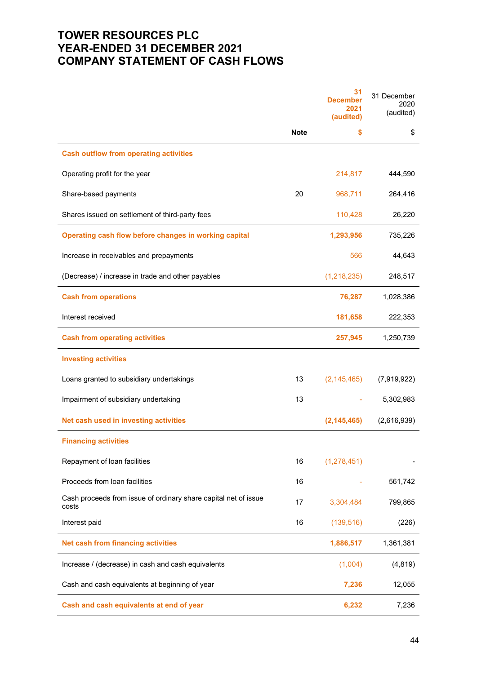# TOWER RESOURCES PLC YEAR-ENDED 31 DECEMBER 2021 COMPANY STATEMENT OF CASH FLOWS

|                                                                          |             | 31<br><b>December</b><br>2021<br>(audited) | 31 December<br>2020<br>(audited) |
|--------------------------------------------------------------------------|-------------|--------------------------------------------|----------------------------------|
|                                                                          | <b>Note</b> | \$                                         | \$                               |
| <b>Cash outflow from operating activities</b>                            |             |                                            |                                  |
| Operating profit for the year                                            |             | 214,817                                    | 444,590                          |
| Share-based payments                                                     | 20          | 968,711                                    | 264,416                          |
| Shares issued on settlement of third-party fees                          |             | 110,428                                    | 26,220                           |
| Operating cash flow before changes in working capital                    |             | 1,293,956                                  | 735,226                          |
| Increase in receivables and prepayments                                  |             | 566                                        | 44,643                           |
| (Decrease) / increase in trade and other payables                        |             | (1, 218, 235)                              | 248,517                          |
| <b>Cash from operations</b>                                              |             | 76,287                                     | 1,028,386                        |
| Interest received                                                        |             | 181,658                                    | 222,353                          |
| <b>Cash from operating activities</b>                                    |             | 257,945                                    | 1,250,739                        |
| <b>Investing activities</b>                                              |             |                                            |                                  |
| Loans granted to subsidiary undertakings                                 | 13          | (2, 145, 465)                              | (7,919,922)                      |
| Impairment of subsidiary undertaking                                     | 13          |                                            | 5,302,983                        |
| Net cash used in investing activities                                    |             | (2, 145, 465)                              | (2,616,939)                      |
| <b>Financing activities</b>                                              |             |                                            |                                  |
| Repayment of loan facilities                                             | 16          | (1, 278, 451)                              |                                  |
| Proceeds from loan facilities                                            | 16          |                                            | 561,742                          |
| Cash proceeds from issue of ordinary share capital net of issue<br>costs | 17          | 3,304,484                                  | 799,865                          |
| Interest paid                                                            | 16          | (139, 516)                                 | (226)                            |
| <b>Net cash from financing activities</b>                                |             | 1,886,517                                  | 1,361,381                        |
| Increase / (decrease) in cash and cash equivalents                       |             | (1,004)                                    | (4, 819)                         |
| Cash and cash equivalents at beginning of year                           |             | 7,236                                      | 12,055                           |
| Cash and cash equivalents at end of year                                 |             | 6,232                                      | 7,236                            |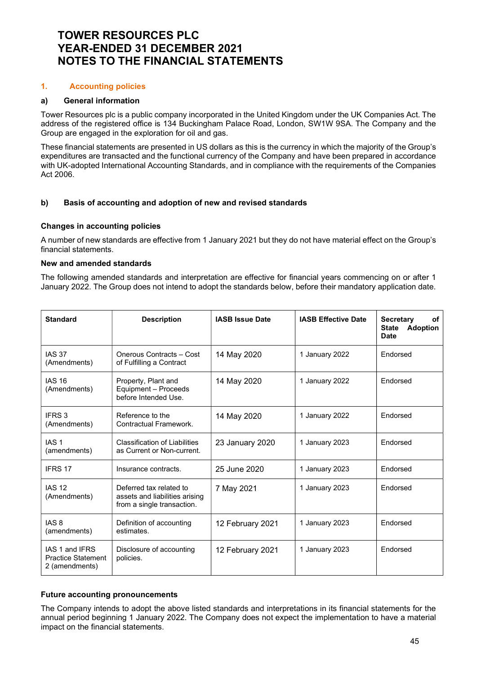### 1. Accounting policies

### a) General information

Tower Resources plc is a public company incorporated in the United Kingdom under the UK Companies Act. The address of the registered office is 134 Buckingham Palace Road, London, SW1W 9SA. The Company and the Group are engaged in the exploration for oil and gas.

These financial statements are presented in US dollars as this is the currency in which the majority of the Group's expenditures are transacted and the functional currency of the Company and have been prepared in accordance with UK-adopted International Accounting Standards, and in compliance with the requirements of the Companies Act 2006.

## b) Basis of accounting and adoption of new and revised standards

### Changes in accounting policies

A number of new standards are effective from 1 January 2021 but they do not have material effect on the Group's financial statements.

### New and amended standards

The following amended standards and interpretation are effective for financial years commencing on or after 1 January 2022. The Group does not intend to adopt the standards below, before their mandatory application date.

| <b>Standard</b>                                               | <b>Description</b>                                                                      | <b>IASB Issue Date</b> | <b>IASB Effective Date</b> | <b>Secretary</b><br>of<br>State Adoption<br><b>Date</b> |
|---------------------------------------------------------------|-----------------------------------------------------------------------------------------|------------------------|----------------------------|---------------------------------------------------------|
| <b>IAS 37</b><br>(Amendments)                                 | Onerous Contracts - Cost<br>of Fulfilling a Contract                                    | 14 May 2020            | 1 January 2022             | Endorsed                                                |
| <b>IAS 16</b><br>(Amendments)                                 | Property, Plant and<br>Equipment - Proceeds<br>before Intended Use.                     | 14 May 2020            | 1 January 2022             | Endorsed                                                |
| IFRS 3<br>(Amendments)                                        | Reference to the<br>Contractual Framework.                                              | 14 May 2020            | 1 January 2022             | Endorsed                                                |
| IAS <sub>1</sub><br>(amendments)                              | <b>Classification of Liabilities</b><br>as Current or Non-current.                      | 23 January 2020        | 1 January 2023             | Endorsed                                                |
| IFRS 17                                                       | Insurance contracts.                                                                    | 25 June 2020           | 1 January 2023             | Endorsed                                                |
| <b>IAS 12</b><br>(Amendments)                                 | Deferred tax related to<br>assets and liabilities arising<br>from a single transaction. | 7 May 2021             | 1 January 2023             | Endorsed                                                |
| IAS <sub>8</sub><br>(amendments)                              | Definition of accounting<br>estimates.                                                  | 12 February 2021       | 1 January 2023<br>Endorsed |                                                         |
| IAS 1 and IFRS<br><b>Practice Statement</b><br>2 (amendments) | Disclosure of accounting<br>policies.                                                   | 12 February 2021       | 1 January 2023             | Endorsed                                                |

### Future accounting pronouncements

The Company intends to adopt the above listed standards and interpretations in its financial statements for the annual period beginning 1 January 2022. The Company does not expect the implementation to have a material impact on the financial statements.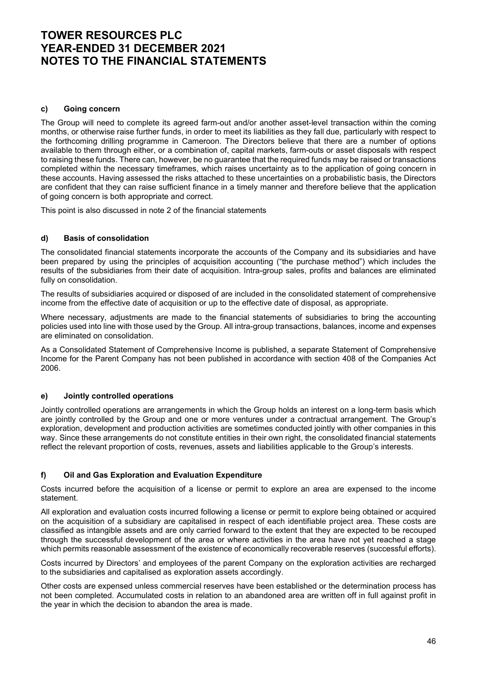### c) Going concern

The Group will need to complete its agreed farm-out and/or another asset-level transaction within the coming months, or otherwise raise further funds, in order to meet its liabilities as they fall due, particularly with respect to the forthcoming drilling programme in Cameroon. The Directors believe that there are a number of options available to them through either, or a combination of, capital markets, farm-outs or asset disposals with respect to raising these funds. There can, however, be no guarantee that the required funds may be raised or transactions completed within the necessary timeframes, which raises uncertainty as to the application of going concern in these accounts. Having assessed the risks attached to these uncertainties on a probabilistic basis, the Directors are confident that they can raise sufficient finance in a timely manner and therefore believe that the application of going concern is both appropriate and correct.

This point is also discussed in note 2 of the financial statements

## d) Basis of consolidation

The consolidated financial statements incorporate the accounts of the Company and its subsidiaries and have been prepared by using the principles of acquisition accounting ("the purchase method") which includes the results of the subsidiaries from their date of acquisition. Intra-group sales, profits and balances are eliminated fully on consolidation.

The results of subsidiaries acquired or disposed of are included in the consolidated statement of comprehensive income from the effective date of acquisition or up to the effective date of disposal, as appropriate.

Where necessary, adjustments are made to the financial statements of subsidiaries to bring the accounting policies used into line with those used by the Group. All intra-group transactions, balances, income and expenses are eliminated on consolidation.

As a Consolidated Statement of Comprehensive Income is published, a separate Statement of Comprehensive Income for the Parent Company has not been published in accordance with section 408 of the Companies Act 2006.

### e) Jointly controlled operations

Jointly controlled operations are arrangements in which the Group holds an interest on a long-term basis which are jointly controlled by the Group and one or more ventures under a contractual arrangement. The Group's exploration, development and production activities are sometimes conducted jointly with other companies in this way. Since these arrangements do not constitute entities in their own right, the consolidated financial statements reflect the relevant proportion of costs, revenues, assets and liabilities applicable to the Group's interests.

# f) Oil and Gas Exploration and Evaluation Expenditure

Costs incurred before the acquisition of a license or permit to explore an area are expensed to the income statement.

All exploration and evaluation costs incurred following a license or permit to explore being obtained or acquired on the acquisition of a subsidiary are capitalised in respect of each identifiable project area. These costs are classified as intangible assets and are only carried forward to the extent that they are expected to be recouped through the successful development of the area or where activities in the area have not yet reached a stage which permits reasonable assessment of the existence of economically recoverable reserves (successful efforts).

Costs incurred by Directors' and employees of the parent Company on the exploration activities are recharged to the subsidiaries and capitalised as exploration assets accordingly.

Other costs are expensed unless commercial reserves have been established or the determination process has not been completed. Accumulated costs in relation to an abandoned area are written off in full against profit in the year in which the decision to abandon the area is made.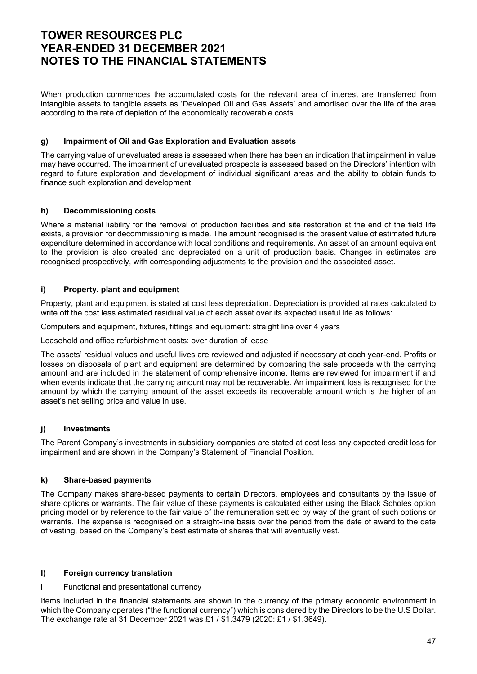When production commences the accumulated costs for the relevant area of interest are transferred from intangible assets to tangible assets as 'Developed Oil and Gas Assets' and amortised over the life of the area according to the rate of depletion of the economically recoverable costs.

### g) Impairment of Oil and Gas Exploration and Evaluation assets

The carrying value of unevaluated areas is assessed when there has been an indication that impairment in value may have occurred. The impairment of unevaluated prospects is assessed based on the Directors' intention with regard to future exploration and development of individual significant areas and the ability to obtain funds to finance such exploration and development.

## h) Decommissioning costs

Where a material liability for the removal of production facilities and site restoration at the end of the field life exists, a provision for decommissioning is made. The amount recognised is the present value of estimated future expenditure determined in accordance with local conditions and requirements. An asset of an amount equivalent to the provision is also created and depreciated on a unit of production basis. Changes in estimates are recognised prospectively, with corresponding adjustments to the provision and the associated asset.

## i) Property, plant and equipment

Property, plant and equipment is stated at cost less depreciation. Depreciation is provided at rates calculated to write off the cost less estimated residual value of each asset over its expected useful life as follows:

Computers and equipment, fixtures, fittings and equipment: straight line over 4 years

Leasehold and office refurbishment costs: over duration of lease

The assets' residual values and useful lives are reviewed and adjusted if necessary at each year-end. Profits or losses on disposals of plant and equipment are determined by comparing the sale proceeds with the carrying amount and are included in the statement of comprehensive income. Items are reviewed for impairment if and when events indicate that the carrying amount may not be recoverable. An impairment loss is recognised for the amount by which the carrying amount of the asset exceeds its recoverable amount which is the higher of an asset's net selling price and value in use.

### j) Investments

The Parent Company's investments in subsidiary companies are stated at cost less any expected credit loss for impairment and are shown in the Company's Statement of Financial Position.

### k) Share-based payments

The Company makes share-based payments to certain Directors, employees and consultants by the issue of share options or warrants. The fair value of these payments is calculated either using the Black Scholes option pricing model or by reference to the fair value of the remuneration settled by way of the grant of such options or warrants. The expense is recognised on a straight-line basis over the period from the date of award to the date of vesting, based on the Company's best estimate of shares that will eventually vest.

### l) Foreign currency translation

i Functional and presentational currency

Items included in the financial statements are shown in the currency of the primary economic environment in which the Company operates ("the functional currency") which is considered by the Directors to be the U.S Dollar. The exchange rate at 31 December 2021 was £1 / \$1.3479 (2020: £1 / \$1.3649).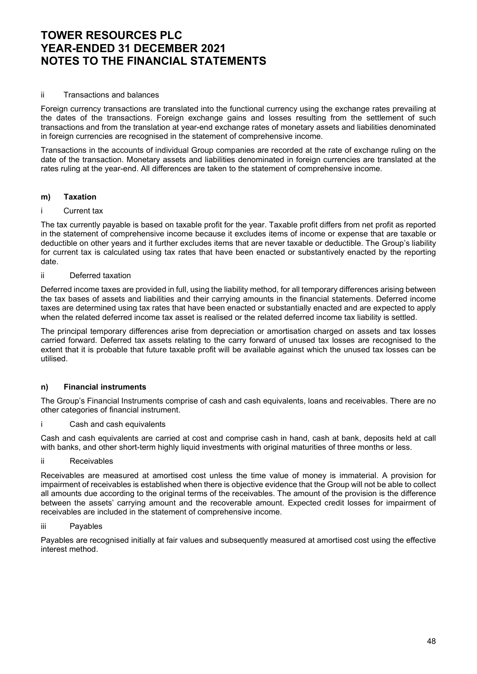### ii Transactions and balances

Foreign currency transactions are translated into the functional currency using the exchange rates prevailing at the dates of the transactions. Foreign exchange gains and losses resulting from the settlement of such transactions and from the translation at year-end exchange rates of monetary assets and liabilities denominated in foreign currencies are recognised in the statement of comprehensive income.

Transactions in the accounts of individual Group companies are recorded at the rate of exchange ruling on the date of the transaction. Monetary assets and liabilities denominated in foreign currencies are translated at the rates ruling at the year-end. All differences are taken to the statement of comprehensive income.

#### m) Taxation

#### i Current tax

The tax currently payable is based on taxable profit for the year. Taxable profit differs from net profit as reported in the statement of comprehensive income because it excludes items of income or expense that are taxable or deductible on other years and it further excludes items that are never taxable or deductible. The Group's liability for current tax is calculated using tax rates that have been enacted or substantively enacted by the reporting date.

#### ii Deferred taxation

Deferred income taxes are provided in full, using the liability method, for all temporary differences arising between the tax bases of assets and liabilities and their carrying amounts in the financial statements. Deferred income taxes are determined using tax rates that have been enacted or substantially enacted and are expected to apply when the related deferred income tax asset is realised or the related deferred income tax liability is settled.

The principal temporary differences arise from depreciation or amortisation charged on assets and tax losses carried forward. Deferred tax assets relating to the carry forward of unused tax losses are recognised to the extent that it is probable that future taxable profit will be available against which the unused tax losses can be utilised.

### n) Financial instruments

The Group's Financial Instruments comprise of cash and cash equivalents, loans and receivables. There are no other categories of financial instrument.

Cash and cash equivalents

Cash and cash equivalents are carried at cost and comprise cash in hand, cash at bank, deposits held at call with banks, and other short-term highly liquid investments with original maturities of three months or less.

ii Receivables

Receivables are measured at amortised cost unless the time value of money is immaterial. A provision for impairment of receivables is established when there is objective evidence that the Group will not be able to collect all amounts due according to the original terms of the receivables. The amount of the provision is the difference between the assets' carrying amount and the recoverable amount. Expected credit losses for impairment of receivables are included in the statement of comprehensive income.

### iii Payables

Payables are recognised initially at fair values and subsequently measured at amortised cost using the effective interest method.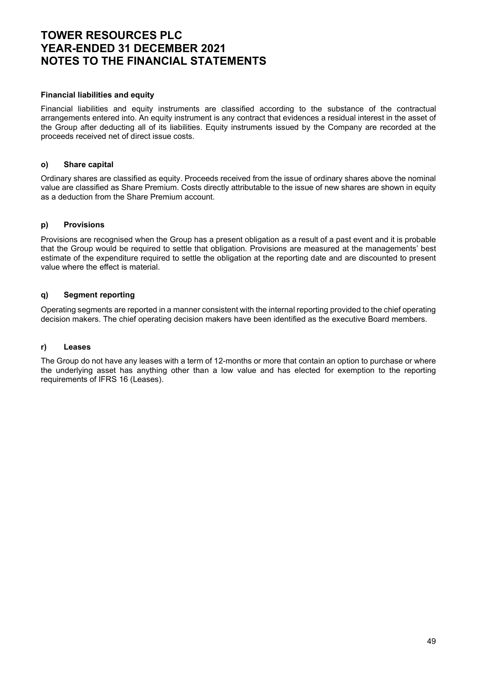### Financial liabilities and equity

Financial liabilities and equity instruments are classified according to the substance of the contractual arrangements entered into. An equity instrument is any contract that evidences a residual interest in the asset of the Group after deducting all of its liabilities. Equity instruments issued by the Company are recorded at the proceeds received net of direct issue costs.

### o) Share capital

Ordinary shares are classified as equity. Proceeds received from the issue of ordinary shares above the nominal value are classified as Share Premium. Costs directly attributable to the issue of new shares are shown in equity as a deduction from the Share Premium account.

### p) Provisions

Provisions are recognised when the Group has a present obligation as a result of a past event and it is probable that the Group would be required to settle that obligation. Provisions are measured at the managements' best estimate of the expenditure required to settle the obligation at the reporting date and are discounted to present value where the effect is material.

## q) Segment reporting

Operating segments are reported in a manner consistent with the internal reporting provided to the chief operating decision makers. The chief operating decision makers have been identified as the executive Board members.

### r) Leases

The Group do not have any leases with a term of 12-months or more that contain an option to purchase or where the underlying asset has anything other than a low value and has elected for exemption to the reporting requirements of IFRS 16 (Leases).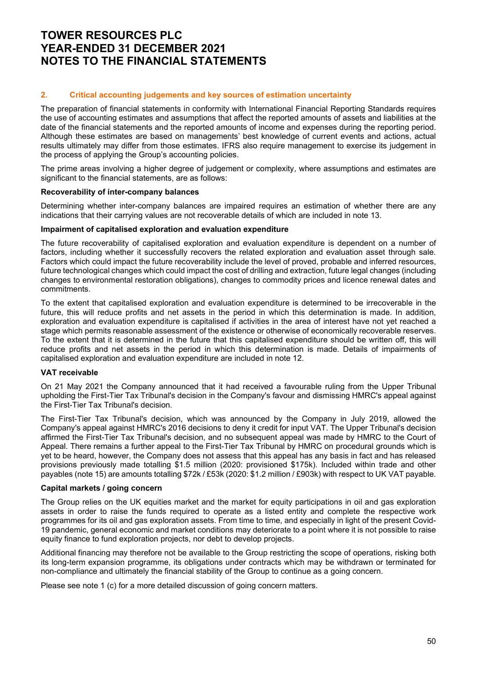## 2. Critical accounting judgements and key sources of estimation uncertainty

The preparation of financial statements in conformity with International Financial Reporting Standards requires the use of accounting estimates and assumptions that affect the reported amounts of assets and liabilities at the date of the financial statements and the reported amounts of income and expenses during the reporting period. Although these estimates are based on managements' best knowledge of current events and actions, actual results ultimately may differ from those estimates. IFRS also require management to exercise its judgement in the process of applying the Group's accounting policies.

The prime areas involving a higher degree of judgement or complexity, where assumptions and estimates are significant to the financial statements, are as follows:

### Recoverability of inter-company balances

Determining whether inter-company balances are impaired requires an estimation of whether there are any indications that their carrying values are not recoverable details of which are included in note 13.

### Impairment of capitalised exploration and evaluation expenditure

The future recoverability of capitalised exploration and evaluation expenditure is dependent on a number of factors, including whether it successfully recovers the related exploration and evaluation asset through sale. Factors which could impact the future recoverability include the level of proved, probable and inferred resources, future technological changes which could impact the cost of drilling and extraction, future legal changes (including changes to environmental restoration obligations), changes to commodity prices and licence renewal dates and commitments.

To the extent that capitalised exploration and evaluation expenditure is determined to be irrecoverable in the future, this will reduce profits and net assets in the period in which this determination is made. In addition, exploration and evaluation expenditure is capitalised if activities in the area of interest have not yet reached a stage which permits reasonable assessment of the existence or otherwise of economically recoverable reserves. To the extent that it is determined in the future that this capitalised expenditure should be written off, this will reduce profits and net assets in the period in which this determination is made. Details of impairments of capitalised exploration and evaluation expenditure are included in note 12.

# VAT receivable

On 21 May 2021 the Company announced that it had received a favourable ruling from the Upper Tribunal upholding the First-Tier Tax Tribunal's decision in the Company's favour and dismissing HMRC's appeal against the First-Tier Tax Tribunal's decision.

The First-Tier Tax Tribunal's decision, which was announced by the Company in July 2019, allowed the Company's appeal against HMRC's 2016 decisions to deny it credit for input VAT. The Upper Tribunal's decision affirmed the First-Tier Tax Tribunal's decision, and no subsequent appeal was made by HMRC to the Court of Appeal. There remains a further appeal to the First-Tier Tax Tribunal by HMRC on procedural grounds which is yet to be heard, however, the Company does not assess that this appeal has any basis in fact and has released provisions previously made totalling \$1.5 million (2020: provisioned \$175k). Included within trade and other payables (note 15) are amounts totalling \$72k / £53k (2020: \$1.2 million / £903k) with respect to UK VAT payable.

### Capital markets / going concern

The Group relies on the UK equities market and the market for equity participations in oil and gas exploration assets in order to raise the funds required to operate as a listed entity and complete the respective work programmes for its oil and gas exploration assets. From time to time, and especially in light of the present Covid-19 pandemic, general economic and market conditions may deteriorate to a point where it is not possible to raise equity finance to fund exploration projects, nor debt to develop projects.

Additional financing may therefore not be available to the Group restricting the scope of operations, risking both its long-term expansion programme, its obligations under contracts which may be withdrawn or terminated for non-compliance and ultimately the financial stability of the Group to continue as a going concern.

Please see note 1 (c) for a more detailed discussion of going concern matters.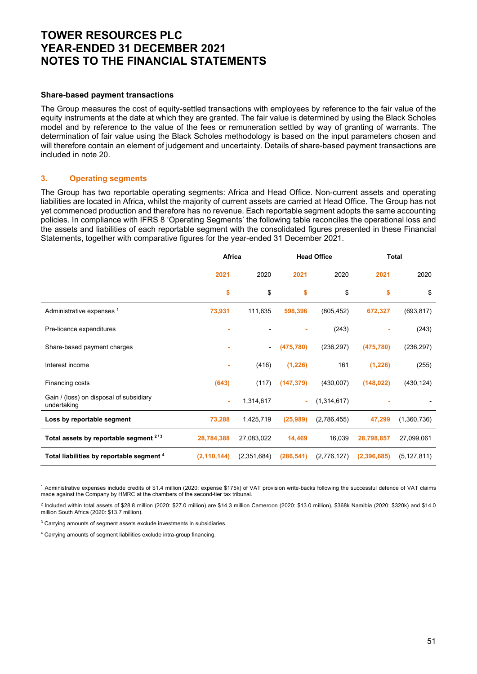#### Share-based payment transactions

The Group measures the cost of equity-settled transactions with employees by reference to the fair value of the equity instruments at the date at which they are granted. The fair value is determined by using the Black Scholes model and by reference to the value of the fees or remuneration settled by way of granting of warrants. The determination of fair value using the Black Scholes methodology is based on the input parameters chosen and will therefore contain an element of judgement and uncertainty. Details of share-based payment transactions are included in note 20.

### 3. Operating segments

The Group has two reportable operating segments: Africa and Head Office. Non-current assets and operating liabilities are located in Africa, whilst the majority of current assets are carried at Head Office. The Group has not yet commenced production and therefore has no revenue. Each reportable segment adopts the same accounting policies. In compliance with IFRS 8 'Operating Segments' the following table reconciles the operational loss and the assets and liabilities of each reportable segment with the consolidated figures presented in these Financial Statements, together with comparative figures for the year-ended 31 December 2021.

|                                                        | Africa        |                          | <b>Head Office</b> |             | <b>Total</b> |               |
|--------------------------------------------------------|---------------|--------------------------|--------------------|-------------|--------------|---------------|
|                                                        | 2021          | 2020                     | 2021               | 2020        | 2021         | 2020          |
|                                                        | \$            | \$                       | \$                 | \$          | \$           | \$            |
| Administrative expenses <sup>1</sup>                   | 73,931        | 111,635                  | 598,396            | (805, 452)  | 672,327      | (693, 817)    |
| Pre-licence expenditures                               |               |                          |                    | (243)       |              | (243)         |
| Share-based payment charges                            |               | $\overline{\phantom{a}}$ | (475, 780)         | (236, 297)  | (475, 780)   | (236, 297)    |
| Interest income                                        |               | (416)                    | (1,226)            | 161         | (1,226)      | (255)         |
| Financing costs                                        | (643)         | (117)                    | (147, 379)         | (430,007)   | (148, 022)   | (430, 124)    |
| Gain / (loss) on disposal of subsidiary<br>undertaking | ÷             | 1,314,617                | ÷.                 | (1,314,617) |              |               |
| Loss by reportable segment                             | 73,288        | 1,425,719                | (25,989)           | (2,786,455) | 47,299       | (1,360,736)   |
| Total assets by reportable segment $2/3$               | 28,784,388    | 27,083,022               | 14,469             | 16,039      | 28,798,857   | 27,099,061    |
| Total liabilities by reportable segment <sup>4</sup>   | (2, 110, 144) | (2,351,684)              | (286, 541)         | (2,776,127) | (2,396,685)  | (5, 127, 811) |

1 Administrative expenses include credits of \$1.4 million (2020: expense \$175k) of VAT provision write-backs following the successful defence of VAT claims made against the Company by HMRC at the chambers of the second-tier tax tribunal.

2 Included within total assets of \$28.8 million (2020: \$27.0 million) are \$14.3 million Cameroon (2020: \$13.0 million), \$368k Namibia (2020: \$320k) and \$14.0 million South Africa (2020: \$13.7 million).

3 Carrying amounts of segment assets exclude investments in subsidiaries.

4 Carrying amounts of segment liabilities exclude intra-group financing.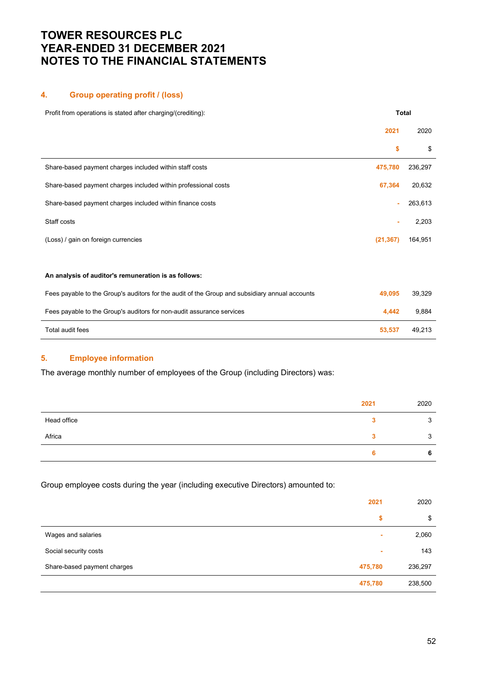## 4. Group operating profit / (loss)

| Profit from operations is stated after charging/(crediting):                                   |           | <b>Total</b> |
|------------------------------------------------------------------------------------------------|-----------|--------------|
|                                                                                                | 2021      | 2020         |
|                                                                                                | \$        | \$           |
| Share-based payment charges included within staff costs                                        | 475,780   | 236,297      |
| Share-based payment charges included within professional costs                                 | 67,364    | 20,632       |
| Share-based payment charges included within finance costs                                      |           | 263,613      |
| Staff costs                                                                                    |           | 2,203        |
| (Loss) / gain on foreign currencies                                                            | (21, 367) | 164,951      |
|                                                                                                |           |              |
| An analysis of auditor's remuneration is as follows:                                           |           |              |
| Fees payable to the Group's auditors for the audit of the Group and subsidiary annual accounts | 49,095    | 39,329       |
| Fees payable to the Group's auditors for non-audit assurance services                          | 4,442     | 9,884        |
| Total audit fees                                                                               | 53,537    | 49,213       |

# 5. Employee information

The average monthly number of employees of the Group (including Directors) was:

|             | 2021 | 2020               |
|-------------|------|--------------------|
| Head office |      | 3                  |
| Africa      |      | $\mathbf{r}$<br>۰J |
|             |      | 6                  |

Group employee costs during the year (including executive Directors) amounted to:

|                             | 2021    | 2020    |
|-----------------------------|---------|---------|
|                             | \$      | \$      |
| Wages and salaries          | ٠       | 2,060   |
| Social security costs       | ٠       | 143     |
| Share-based payment charges | 475,780 | 236,297 |
|                             | 475,780 | 238,500 |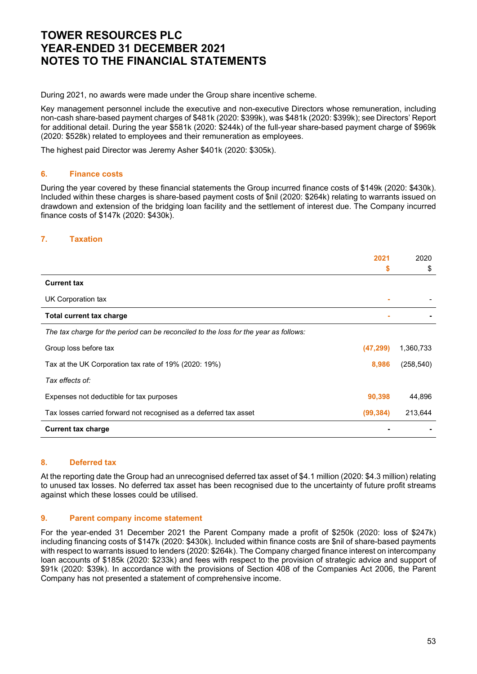During 2021, no awards were made under the Group share incentive scheme.

Key management personnel include the executive and non-executive Directors whose remuneration, including non-cash share-based payment charges of \$481k (2020: \$399k), was \$481k (2020: \$399k); see Directors' Report for additional detail. During the year \$581k (2020: \$244k) of the full-year share-based payment charge of \$969k (2020: \$528k) related to employees and their remuneration as employees.

The highest paid Director was Jeremy Asher \$401k (2020: \$305k).

### 6. Finance costs

During the year covered by these financial statements the Group incurred finance costs of \$149k (2020: \$430k). Included within these charges is share-based payment costs of \$nil (2020: \$264k) relating to warrants issued on drawdown and extension of the bridging loan facility and the settlement of interest due. The Company incurred finance costs of \$147k (2020: \$430k).

## 7. Taxation

|                                                                                      | 2021      | 2020       |
|--------------------------------------------------------------------------------------|-----------|------------|
|                                                                                      | \$        | \$         |
| <b>Current tax</b>                                                                   |           |            |
| UK Corporation tax                                                                   |           |            |
| <b>Total current tax charge</b>                                                      |           |            |
| The tax charge for the period can be reconciled to the loss for the year as follows: |           |            |
| Group loss before tax                                                                | (47, 299) | 1,360,733  |
| Tax at the UK Corporation tax rate of 19% (2020: 19%)                                | 8,986     | (258, 540) |
| Tax effects of:                                                                      |           |            |
| Expenses not deductible for tax purposes                                             | 90,398    | 44,896     |
| Tax losses carried forward not recognised as a deferred tax asset                    | (99, 384) | 213,644    |
| <b>Current tax charge</b>                                                            |           |            |

### 8. Deferred tax

At the reporting date the Group had an unrecognised deferred tax asset of \$4.1 million (2020: \$4.3 million) relating to unused tax losses. No deferred tax asset has been recognised due to the uncertainty of future profit streams against which these losses could be utilised.

#### 9. Parent company income statement

For the year-ended 31 December 2021 the Parent Company made a profit of \$250k (2020: loss of \$247k) including financing costs of \$147k (2020: \$430k). Included within finance costs are \$nil of share-based payments with respect to warrants issued to lenders (2020: \$264k). The Company charged finance interest on intercompany loan accounts of \$185k (2020: \$233k) and fees with respect to the provision of strategic advice and support of \$91k (2020: \$39k). In accordance with the provisions of Section 408 of the Companies Act 2006, the Parent Company has not presented a statement of comprehensive income.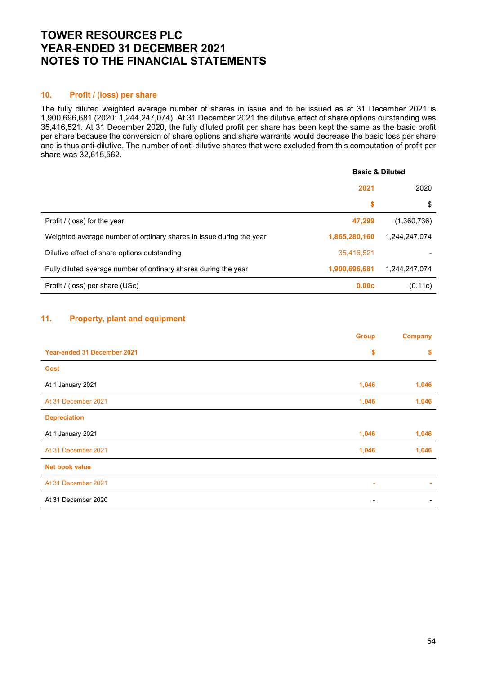### 10. Profit / (loss) per share

The fully diluted weighted average number of shares in issue and to be issued as at 31 December 2021 is 1,900,696,681 (2020: 1,244,247,074). At 31 December 2021 the dilutive effect of share options outstanding was 35,416,521. At 31 December 2020, the fully diluted profit per share has been kept the same as the basic profit per share because the conversion of share options and share warrants would decrease the basic loss per share and is thus anti-dilutive. The number of anti-dilutive shares that were excluded from this computation of profit per share was 32,615,562.

|                                                                     | <b>Basic &amp; Diluted</b> |               |  |
|---------------------------------------------------------------------|----------------------------|---------------|--|
|                                                                     | 2021                       | 2020          |  |
|                                                                     | \$                         | \$            |  |
| Profit / (loss) for the year                                        | 47,299                     | (1,360,736)   |  |
| Weighted average number of ordinary shares in issue during the year | 1,865,280,160              | 1,244,247,074 |  |
| Dilutive effect of share options outstanding                        | 35,416,521                 |               |  |
| Fully diluted average number of ordinary shares during the year     | 1,900,696,681              | 1.244.247.074 |  |
| Profit / (loss) per share (USc)                                     | 0.00c                      | (0.11c)       |  |

# 11. Property, plant and equipment

|                             | <b>Group</b>             | <b>Company</b> |
|-----------------------------|--------------------------|----------------|
| Year-ended 31 December 2021 | \$                       | \$             |
| <b>Cost</b>                 |                          |                |
| At 1 January 2021           | 1,046                    | 1,046          |
| At 31 December 2021         | 1,046                    | 1,046          |
| <b>Depreciation</b>         |                          |                |
| At 1 January 2021           | 1,046                    | 1,046          |
| At 31 December 2021         | 1,046                    | 1,046          |
| <b>Net book value</b>       |                          |                |
| At 31 December 2021         | ×.                       |                |
| At 31 December 2020         | $\overline{\phantom{0}}$ |                |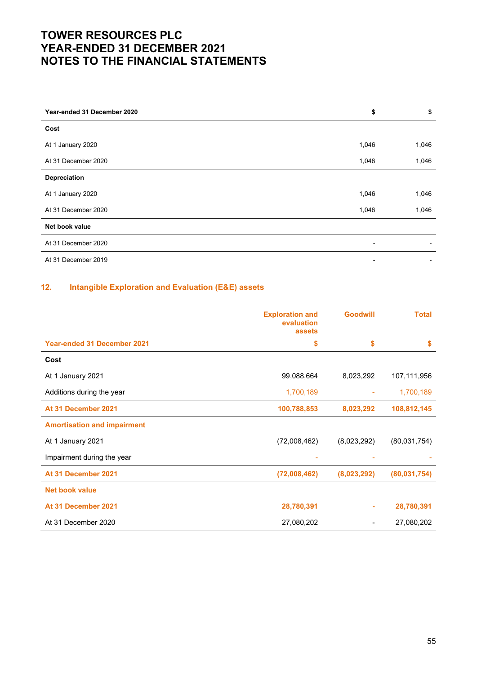| Year-ended 31 December 2020 | \$             | \$    |
|-----------------------------|----------------|-------|
| Cost                        |                |       |
| At 1 January 2020           | 1,046          | 1,046 |
| At 31 December 2020         | 1,046          | 1,046 |
| Depreciation                |                |       |
| At 1 January 2020           | 1,046          | 1,046 |
| At 31 December 2020         | 1,046          | 1,046 |
| Net book value              |                |       |
| At 31 December 2020         | -              |       |
| At 31 December 2019         | $\blacksquare$ |       |

# 12. Intangible Exploration and Evaluation (E&E) assets

|                                    | <b>Exploration and</b><br>evaluation<br>assets | <b>Goodwill</b> | <b>Total</b> |
|------------------------------------|------------------------------------------------|-----------------|--------------|
| <b>Year-ended 31 December 2021</b> | \$                                             | \$              | <b>S</b>     |
| Cost                               |                                                |                 |              |
| At 1 January 2021                  | 99,088,664                                     | 8,023,292       | 107,111,956  |
| Additions during the year          | 1,700,189                                      |                 | 1,700,189    |
| At 31 December 2021                | 100,788,853                                    | 8,023,292       | 108,812,145  |
| <b>Amortisation and impairment</b> |                                                |                 |              |
| At 1 January 2021                  | (72,008,462)                                   | (8,023,292)     | (80,031,754) |
| Impairment during the year         |                                                |                 |              |
| At 31 December 2021                | (72,008,462)                                   | (8,023,292)     | (80,031,754) |
| <b>Net book value</b>              |                                                |                 |              |
| At 31 December 2021                | 28,780,391                                     | ٠               | 28,780,391   |
| At 31 December 2020                | 27,080,202                                     |                 | 27,080,202   |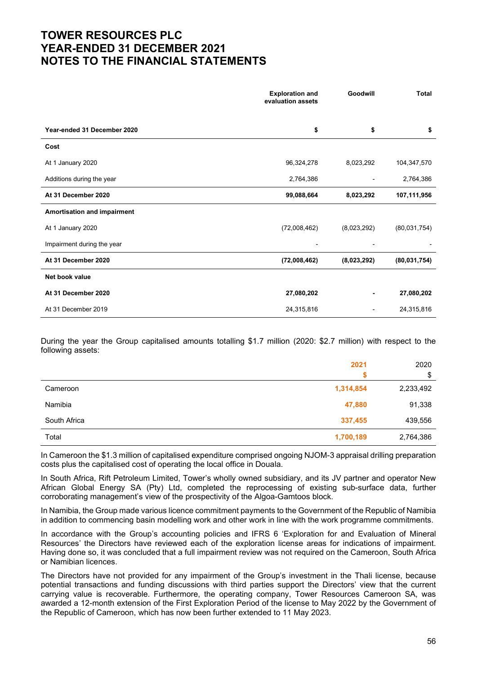|                             | <b>Exploration and</b><br>evaluation assets |             | <b>Total</b>   |
|-----------------------------|---------------------------------------------|-------------|----------------|
| Year-ended 31 December 2020 | \$                                          | \$          | \$             |
| Cost                        |                                             |             |                |
| At 1 January 2020           | 96,324,278                                  | 8,023,292   | 104,347,570    |
| Additions during the year   | 2,764,386                                   |             | 2,764,386      |
| At 31 December 2020         | 99,088,664                                  | 8,023,292   | 107,111,956    |
| Amortisation and impairment |                                             |             |                |
| At 1 January 2020           | (72,008,462)                                | (8,023,292) | (80,031,754)   |
| Impairment during the year  |                                             |             |                |
| At 31 December 2020         | (72,008,462)                                | (8,023,292) | (80, 031, 754) |
| Net book value              |                                             |             |                |
| At 31 December 2020         | 27,080,202                                  |             | 27,080,202     |
| At 31 December 2019         | 24,315,816                                  | ۰           | 24,315,816     |

During the year the Group capitalised amounts totalling \$1.7 million (2020: \$2.7 million) with respect to the following assets:

|              | 2021      | 2020      |
|--------------|-----------|-----------|
|              |           | \$        |
| Cameroon     | 1,314,854 | 2,233,492 |
| Namibia      | 47,880    | 91,338    |
| South Africa | 337,455   | 439,556   |
| Total        | 1,700,189 | 2,764,386 |

In Cameroon the \$1.3 million of capitalised expenditure comprised ongoing NJOM-3 appraisal drilling preparation costs plus the capitalised cost of operating the local office in Douala.

In South Africa, Rift Petroleum Limited, Tower's wholly owned subsidiary, and its JV partner and operator New African Global Energy SA (Pty) Ltd, completed the reprocessing of existing sub-surface data, further corroborating management's view of the prospectivity of the Algoa-Gamtoos block.

In Namibia, the Group made various licence commitment payments to the Government of the Republic of Namibia in addition to commencing basin modelling work and other work in line with the work programme commitments.

In accordance with the Group's accounting policies and IFRS 6 'Exploration for and Evaluation of Mineral Resources' the Directors have reviewed each of the exploration license areas for indications of impairment. Having done so, it was concluded that a full impairment review was not required on the Cameroon, South Africa or Namibian licences.

The Directors have not provided for any impairment of the Group's investment in the Thali license, because potential transactions and funding discussions with third parties support the Directors' view that the current carrying value is recoverable. Furthermore, the operating company, Tower Resources Cameroon SA, was awarded a 12-month extension of the First Exploration Period of the license to May 2022 by the Government of the Republic of Cameroon, which has now been further extended to 11 May 2023.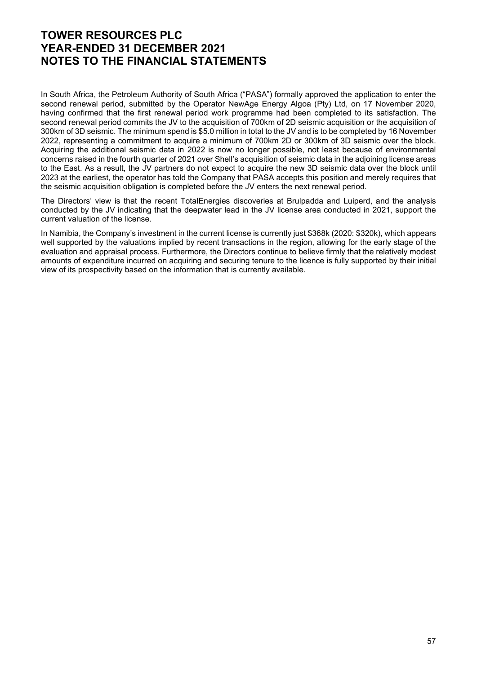In South Africa, the Petroleum Authority of South Africa ("PASA") formally approved the application to enter the second renewal period, submitted by the Operator NewAge Energy Algoa (Pty) Ltd, on 17 November 2020, having confirmed that the first renewal period work programme had been completed to its satisfaction. The second renewal period commits the JV to the acquisition of 700km of 2D seismic acquisition or the acquisition of 300km of 3D seismic. The minimum spend is \$5.0 million in total to the JV and is to be completed by 16 November 2022, representing a commitment to acquire a minimum of 700km 2D or 300km of 3D seismic over the block. Acquiring the additional seismic data in 2022 is now no longer possible, not least because of environmental concerns raised in the fourth quarter of 2021 over Shell's acquisition of seismic data in the adjoining license areas to the East. As a result, the JV partners do not expect to acquire the new 3D seismic data over the block until 2023 at the earliest, the operator has told the Company that PASA accepts this position and merely requires that the seismic acquisition obligation is completed before the JV enters the next renewal period.

The Directors' view is that the recent TotalEnergies discoveries at Brulpadda and Luiperd, and the analysis conducted by the JV indicating that the deepwater lead in the JV license area conducted in 2021, support the current valuation of the license.

In Namibia, the Company's investment in the current license is currently just \$368k (2020: \$320k), which appears well supported by the valuations implied by recent transactions in the region, allowing for the early stage of the evaluation and appraisal process. Furthermore, the Directors continue to believe firmly that the relatively modest amounts of expenditure incurred on acquiring and securing tenure to the licence is fully supported by their initial view of its prospectivity based on the information that is currently available.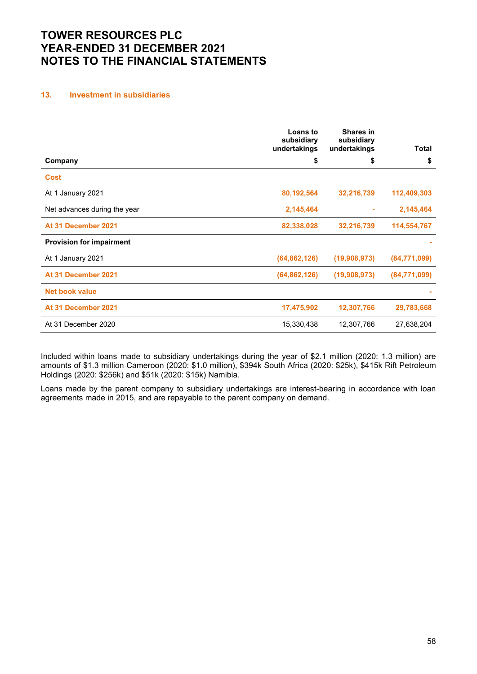## 13. Investment in subsidiaries

|                                 | <b>Loans to</b><br>subsidiary<br>undertakings | <b>Shares in</b><br>subsidiary<br>undertakings | <b>Total</b> |
|---------------------------------|-----------------------------------------------|------------------------------------------------|--------------|
| Company                         | \$                                            | \$                                             | \$           |
| <b>Cost</b>                     |                                               |                                                |              |
| At 1 January 2021               | 80,192,564                                    | 32,216,739                                     | 112,409,303  |
| Net advances during the year    | 2,145,464                                     |                                                | 2,145,464    |
| At 31 December 2021             | 82,338,028                                    | 32,216,739                                     | 114,554,767  |
| <b>Provision for impairment</b> |                                               |                                                |              |
| At 1 January 2021               | (64, 862, 126)                                | (19,908,973)                                   | (84,771,099) |
| At 31 December 2021             | (64, 862, 126)                                | (19,908,973)                                   | (84,771,099) |
| <b>Net book value</b>           |                                               |                                                |              |
| At 31 December 2021             | 17,475,902                                    | 12,307,766                                     | 29,783,668   |
| At 31 December 2020             | 15,330,438                                    | 12,307,766                                     | 27,638,204   |

Included within loans made to subsidiary undertakings during the year of \$2.1 million (2020: 1.3 million) are amounts of \$1.3 million Cameroon (2020: \$1.0 million), \$394k South Africa (2020: \$25k), \$415k Rift Petroleum Holdings (2020: \$256k) and \$51k (2020: \$15k) Namibia.

Loans made by the parent company to subsidiary undertakings are interest-bearing in accordance with loan agreements made in 2015, and are repayable to the parent company on demand.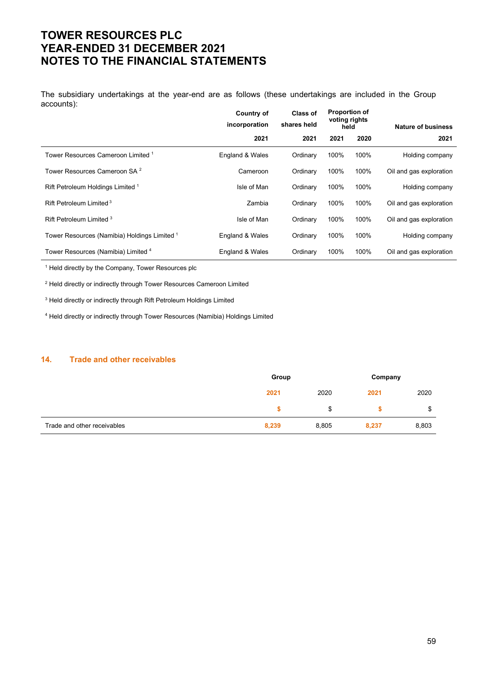The subsidiary undertakings at the year-end are as follows (these undertakings are included in the Group accounts):

|                                              | Country of<br>incorporation | <b>Class of</b><br>shares held | <b>Proportion of</b><br>voting rights<br>held |      | <b>Nature of business</b> |
|----------------------------------------------|-----------------------------|--------------------------------|-----------------------------------------------|------|---------------------------|
|                                              | 2021                        | 2021                           | 2021                                          | 2020 | 2021                      |
| Tower Resources Cameroon Limited 1           | England & Wales             | Ordinary                       | 100%                                          | 100% | Holding company           |
| Tower Resources Cameroon SA <sup>2</sup>     | Cameroon                    | Ordinary                       | 100%                                          | 100% | Oil and gas exploration   |
| Rift Petroleum Holdings Limited 1            | Isle of Man                 | Ordinary                       | 100%                                          | 100% | Holding company           |
| Rift Petroleum Limited <sup>3</sup>          | Zambia                      | Ordinary                       | 100%                                          | 100% | Oil and gas exploration   |
| Rift Petroleum Limited 3                     | Isle of Man                 | Ordinary                       | 100%                                          | 100% | Oil and gas exploration   |
| Tower Resources (Namibia) Holdings Limited 1 | England & Wales             | Ordinary                       | 100%                                          | 100% | Holding company           |
| Tower Resources (Namibia) Limited 4          | England & Wales             | Ordinary                       | 100%                                          | 100% | Oil and gas exploration   |

1 Held directly by the Company, Tower Resources plc

<sup>2</sup> Held directly or indirectly through Tower Resources Cameroon Limited

3 Held directly or indirectly through Rift Petroleum Holdings Limited

<sup>4</sup> Held directly or indirectly through Tower Resources (Namibia) Holdings Limited

#### 14. Trade and other receivables

|                             | Group |       | Company |       |
|-----------------------------|-------|-------|---------|-------|
|                             | 2021  | 2020  | 2021    | 2020  |
|                             |       | \$    |         | \$    |
| Trade and other receivables | 8,239 | 8,805 | 8,237   | 8,803 |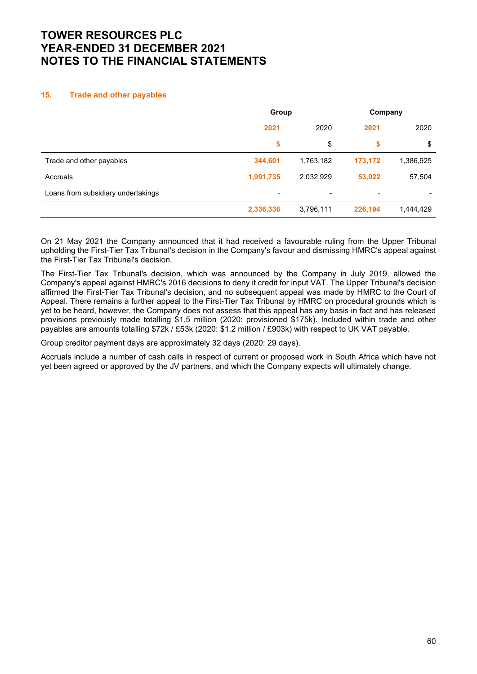## 15. Trade and other payables

|                                    | Group     |           | Company |           |  |
|------------------------------------|-----------|-----------|---------|-----------|--|
|                                    | 2021      | 2020      | 2021    | 2020      |  |
|                                    | \$        | \$        | \$      | \$        |  |
| Trade and other payables           | 344,601   | 1,763,182 | 173,172 | 1,386,925 |  |
| Accruals                           | 1,991,735 | 2,032,929 | 53,022  | 57,504    |  |
| Loans from subsidiary undertakings | ٠         | $\,$      | ٠       |           |  |
|                                    | 2,336,336 | 3,796,111 | 226,194 | 1,444,429 |  |

On 21 May 2021 the Company announced that it had received a favourable ruling from the Upper Tribunal upholding the First-Tier Tax Tribunal's decision in the Company's favour and dismissing HMRC's appeal against the First-Tier Tax Tribunal's decision.

The First-Tier Tax Tribunal's decision, which was announced by the Company in July 2019, allowed the Company's appeal against HMRC's 2016 decisions to deny it credit for input VAT. The Upper Tribunal's decision affirmed the First-Tier Tax Tribunal's decision, and no subsequent appeal was made by HMRC to the Court of Appeal. There remains a further appeal to the First-Tier Tax Tribunal by HMRC on procedural grounds which is yet to be heard, however, the Company does not assess that this appeal has any basis in fact and has released provisions previously made totalling \$1.5 million (2020: provisioned \$175k). Included within trade and other payables are amounts totalling \$72k / £53k (2020: \$1.2 million / £903k) with respect to UK VAT payable.

Group creditor payment days are approximately 32 days (2020: 29 days).

Accruals include a number of cash calls in respect of current or proposed work in South Africa which have not yet been agreed or approved by the JV partners, and which the Company expects will ultimately change.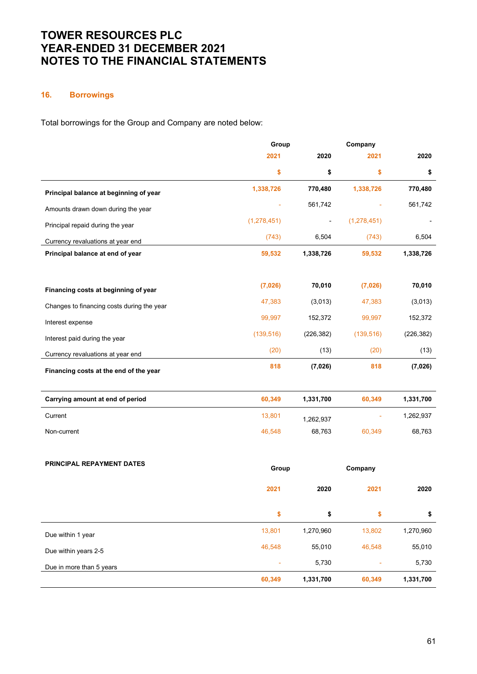# 16. Borrowings

Total borrowings for the Group and Company are noted below:

|                                            | Group         |            | Company       |            |
|--------------------------------------------|---------------|------------|---------------|------------|
|                                            | 2021          | 2020       | 2021          | 2020       |
|                                            | \$            | \$         | \$            | \$         |
| Principal balance at beginning of year     | 1,338,726     | 770,480    | 1,338,726     | 770,480    |
| Amounts drawn down during the year         |               | 561,742    |               | 561,742    |
| Principal repaid during the year           | (1, 278, 451) |            | (1, 278, 451) |            |
| Currency revaluations at year end          | (743)         | 6,504      | (743)         | 6,504      |
| Principal balance at end of year           | 59,532        | 1,338,726  | 59,532        | 1,338,726  |
|                                            | (7,026)       | 70,010     | (7,026)       | 70,010     |
| Financing costs at beginning of year       | 47,383        | (3,013)    | 47,383        | (3,013)    |
| Changes to financing costs during the year |               |            |               |            |
| Interest expense                           | 99,997        | 152,372    | 99,997        | 152,372    |
| Interest paid during the year              | (139, 516)    | (226, 382) | (139, 516)    | (226, 382) |
| Currency revaluations at year end          | (20)          | (13)       | (20)          | (13)       |
| Financing costs at the end of the year     | 818           | (7,026)    | 818           | (7, 026)   |
| Carrying amount at end of period           | 60,349        | 1,331,700  | 60,349        | 1,331,700  |
| Current                                    | 13,801        | 1,262,937  | ÷             | 1,262,937  |
| Non-current                                | 46,548        | 68,763     | 60,349        | 68,763     |
|                                            |               |            |               |            |
| PRINCIPAL REPAYMENT DATES                  | Group         |            | Company       |            |
|                                            | 2021          | 2020       | 2021          | 2020       |
|                                            | \$            | \$         | \$            | \$         |
| Due within 1 year                          | 13,801        | 1,270,960  | 13,802        | 1,270,960  |
| Due within years 2-5                       | 46,548        | 55,010     | 46,548        | 55,010     |
| Due in more than 5 years                   |               | 5,730      |               | 5,730      |
|                                            | 60,349        | 1,331,700  | 60,349        | 1,331,700  |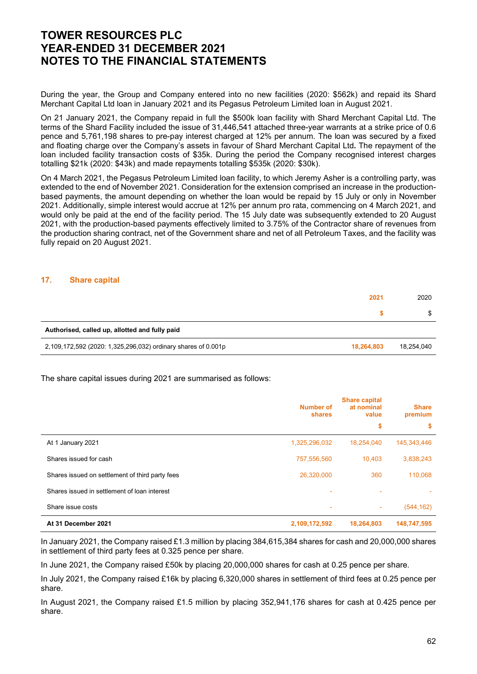During the year, the Group and Company entered into no new facilities (2020: \$562k) and repaid its Shard Merchant Capital Ltd loan in January 2021 and its Pegasus Petroleum Limited loan in August 2021.

On 21 January 2021, the Company repaid in full the \$500k loan facility with Shard Merchant Capital Ltd. The terms of the Shard Facility included the issue of 31,446,541 attached three-year warrants at a strike price of 0.6 pence and 5,761,198 shares to pre-pay interest charged at 12% per annum. The loan was secured by a fixed and floating charge over the Company's assets in favour of Shard Merchant Capital Ltd. The repayment of the loan included facility transaction costs of \$35k. During the period the Company recognised interest charges totalling \$21k (2020: \$43k) and made repayments totalling \$535k (2020: \$30k).

On 4 March 2021, the Pegasus Petroleum Limited loan facility, to which Jeremy Asher is a controlling party, was extended to the end of November 2021. Consideration for the extension comprised an increase in the productionbased payments, the amount depending on whether the loan would be repaid by 15 July or only in November 2021. Additionally, simple interest would accrue at 12% per annum pro rata, commencing on 4 March 2021, and would only be paid at the end of the facility period. The 15 July date was subsequently extended to 20 August 2021, with the production-based payments effectively limited to 3.75% of the Contractor share of revenues from the production sharing contract, net of the Government share and net of all Petroleum Taxes, and the facility was fully repaid on 20 August 2021.

#### 17. Share capital

|                                                               | 2021       | 2020       |
|---------------------------------------------------------------|------------|------------|
|                                                               |            | \$         |
| Authorised, called up, allotted and fully paid                |            |            |
| 2,109,172,592 (2020: 1,325,296,032) ordinary shares of 0.001p | 18,264,803 | 18,254,040 |

The share capital issues during 2021 are summarised as follows:

|                                                 | Number of<br><b>shares</b> | <b>Share capital</b><br>at nominal<br>value | <b>Share</b><br>premium |
|-------------------------------------------------|----------------------------|---------------------------------------------|-------------------------|
|                                                 |                            | \$                                          | s                       |
| At 1 January 2021                               | 1,325,296,032              | 18,254,040                                  | 145,343,446             |
| Shares issued for cash                          | 757,556,560                | 10.403                                      | 3,838,243               |
| Shares issued on settlement of third party fees | 26,320,000                 | 360                                         | 110,068                 |
| Shares issued in settlement of loan interest    |                            |                                             |                         |
| Share issue costs                               | ٠                          | ٠                                           | (544, 162)              |
| At 31 December 2021                             | 2,109,172,592              | 18,264,803                                  | 148,747,595             |

In January 2021, the Company raised £1.3 million by placing 384,615,384 shares for cash and 20,000,000 shares in settlement of third party fees at 0.325 pence per share.

In June 2021, the Company raised £50k by placing 20,000,000 shares for cash at 0.25 pence per share.

In July 2021, the Company raised £16k by placing 6,320,000 shares in settlement of third fees at 0.25 pence per share.

In August 2021, the Company raised £1.5 million by placing 352,941,176 shares for cash at 0.425 pence per share.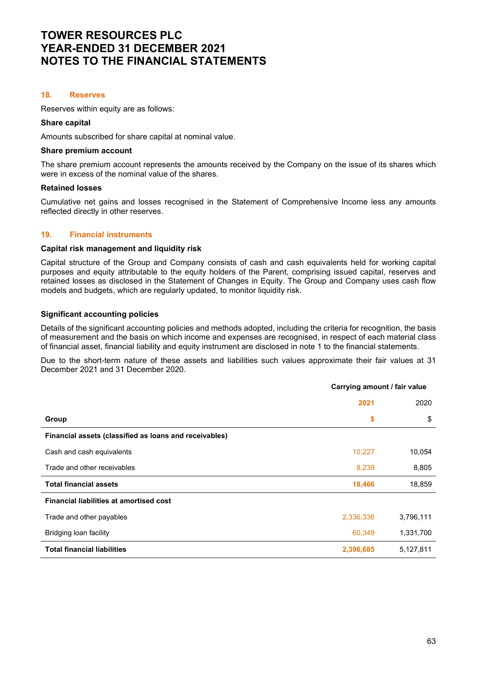### 18. Reserves

Reserves within equity are as follows:

#### Share capital

Amounts subscribed for share capital at nominal value.

#### Share premium account

The share premium account represents the amounts received by the Company on the issue of its shares which were in excess of the nominal value of the shares.

### Retained losses

Cumulative net gains and losses recognised in the Statement of Comprehensive Income less any amounts reflected directly in other reserves.

### 19. Financial instruments

#### Capital risk management and liquidity risk

Capital structure of the Group and Company consists of cash and cash equivalents held for working capital purposes and equity attributable to the equity holders of the Parent, comprising issued capital, reserves and retained losses as disclosed in the Statement of Changes in Equity. The Group and Company uses cash flow models and budgets, which are regularly updated, to monitor liquidity risk.

### Significant accounting policies

Details of the significant accounting policies and methods adopted, including the criteria for recognition, the basis of measurement and the basis on which income and expenses are recognised, in respect of each material class of financial asset, financial liability and equity instrument are disclosed in note 1 to the financial statements.

Due to the short-term nature of these assets and liabilities such values approximate their fair values at 31 December 2021 and 31 December 2020.

|                                                        | Garrynig amount / Iail Value |           |
|--------------------------------------------------------|------------------------------|-----------|
|                                                        | 2021                         | 2020      |
| Group                                                  | \$                           | \$        |
| Financial assets (classified as loans and receivables) |                              |           |
| Cash and cash equivalents                              | 10,227                       | 10,054    |
| Trade and other receivables                            | 8,239                        | 8,805     |
| <b>Total financial assets</b>                          | 18,466                       | 18,859    |
| <b>Financial liabilities at amortised cost</b>         |                              |           |
| Trade and other payables                               | 2,336,336                    | 3,796,111 |
| Bridging loan facility                                 | 60,349                       | 1,331,700 |
| <b>Total financial liabilities</b>                     | 2,396,685                    | 5,127,811 |

Carrying amount / fair value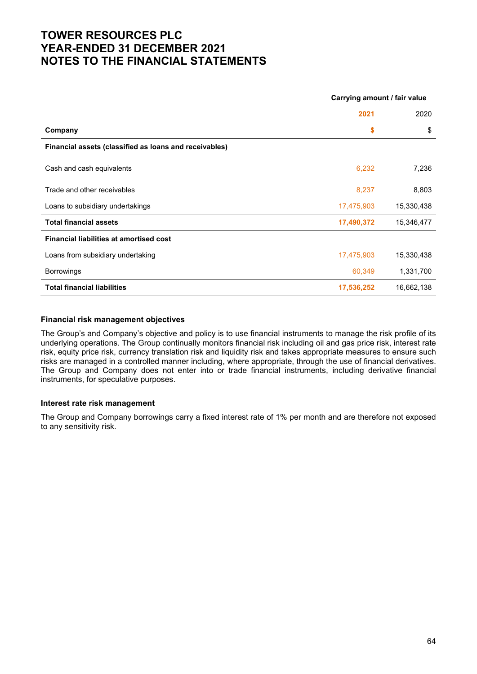|                                                        | $\frac{1}{2}$ |            |
|--------------------------------------------------------|---------------|------------|
|                                                        | 2021          | 2020       |
| Company                                                | \$            | \$         |
| Financial assets (classified as loans and receivables) |               |            |
| Cash and cash equivalents                              | 6,232         | 7,236      |
| Trade and other receivables                            | 8,237         | 8,803      |
| Loans to subsidiary undertakings                       | 17,475,903    | 15,330,438 |
| <b>Total financial assets</b>                          | 17,490,372    | 15,346,477 |
| <b>Financial liabilities at amortised cost</b>         |               |            |
| Loans from subsidiary undertaking                      | 17,475,903    | 15,330,438 |
| <b>Borrowings</b>                                      | 60,349        | 1,331,700  |
| <b>Total financial liabilities</b>                     | 17,536,252    | 16,662,138 |

Carrying amount / fair value

### Financial risk management objectives

The Group's and Company's objective and policy is to use financial instruments to manage the risk profile of its underlying operations. The Group continually monitors financial risk including oil and gas price risk, interest rate risk, equity price risk, currency translation risk and liquidity risk and takes appropriate measures to ensure such risks are managed in a controlled manner including, where appropriate, through the use of financial derivatives. The Group and Company does not enter into or trade financial instruments, including derivative financial instruments, for speculative purposes.

### Interest rate risk management

The Group and Company borrowings carry a fixed interest rate of 1% per month and are therefore not exposed to any sensitivity risk.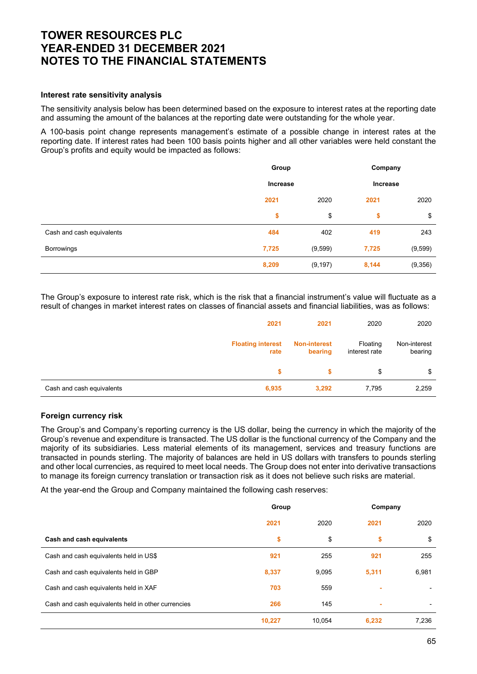### Interest rate sensitivity analysis

The sensitivity analysis below has been determined based on the exposure to interest rates at the reporting date and assuming the amount of the balances at the reporting date were outstanding for the whole year.

A 100-basis point change represents management's estimate of a possible change in interest rates at the reporting date. If interest rates had been 100 basis points higher and all other variables were held constant the Group's profits and equity would be impacted as follows:

|                           | Group<br><b>Increase</b> |          | Company<br>Increase |          |
|---------------------------|--------------------------|----------|---------------------|----------|
|                           |                          |          |                     |          |
|                           | 2021                     | 2020     | 2021                | 2020     |
|                           | \$                       | \$       | \$                  | \$       |
| Cash and cash equivalents | 484                      | 402      | 419                 | 243      |
| <b>Borrowings</b>         | 7,725                    | (9,599)  | 7,725               | (9, 599) |
|                           | 8,209                    | (9, 197) | 8,144               | (9,356)  |

The Group's exposure to interest rate risk, which is the risk that a financial instrument's value will fluctuate as a result of changes in market interest rates on classes of financial assets and financial liabilities, was as follows:

| 2021                               | 2021                           | 2020                      | 2020                    |
|------------------------------------|--------------------------------|---------------------------|-------------------------|
| <b>Floating interest</b><br>rate   | <b>Non-interest</b><br>bearing | Floating<br>interest rate | Non-interest<br>bearing |
|                                    |                                | \$                        | \$                      |
| Cash and cash equivalents<br>6,935 | 3,292                          | 7,795                     | 2,259                   |

### Foreign currency risk

The Group's and Company's reporting currency is the US dollar, being the currency in which the majority of the Group's revenue and expenditure is transacted. The US dollar is the functional currency of the Company and the majority of its subsidiaries. Less material elements of its management, services and treasury functions are transacted in pounds sterling. The majority of balances are held in US dollars with transfers to pounds sterling and other local currencies, as required to meet local needs. The Group does not enter into derivative transactions to manage its foreign currency translation or transaction risk as it does not believe such risks are material.

At the year-end the Group and Company maintained the following cash reserves:

|                                                    | Group  |        |       | Company |
|----------------------------------------------------|--------|--------|-------|---------|
|                                                    | 2021   | 2020   | 2021  | 2020    |
| Cash and cash equivalents                          | \$     | \$     | \$    | \$      |
| Cash and cash equivalents held in US\$             | 921    | 255    | 921   | 255     |
| Cash and cash equivalents held in GBP              | 8,337  | 9,095  | 5,311 | 6,981   |
| Cash and cash equivalents held in XAF              | 703    | 559    | ۰     |         |
| Cash and cash equivalents held in other currencies | 266    | 145    | ٠     |         |
|                                                    | 10,227 | 10.054 | 6,232 | 7,236   |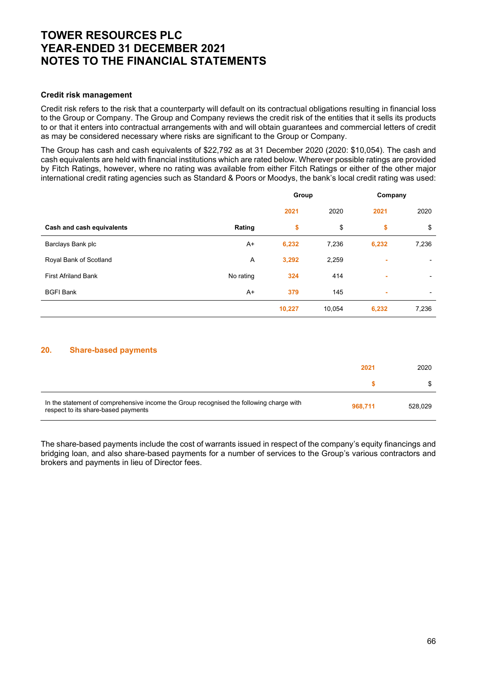### Credit risk management

Credit risk refers to the risk that a counterparty will default on its contractual obligations resulting in financial loss to the Group or Company. The Group and Company reviews the credit risk of the entities that it sells its products to or that it enters into contractual arrangements with and will obtain guarantees and commercial letters of credit as may be considered necessary where risks are significant to the Group or Company.

The Group has cash and cash equivalents of \$22,792 as at 31 December 2020 (2020: \$10,054). The cash and cash equivalents are held with financial institutions which are rated below. Wherever possible ratings are provided by Fitch Ratings, however, where no rating was available from either Fitch Ratings or either of the other major international credit rating agencies such as Standard & Poors or Moodys, the bank's local credit rating was used:

|                            |           |        | Group  |       | Company                  |
|----------------------------|-----------|--------|--------|-------|--------------------------|
|                            |           | 2021   | 2020   | 2021  | 2020                     |
| Cash and cash equivalents  | Rating    | \$     | \$     | \$    | \$                       |
| Barclays Bank plc          | $A+$      | 6,232  | 7,236  | 6,232 | 7,236                    |
| Royal Bank of Scotland     | Α         | 3,292  | 2,259  | ٠     | $\overline{\phantom{a}}$ |
| <b>First Afriland Bank</b> | No rating | 324    | 414    | ×.    | $\overline{\phantom{a}}$ |
| <b>BGFI Bank</b>           | $A+$      | 379    | 145    | ٠     | $\overline{\phantom{a}}$ |
|                            |           | 10,227 | 10,054 | 6,232 | 7,236                    |

### 20. Share-based payments

|                                                                                                                                | 2021    | 2020    |
|--------------------------------------------------------------------------------------------------------------------------------|---------|---------|
|                                                                                                                                |         |         |
| In the statement of comprehensive income the Group recognised the following charge with<br>respect to its share-based payments | 968.711 | 528.029 |

The share-based payments include the cost of warrants issued in respect of the company's equity financings and bridging loan, and also share-based payments for a number of services to the Group's various contractors and brokers and payments in lieu of Director fees.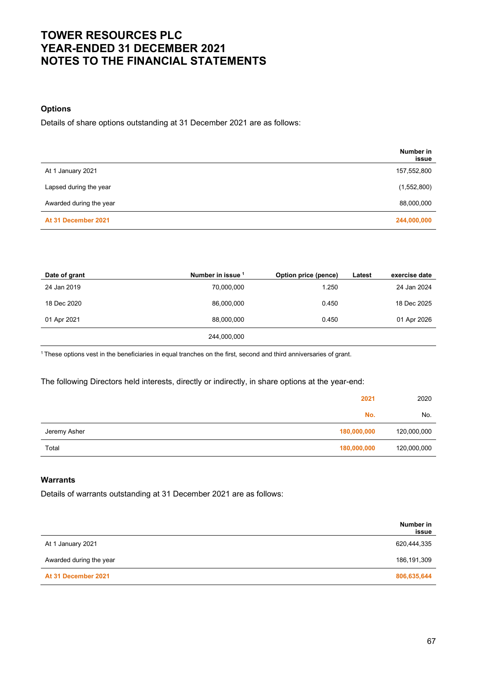### **Options**

Details of share options outstanding at 31 December 2021 are as follows:

|                         | Number in<br>issue |
|-------------------------|--------------------|
| At 1 January 2021       | 157,552,800        |
| Lapsed during the year  | (1,552,800)        |
| Awarded during the year | 88,000,000         |
| At 31 December 2021     | 244,000,000        |

| Date of grant | Number in issue 1 | Option price (pence) | Latest | exercise date |
|---------------|-------------------|----------------------|--------|---------------|
| 24 Jan 2019   | 70,000,000        | 1.250                |        | 24 Jan 2024   |
| 18 Dec 2020   | 86,000,000        | 0.450                |        | 18 Dec 2025   |
| 01 Apr 2021   | 88,000,000        | 0.450                |        | 01 Apr 2026   |
|               | 244,000,000       |                      |        |               |

<sup>1</sup>These options vest in the beneficiaries in equal tranches on the first, second and third anniversaries of grant.

The following Directors held interests, directly or indirectly, in share options at the year-end:

|              | 2021        | 2020        |
|--------------|-------------|-------------|
|              | No.         | No.         |
| Jeremy Asher | 180,000,000 | 120,000,000 |
| Total        | 180,000,000 | 120,000,000 |

## Warrants

Details of warrants outstanding at 31 December 2021 are as follows:

|                         | Number in<br>issue |
|-------------------------|--------------------|
| At 1 January 2021       | 620,444,335        |
| Awarded during the year | 186,191,309        |
| At 31 December 2021     | 806,635,644        |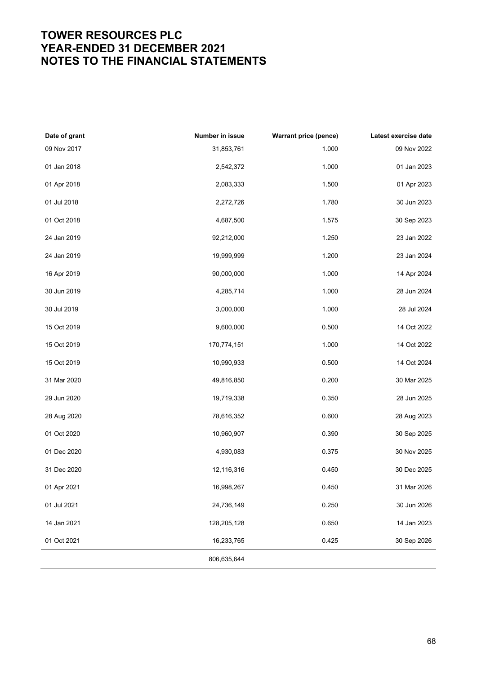| Date of grant | Number in issue | <b>Warrant price (pence)</b> | Latest exercise date |
|---------------|-----------------|------------------------------|----------------------|
| 09 Nov 2017   | 31,853,761      | 1.000                        | 09 Nov 2022          |
| 01 Jan 2018   | 2,542,372       | 1.000                        | 01 Jan 2023          |
| 01 Apr 2018   | 2,083,333       | 1.500                        | 01 Apr 2023          |
| 01 Jul 2018   | 2,272,726       | 1.780                        | 30 Jun 2023          |
| 01 Oct 2018   | 4,687,500       | 1.575                        | 30 Sep 2023          |
| 24 Jan 2019   | 92,212,000      | 1.250                        | 23 Jan 2022          |
| 24 Jan 2019   | 19,999,999      | 1.200                        | 23 Jan 2024          |
| 16 Apr 2019   | 90,000,000      | 1.000                        | 14 Apr 2024          |
| 30 Jun 2019   | 4,285,714       | 1.000                        | 28 Jun 2024          |
| 30 Jul 2019   | 3,000,000       | 1.000                        | 28 Jul 2024          |
| 15 Oct 2019   | 9,600,000       | 0.500                        | 14 Oct 2022          |
| 15 Oct 2019   | 170,774,151     | 1.000                        | 14 Oct 2022          |
| 15 Oct 2019   | 10,990,933      | 0.500                        | 14 Oct 2024          |
| 31 Mar 2020   | 49,816,850      | 0.200                        | 30 Mar 2025          |
| 29 Jun 2020   | 19,719,338      | 0.350                        | 28 Jun 2025          |
| 28 Aug 2020   | 78,616,352      | 0.600                        | 28 Aug 2023          |
| 01 Oct 2020   | 10,960,907      | 0.390                        | 30 Sep 2025          |
| 01 Dec 2020   | 4,930,083       | 0.375                        | 30 Nov 2025          |
| 31 Dec 2020   | 12,116,316      | 0.450                        | 30 Dec 2025          |
| 01 Apr 2021   | 16,998,267      | 0.450                        | 31 Mar 2026          |
| 01 Jul 2021   | 24,736,149      | 0.250                        | 30 Jun 2026          |
| 14 Jan 2021   | 128,205,128     | 0.650                        | 14 Jan 2023          |
| 01 Oct 2021   | 16,233,765      | 0.425                        | 30 Sep 2026          |
|               | 806,635,644     |                              |                      |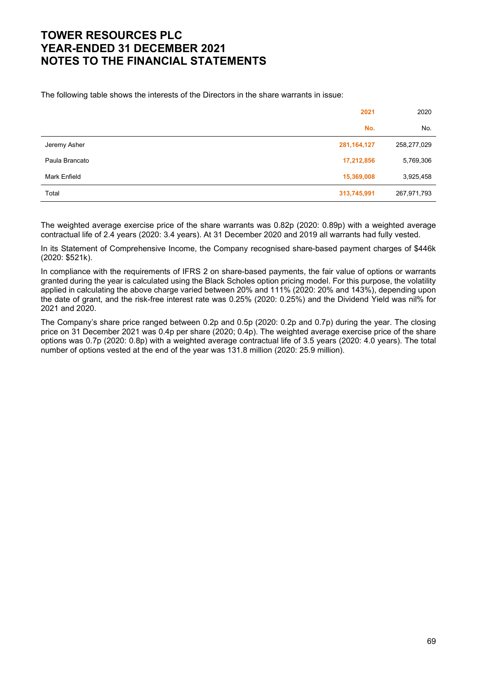The following table shows the interests of the Directors in the share warrants in issue:

|                | 2021          | 2020        |
|----------------|---------------|-------------|
|                | No.           | No.         |
| Jeremy Asher   | 281, 164, 127 | 258,277,029 |
| Paula Brancato | 17,212,856    | 5,769,306   |
| Mark Enfield   | 15,369,008    | 3,925,458   |
| Total          | 313,745,991   | 267,971,793 |

The weighted average exercise price of the share warrants was 0.82p (2020: 0.89p) with a weighted average contractual life of 2.4 years (2020: 3.4 years). At 31 December 2020 and 2019 all warrants had fully vested.

In its Statement of Comprehensive Income, the Company recognised share-based payment charges of \$446k (2020: \$521k).

In compliance with the requirements of IFRS 2 on share-based payments, the fair value of options or warrants granted during the year is calculated using the Black Scholes option pricing model. For this purpose, the volatility applied in calculating the above charge varied between 20% and 111% (2020: 20% and 143%), depending upon the date of grant, and the risk-free interest rate was 0.25% (2020: 0.25%) and the Dividend Yield was nil% for 2021 and 2020.

The Company's share price ranged between 0.2p and 0.5p (2020: 0.2p and 0.7p) during the year. The closing price on 31 December 2021 was 0.4p per share (2020; 0.4p). The weighted average exercise price of the share options was 0.7p (2020: 0.8p) with a weighted average contractual life of 3.5 years (2020: 4.0 years). The total number of options vested at the end of the year was 131.8 million (2020: 25.9 million).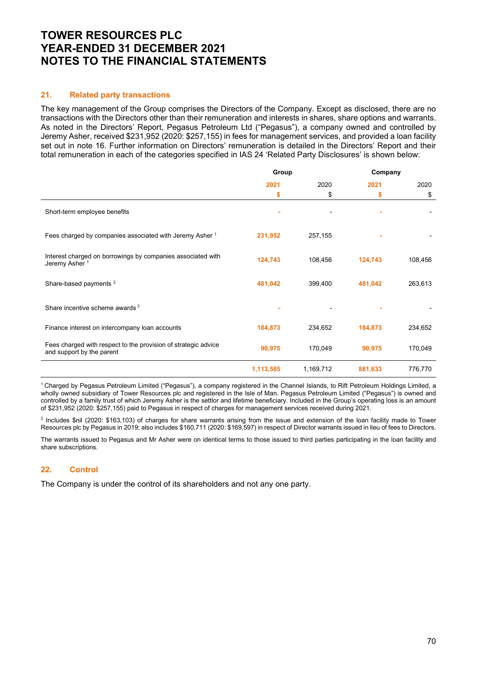#### 21. Related party transactions

The key management of the Group comprises the Directors of the Company. Except as disclosed, there are no transactions with the Directors other than their remuneration and interests in shares, share options and warrants. As noted in the Directors' Report, Pegasus Petroleum Ltd ("Pegasus"), a company owned and controlled by Jeremy Asher, received \$231,952 (2020: \$257,155) in fees for management services, and provided a loan facility set out in note 16. Further information on Directors' remuneration is detailed in the Directors' Report and their total remuneration in each of the categories specified in IAS 24 'Related Party Disclosures' is shown below:

|                                                                                             | Group     |           | Company |         |
|---------------------------------------------------------------------------------------------|-----------|-----------|---------|---------|
|                                                                                             | 2021      | 2020      | 2021    | 2020    |
|                                                                                             | \$        | \$        | \$      | \$      |
| Short-term employee benefits                                                                |           |           |         |         |
| Fees charged by companies associated with Jeremy Asher <sup>1</sup>                         | 231,952   | 257,155   |         |         |
| Interest charged on borrowings by companies associated with<br>Jeremy Asher <sup>1</sup>    | 124,743   | 108,456   | 124,743 | 108,456 |
| Share-based payments <sup>2</sup>                                                           | 481,042   | 399,400   | 481,042 | 263,613 |
| Share incentive scheme awards <sup>3</sup>                                                  |           |           |         |         |
| Finance interest on intercompany loan accounts                                              | 184,873   | 234,652   | 184,873 | 234,652 |
| Fees charged with respect to the provision of strategic advice<br>and support by the parent | 90,975    | 170,049   | 90,975  | 170,049 |
|                                                                                             | 1,113,585 | 1,169,712 | 881,633 | 776,770 |

<sup>1</sup>Charged by Pegasus Petroleum Limited ("Pegasus"), a company registered in the Channel Islands, to Rift Petroleum Holdings Limited, a wholly owned subsidiary of Tower Resources plc and registered in the Isle of Man. Pegasus Petroleum Limited ("Pegasus") is owned and controlled by a family trust of which Jeremy Asher is the settlor and lifetime beneficiary. Included in the Group's operating loss is an amount of \$231,952 (2020: \$257,155) paid to Pegasus in respect of charges for management services received during 2021.

2 Includes \$nil (2020: \$163,103) of charges for share warrants arising from the issue and extension of the loan facility made to Tower Resources plc by Pegasus in 2019; also includes \$160,711 (2020: \$169,597) in respect of Director warrants issued in lieu of fees to Directors.

The warrants issued to Pegasus and Mr Asher were on identical terms to those issued to third parties participating in the loan facility and share subscriptions.

### 22. Control

The Company is under the control of its shareholders and not any one party.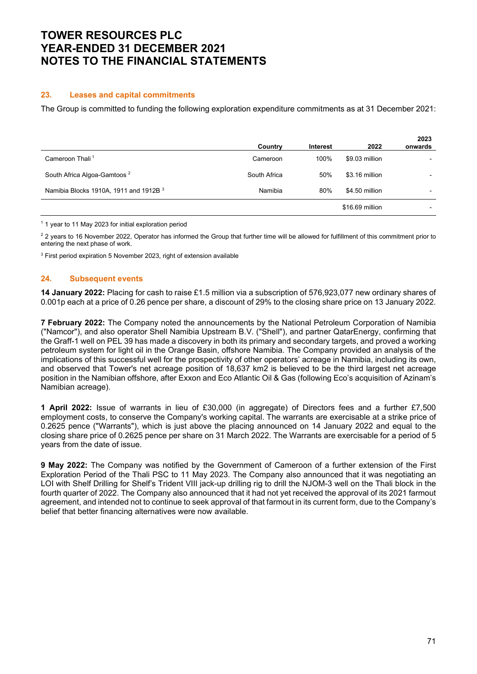## TOWER RESOURCES PLC YEAR-ENDED 31 DECEMBER 2021 NOTES TO THE FINANCIAL STATEMENTS

## 23. Leases and capital commitments

The Group is committed to funding the following exploration expenditure commitments as at 31 December 2021:

|                                         | Country      | <b>Interest</b> | 2022            | 2023<br>onwards |
|-----------------------------------------|--------------|-----------------|-----------------|-----------------|
| Cameroon Thali <sup>1</sup>             | Cameroon     | 100%            | \$9.03 million  |                 |
| South Africa Algoa-Gamtoos <sup>2</sup> | South Africa | 50%             | \$3.16 million  |                 |
| Namibia Blocks 1910A, 1911 and 1912B 3  | Namibia      | 80%             | \$4.50 million  |                 |
|                                         |              |                 | \$16.69 million |                 |

<sup>1</sup> 1 year to 11 May 2023 for initial exploration period

 $2$  2 years to 16 November 2022, Operator has informed the Group that further time will be allowed for fulfillment of this commitment prior to entering the next phase of work.

3 First period expiration 5 November 2023, right of extension available

## 24. Subsequent events

14 January 2022: Placing for cash to raise £1.5 million via a subscription of 576,923,077 new ordinary shares of 0.001p each at a price of 0.26 pence per share, a discount of 29% to the closing share price on 13 January 2022.

7 February 2022: The Company noted the announcements by the National Petroleum Corporation of Namibia ("Namcor"), and also operator Shell Namibia Upstream B.V. ("Shell"), and partner QatarEnergy, confirming that the Graff-1 well on PEL 39 has made a discovery in both its primary and secondary targets, and proved a working petroleum system for light oil in the Orange Basin, offshore Namibia. The Company provided an analysis of the implications of this successful well for the prospectivity of other operators' acreage in Namibia, including its own, and observed that Tower's net acreage position of 18,637 km2 is believed to be the third largest net acreage position in the Namibian offshore, after Exxon and Eco Atlantic Oil & Gas (following Eco's acquisition of Azinam's Namibian acreage).

1 April 2022: Issue of warrants in lieu of £30,000 (in aggregate) of Directors fees and a further £7,500 employment costs, to conserve the Company's working capital. The warrants are exercisable at a strike price of 0.2625 pence ("Warrants"), which is just above the placing announced on 14 January 2022 and equal to the closing share price of 0.2625 pence per share on 31 March 2022. The Warrants are exercisable for a period of 5 years from the date of issue.

9 May 2022: The Company was notified by the Government of Cameroon of a further extension of the First Exploration Period of the Thali PSC to 11 May 2023. The Company also announced that it was negotiating an LOI with Shelf Drilling for Shelf's Trident VIII jack-up drilling rig to drill the NJOM-3 well on the Thali block in the fourth quarter of 2022. The Company also announced that it had not yet received the approval of its 2021 farmout agreement, and intended not to continue to seek approval of that farmout in its current form, due to the Company's belief that better financing alternatives were now available.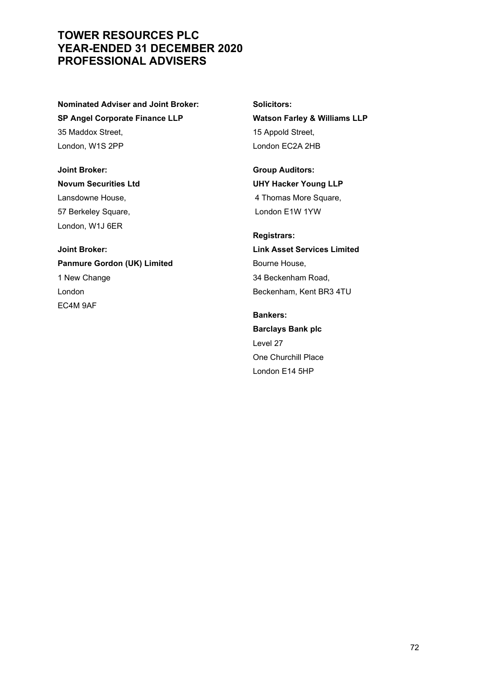## TOWER RESOURCES PLC YEAR-ENDED 31 DECEMBER 2020 PROFESSIONAL ADVISERS

Nominated Adviser and Joint Broker: SP Angel Corporate Finance LLP 35 Maddox Street, London, W1S 2PP

Joint Broker: Novum Securities Ltd Lansdowne House, 57 Berkeley Square, London, W1J 6ER

Joint Broker: Panmure Gordon (UK) Limited 1 New Change London EC4M 9AF

Solicitors: Watson Farley & Williams LLP 15 Appold Street, London EC2A 2HB

Group Auditors: UHY Hacker Young LLP 4 Thomas More Square, London E1W 1YW

Registrars: Link Asset Services Limited Bourne House, 34 Beckenham Road, Beckenham, Kent BR3 4TU

Bankers: Barclays Bank plc Level 27 One Churchill Place London E14 5HP